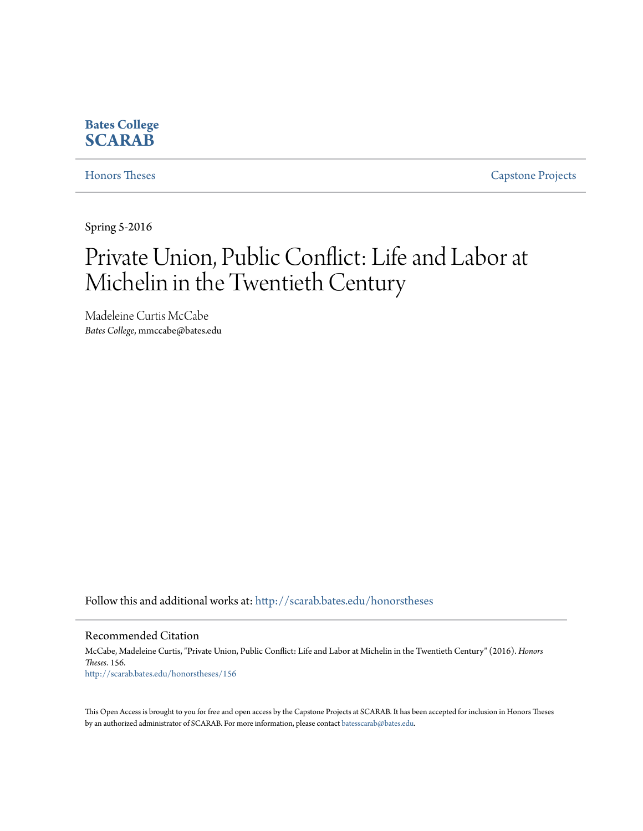# **Bates College [SCARAB](http://scarab.bates.edu?utm_source=scarab.bates.edu%2Fhonorstheses%2F156&utm_medium=PDF&utm_campaign=PDFCoverPages)**

[Honors Theses](http://scarab.bates.edu/honorstheses?utm_source=scarab.bates.edu%2Fhonorstheses%2F156&utm_medium=PDF&utm_campaign=PDFCoverPages) [Capstone Projects](http://scarab.bates.edu/capstone?utm_source=scarab.bates.edu%2Fhonorstheses%2F156&utm_medium=PDF&utm_campaign=PDFCoverPages)

Spring 5-2016

# Private Union, Public Conflict: Life and Labor at Michelin in the Twentieth Century

Madeleine Curtis McCabe *Bates College*, mmccabe@bates.edu

Follow this and additional works at: [http://scarab.bates.edu/honorstheses](http://scarab.bates.edu/honorstheses?utm_source=scarab.bates.edu%2Fhonorstheses%2F156&utm_medium=PDF&utm_campaign=PDFCoverPages)

Recommended Citation

McCabe, Madeleine Curtis, "Private Union, Public Conflict: Life and Labor at Michelin in the Twentieth Century" (2016). *Honors Theses*. 156. [http://scarab.bates.edu/honorstheses/156](http://scarab.bates.edu/honorstheses/156?utm_source=scarab.bates.edu%2Fhonorstheses%2F156&utm_medium=PDF&utm_campaign=PDFCoverPages)

This Open Access is brought to you for free and open access by the Capstone Projects at SCARAB. It has been accepted for inclusion in Honors Theses by an authorized administrator of SCARAB. For more information, please contact [batesscarab@bates.edu](mailto:batesscarab@bates.edu).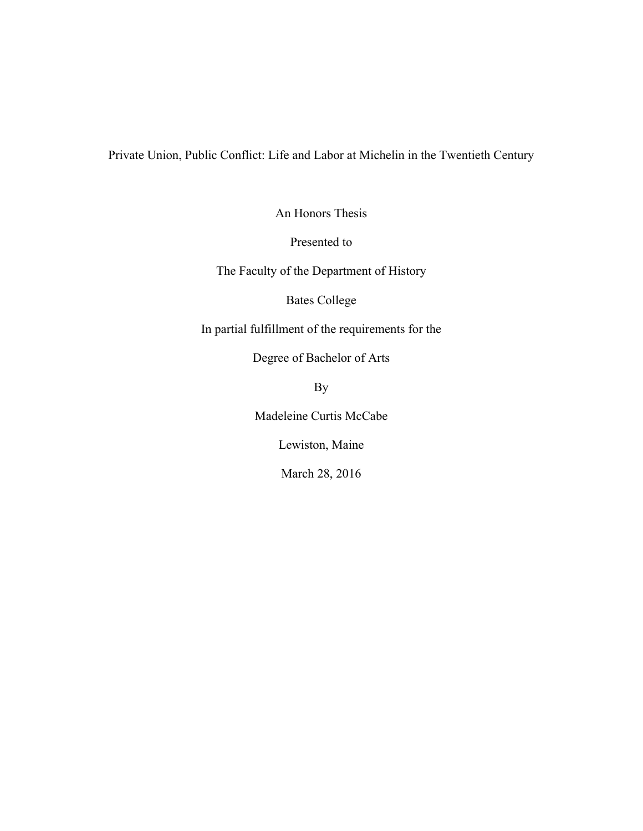Private Union, Public Conflict: Life and Labor at Michelin in the Twentieth Century

An Honors Thesis

Presented to

The Faculty of the Department of History

Bates College

In partial fulfillment of the requirements for the

Degree of Bachelor of Arts

By

Madeleine Curtis McCabe

Lewiston, Maine

March 28, 2016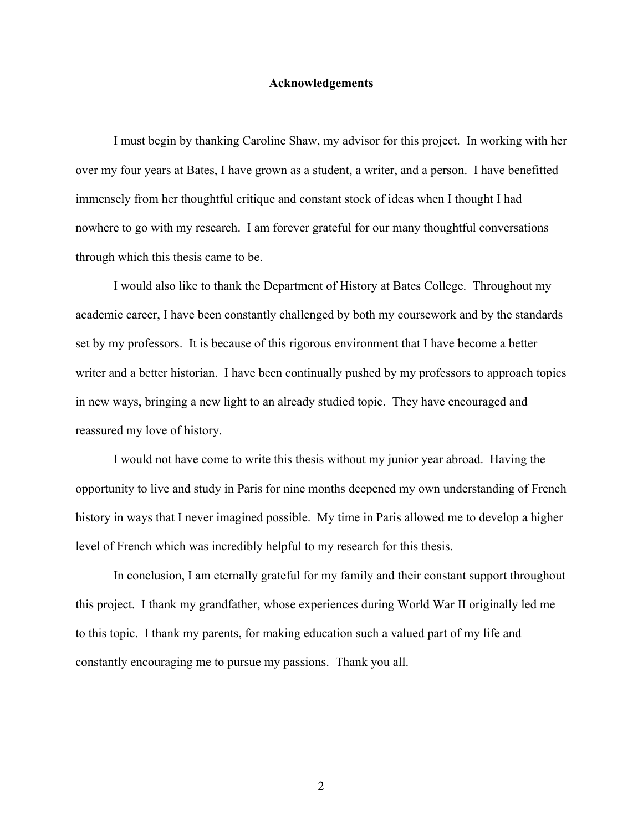#### **Acknowledgements**

I must begin by thanking Caroline Shaw, my advisor for this project. In working with her over my four years at Bates, I have grown as a student, a writer, and a person. I have benefitted immensely from her thoughtful critique and constant stock of ideas when I thought I had nowhere to go with my research. I am forever grateful for our many thoughtful conversations through which this thesis came to be.

I would also like to thank the Department of History at Bates College. Throughout my academic career, I have been constantly challenged by both my coursework and by the standards set by my professors. It is because of this rigorous environment that I have become a better writer and a better historian. I have been continually pushed by my professors to approach topics in new ways, bringing a new light to an already studied topic. They have encouraged and reassured my love of history.

I would not have come to write this thesis without my junior year abroad. Having the opportunity to live and study in Paris for nine months deepened my own understanding of French history in ways that I never imagined possible. My time in Paris allowed me to develop a higher level of French which was incredibly helpful to my research for this thesis.

In conclusion, I am eternally grateful for my family and their constant support throughout this project. I thank my grandfather, whose experiences during World War II originally led me to this topic. I thank my parents, for making education such a valued part of my life and constantly encouraging me to pursue my passions. Thank you all.

2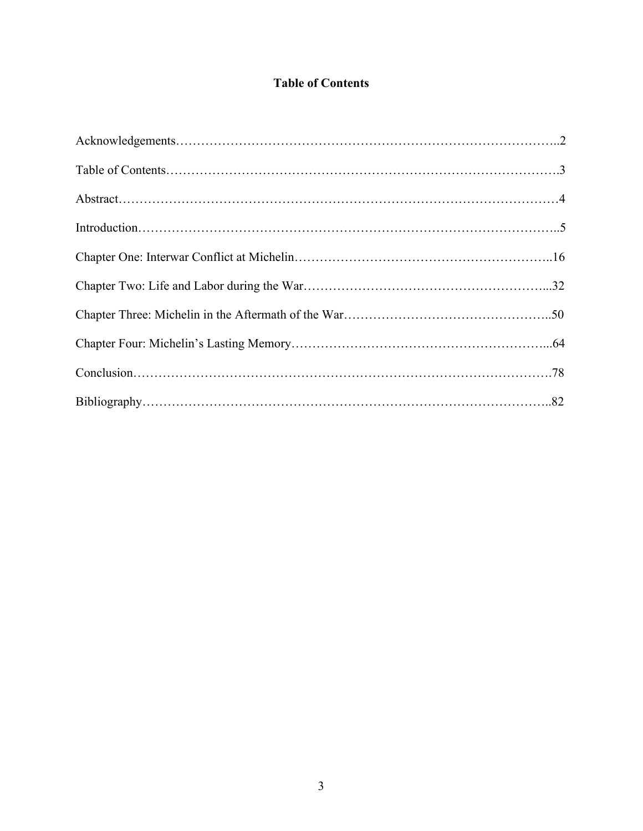# **Table of Contents**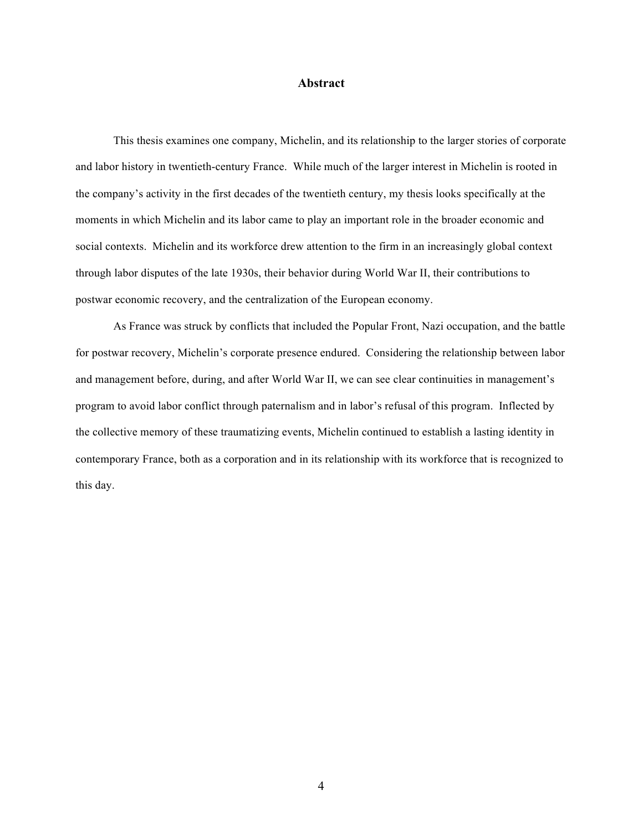#### **Abstract**

This thesis examines one company, Michelin, and its relationship to the larger stories of corporate and labor history in twentieth-century France. While much of the larger interest in Michelin is rooted in the company's activity in the first decades of the twentieth century, my thesis looks specifically at the moments in which Michelin and its labor came to play an important role in the broader economic and social contexts. Michelin and its workforce drew attention to the firm in an increasingly global context through labor disputes of the late 1930s, their behavior during World War II, their contributions to postwar economic recovery, and the centralization of the European economy.

As France was struck by conflicts that included the Popular Front, Nazi occupation, and the battle for postwar recovery, Michelin's corporate presence endured. Considering the relationship between labor and management before, during, and after World War II, we can see clear continuities in management's program to avoid labor conflict through paternalism and in labor's refusal of this program. Inflected by the collective memory of these traumatizing events, Michelin continued to establish a lasting identity in contemporary France, both as a corporation and in its relationship with its workforce that is recognized to this day.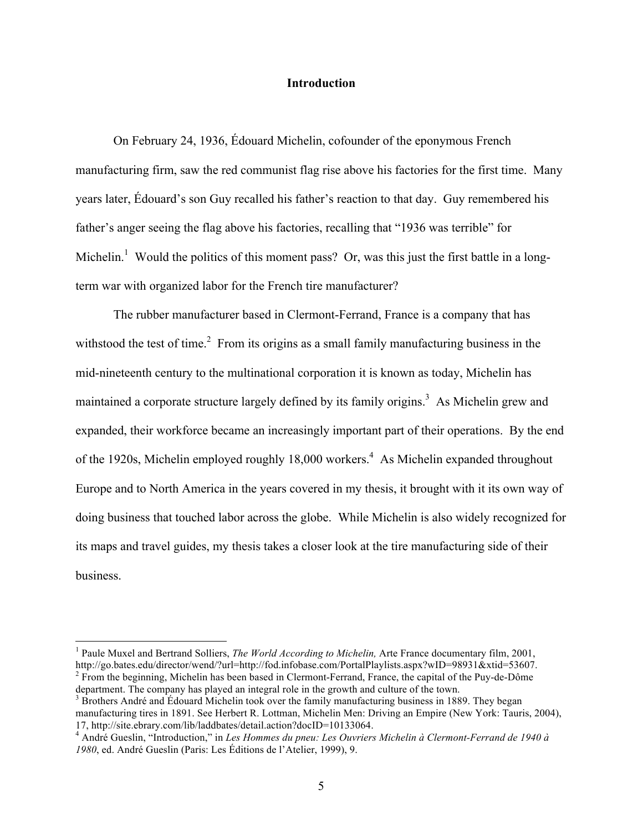#### **Introduction**

On February 24, 1936, Édouard Michelin, cofounder of the eponymous French manufacturing firm, saw the red communist flag rise above his factories for the first time. Many years later, Édouard's son Guy recalled his father's reaction to that day. Guy remembered his father's anger seeing the flag above his factories, recalling that "1936 was terrible" for Michelin.<sup>1</sup> Would the politics of this moment pass? Or, was this just the first battle in a longterm war with organized labor for the French tire manufacturer?

The rubber manufacturer based in Clermont-Ferrand, France is a company that has withstood the test of time.<sup>2</sup> From its origins as a small family manufacturing business in the mid-nineteenth century to the multinational corporation it is known as today, Michelin has maintained a corporate structure largely defined by its family origins.<sup>3</sup> As Michelin grew and expanded, their workforce became an increasingly important part of their operations. By the end of the 1920s, Michelin employed roughly 18,000 workers.<sup>4</sup> As Michelin expanded throughout Europe and to North America in the years covered in my thesis, it brought with it its own way of doing business that touched labor across the globe. While Michelin is also widely recognized for its maps and travel guides, my thesis takes a closer look at the tire manufacturing side of their business.

 <sup>1</sup> Paule Muxel and Bertrand Solliers, *The World According to Michelin,* Arte France documentary film, 2001, http://go.bates.edu/director/wend/?url=http://fod.infobase.com/PortalPlaylists.aspx?wID=98931&xtid=53607. <sup>2</sup> From the beginning, Michelin has been based in Clermont-Ferrand, France, the capital of the Puy-de-Dôme

department. The company has played an integral role in the growth and culture of the town.<br><sup>3</sup> Brothers André and Édouard Michelin took over the family manufacturing business in 1889. They began manufacturing tires in 1891. See Herbert R. Lottman, Michelin Men: Driving an Empire (New York: Tauris, 2004), 17, http://site.ebrary.com/lib/laddbates/detail.action?docID=10133064.

<sup>&</sup>lt;sup>4</sup> André Gueslin, "Introduction," in *Les Hommes du pneu: Les Ouvriers Michelin à Clermont-Ferrand de 1940 à 1980*, ed. André Gueslin (Paris: Les Éditions de l'Atelier, 1999), 9.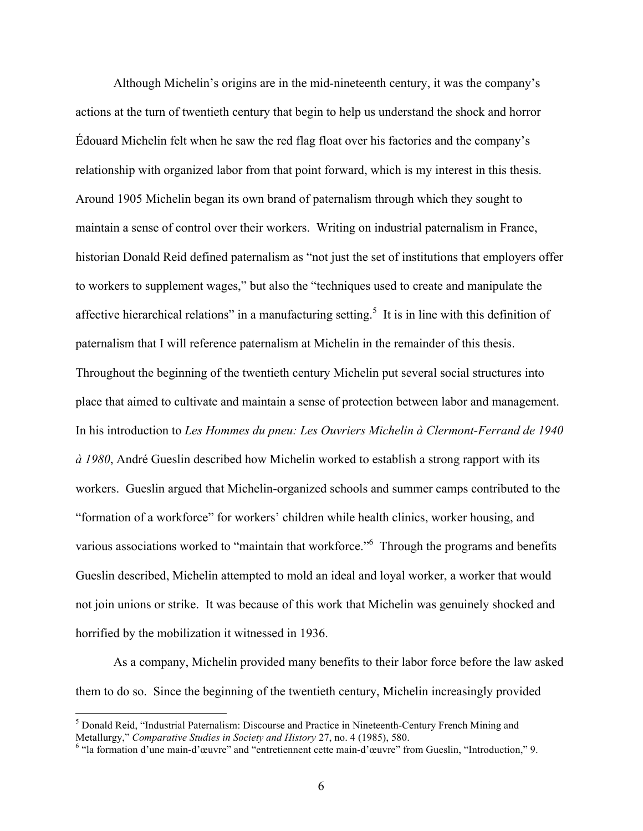Although Michelin's origins are in the mid-nineteenth century, it was the company's actions at the turn of twentieth century that begin to help us understand the shock and horror Édouard Michelin felt when he saw the red flag float over his factories and the company's relationship with organized labor from that point forward, which is my interest in this thesis. Around 1905 Michelin began its own brand of paternalism through which they sought to maintain a sense of control over their workers. Writing on industrial paternalism in France, historian Donald Reid defined paternalism as "not just the set of institutions that employers offer to workers to supplement wages," but also the "techniques used to create and manipulate the affective hierarchical relations" in a manufacturing setting.<sup>5</sup> It is in line with this definition of paternalism that I will reference paternalism at Michelin in the remainder of this thesis. Throughout the beginning of the twentieth century Michelin put several social structures into place that aimed to cultivate and maintain a sense of protection between labor and management. In his introduction to *Les Hommes du pneu: Les Ouvriers Michelin à Clermont-Ferrand de 1940 à 1980*, André Gueslin described how Michelin worked to establish a strong rapport with its workers. Gueslin argued that Michelin-organized schools and summer camps contributed to the "formation of a workforce" for workers' children while health clinics, worker housing, and various associations worked to "maintain that workforce."<sup>6</sup> Through the programs and benefits Gueslin described, Michelin attempted to mold an ideal and loyal worker, a worker that would not join unions or strike. It was because of this work that Michelin was genuinely shocked and horrified by the mobilization it witnessed in 1936.

As a company, Michelin provided many benefits to their labor force before the law asked them to do so. Since the beginning of the twentieth century, Michelin increasingly provided

 <sup>5</sup> Donald Reid, "Industrial Paternalism: Discourse and Practice in Nineteenth-Century French Mining and Metallurgy," *Comparative Studies in Society and History* 27, no. 4 (1985), 580.<br><sup>6</sup> "la formation d'une main-d'œuvre" and "entretiennent cette main-d'œuvre" from Gueslin, "Introduction," 9.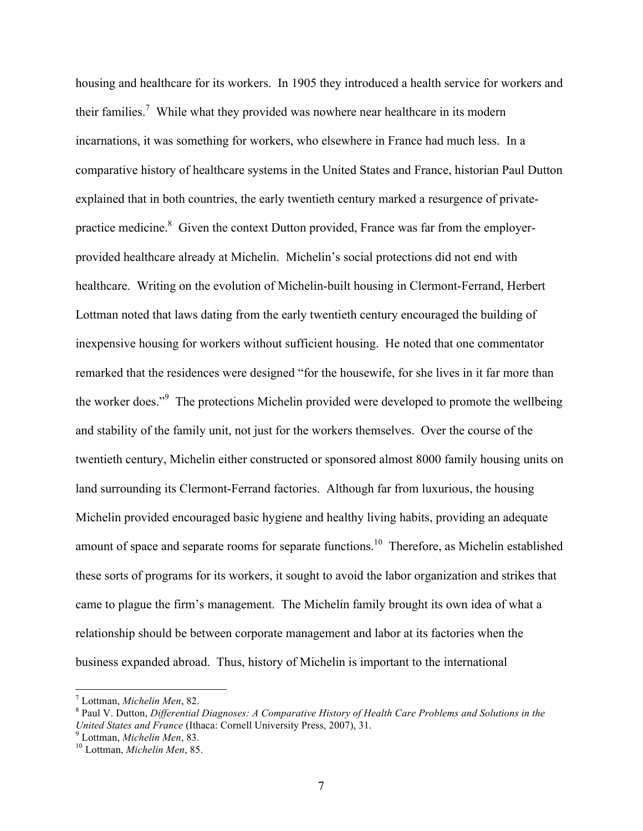housing and healthcare for its workers. In 1905 they introduced a health service for workers and their families.<sup>7</sup> While what they provided was nowhere near healthcare in its modern incarnations, it was something for workers, who elsewhere in France had much less. In a comparative history of healthcare systems in the United States and France, historian Paul Dutton explained that in both countries, the early twentieth century marked a resurgence of privatepractice medicine.<sup>8</sup> Given the context Dutton provided, France was far from the employerprovided healthcare already at Michelin. Michelin's social protections did not end with healthcare. Writing on the evolution of Michelin-built housing in Clermont-Ferrand, Herbert Lottman noted that laws dating from the early twentieth century encouraged the building of inexpensive housing for workers without sufficient housing. He noted that one commentator remarked that the residences were designed "for the housewife, for she lives in it far more than the worker does."<sup>9</sup> The protections Michelin provided were developed to promote the wellbeing and stability of the family unit, not just for the workers themselves. Over the course of the twentieth century, Michelin either constructed or sponsored almost 8000 family housing units on land surrounding its Clermont-Ferrand factories. Although far from luxurious, the housing Michelin provided encouraged basic hygiene and healthy living habits, providing an adequate amount of space and separate rooms for separate functions.<sup>10</sup> Therefore, as Michelin established these sorts of programs for its workers, it sought to avoid the labor organization and strikes that came to plague the firm's management. The Michelin family brought its own idea of what a relationship should be between corporate management and labor at its factories when the business expanded abroad. Thus, history of Michelin is important to the international

<sup>&</sup>lt;sup>7</sup> Lottman, *Michelin Men*, 82.<br><sup>8</sup> Paul V. Dutton, *Differential Diagnoses: A Comparative History of Health Care Problems and Solutions in the United States and France* (Ithaca: Cornell University Press, 2007), 31.<br><sup>9</sup> Lottman, *Michelin Men*, 83.<br><sup>10</sup> Lottman, *Michelin Men*, 85.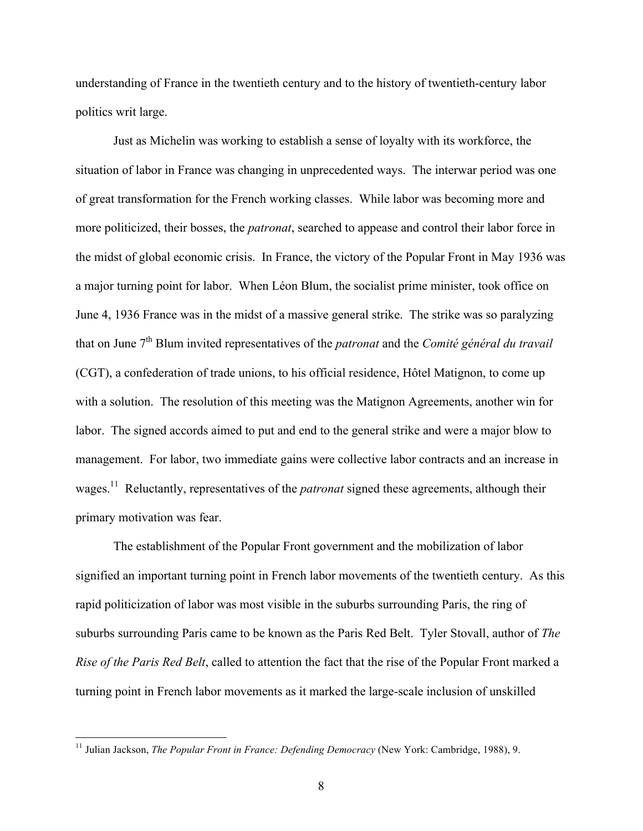understanding of France in the twentieth century and to the history of twentieth-century labor politics writ large.

Just as Michelin was working to establish a sense of loyalty with its workforce, the situation of labor in France was changing in unprecedented ways. The interwar period was one of great transformation for the French working classes. While labor was becoming more and more politicized, their bosses, the *patronat*, searched to appease and control their labor force in the midst of global economic crisis. In France, the victory of the Popular Front in May 1936 was a major turning point for labor. When Léon Blum, the socialist prime minister, took office on June 4, 1936 France was in the midst of a massive general strike. The strike was so paralyzing that on June 7<sup>th</sup> Blum invited representatives of the *patronat* and the *Comité général du travail* (CGT), a confederation of trade unions, to his official residence, Hôtel Matignon, to come up with a solution. The resolution of this meeting was the Matignon Agreements, another win for labor. The signed accords aimed to put and end to the general strike and were a major blow to management. For labor, two immediate gains were collective labor contracts and an increase in wages.11 Reluctantly, representatives of the *patronat* signed these agreements, although their primary motivation was fear.

The establishment of the Popular Front government and the mobilization of labor signified an important turning point in French labor movements of the twentieth century. As this rapid politicization of labor was most visible in the suburbs surrounding Paris, the ring of suburbs surrounding Paris came to be known as the Paris Red Belt. Tyler Stovall, author of *The Rise of the Paris Red Belt*, called to attention the fact that the rise of the Popular Front marked a turning point in French labor movements as it marked the large-scale inclusion of unskilled

 <sup>11</sup> Julian Jackson, *The Popular Front in France: Defending Democracy* (New York: Cambridge, 1988), 9.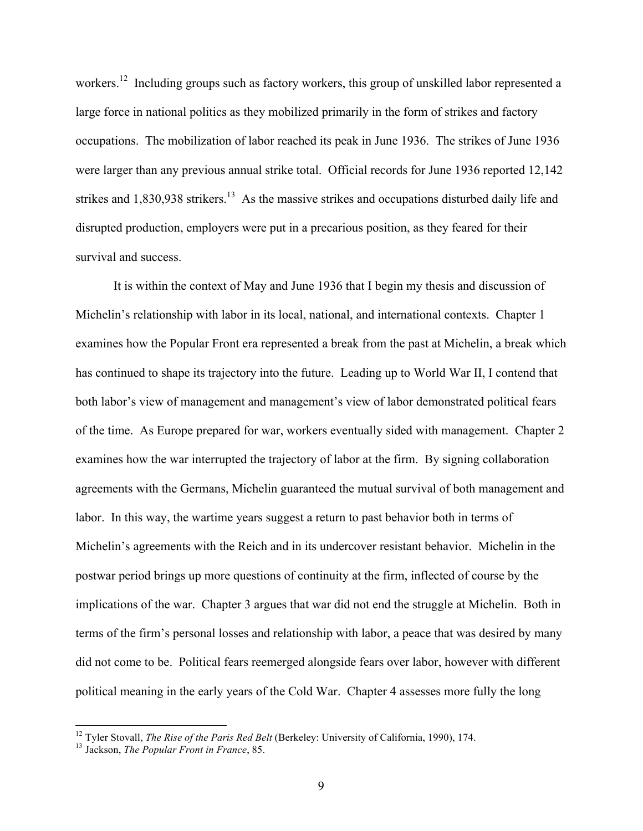workers.<sup>12</sup> Including groups such as factory workers, this group of unskilled labor represented a large force in national politics as they mobilized primarily in the form of strikes and factory occupations. The mobilization of labor reached its peak in June 1936. The strikes of June 1936 were larger than any previous annual strike total. Official records for June 1936 reported 12,142 strikes and 1,830,938 strikers.<sup>13</sup> As the massive strikes and occupations disturbed daily life and disrupted production, employers were put in a precarious position, as they feared for their survival and success.

It is within the context of May and June 1936 that I begin my thesis and discussion of Michelin's relationship with labor in its local, national, and international contexts. Chapter 1 examines how the Popular Front era represented a break from the past at Michelin, a break which has continued to shape its trajectory into the future. Leading up to World War II, I contend that both labor's view of management and management's view of labor demonstrated political fears of the time. As Europe prepared for war, workers eventually sided with management. Chapter 2 examines how the war interrupted the trajectory of labor at the firm. By signing collaboration agreements with the Germans, Michelin guaranteed the mutual survival of both management and labor. In this way, the wartime years suggest a return to past behavior both in terms of Michelin's agreements with the Reich and in its undercover resistant behavior. Michelin in the postwar period brings up more questions of continuity at the firm, inflected of course by the implications of the war. Chapter 3 argues that war did not end the struggle at Michelin. Both in terms of the firm's personal losses and relationship with labor, a peace that was desired by many did not come to be. Political fears reemerged alongside fears over labor, however with different political meaning in the early years of the Cold War. Chapter 4 assesses more fully the long

<sup>12</sup> Tyler Stovall, *The Rise of the Paris Red Belt* (Berkeley: University of California, 1990), 174. <sup>13</sup> Jackson, *The Popular Front in France*, 85.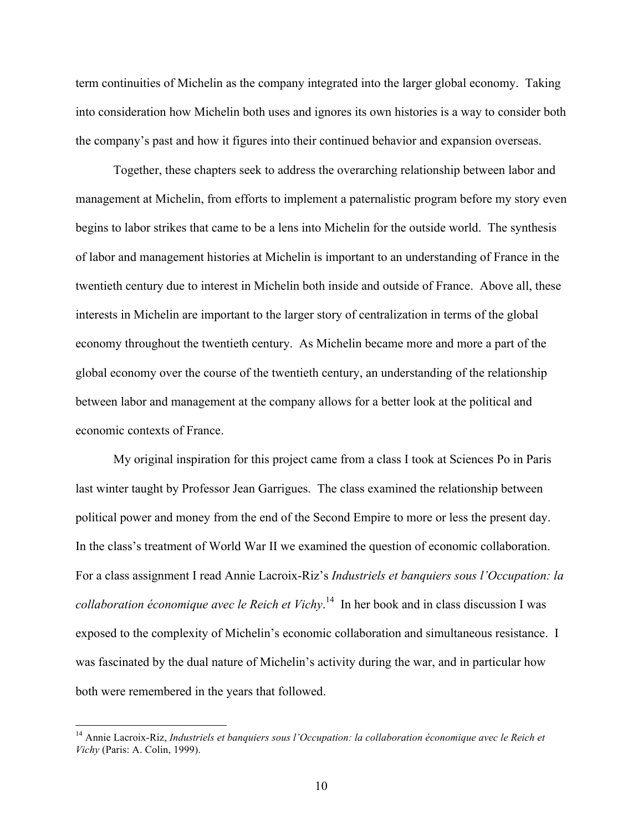term continuities of Michelin as the company integrated into the larger global economy. Taking into consideration how Michelin both uses and ignores its own histories is a way to consider both the company's past and how it figures into their continued behavior and expansion overseas.

Together, these chapters seek to address the overarching relationship between labor and management at Michelin, from efforts to implement a paternalistic program before my story even begins to labor strikes that came to be a lens into Michelin for the outside world. The synthesis of labor and management histories at Michelin is important to an understanding of France in the twentieth century due to interest in Michelin both inside and outside of France. Above all, these interests in Michelin are important to the larger story of centralization in terms of the global economy throughout the twentieth century. As Michelin became more and more a part of the global economy over the course of the twentieth century, an understanding of the relationship between labor and management at the company allows for a better look at the political and economic contexts of France.

My original inspiration for this project came from a class I took at Sciences Po in Paris last winter taught by Professor Jean Garrigues. The class examined the relationship between political power and money from the end of the Second Empire to more or less the present day. In the class's treatment of World War II we examined the question of economic collaboration. For a class assignment I read Annie Lacroix-Riz's *Industriels et banquiers sous l'Occupation: la collaboration économique avec le Reich et Vichy*. 14 In her book and in class discussion I was exposed to the complexity of Michelin's economic collaboration and simultaneous resistance. I was fascinated by the dual nature of Michelin's activity during the war, and in particular how both were remembered in the years that followed.

<sup>&</sup>lt;sup>14</sup> Annie Lacroix-Riz, *Industriels et banquiers sous l'Occupation: la collaboration économique avec le Reich et Vichy* (Paris: A. Colin, 1999).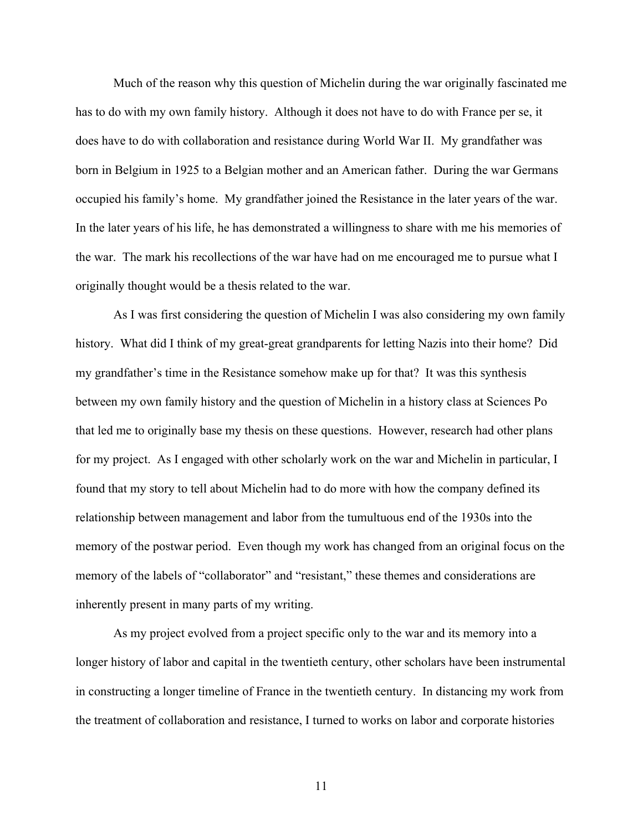Much of the reason why this question of Michelin during the war originally fascinated me has to do with my own family history. Although it does not have to do with France per se, it does have to do with collaboration and resistance during World War II. My grandfather was born in Belgium in 1925 to a Belgian mother and an American father. During the war Germans occupied his family's home. My grandfather joined the Resistance in the later years of the war. In the later years of his life, he has demonstrated a willingness to share with me his memories of the war. The mark his recollections of the war have had on me encouraged me to pursue what I originally thought would be a thesis related to the war.

As I was first considering the question of Michelin I was also considering my own family history. What did I think of my great-great grandparents for letting Nazis into their home? Did my grandfather's time in the Resistance somehow make up for that? It was this synthesis between my own family history and the question of Michelin in a history class at Sciences Po that led me to originally base my thesis on these questions. However, research had other plans for my project. As I engaged with other scholarly work on the war and Michelin in particular, I found that my story to tell about Michelin had to do more with how the company defined its relationship between management and labor from the tumultuous end of the 1930s into the memory of the postwar period. Even though my work has changed from an original focus on the memory of the labels of "collaborator" and "resistant," these themes and considerations are inherently present in many parts of my writing.

As my project evolved from a project specific only to the war and its memory into a longer history of labor and capital in the twentieth century, other scholars have been instrumental in constructing a longer timeline of France in the twentieth century. In distancing my work from the treatment of collaboration and resistance, I turned to works on labor and corporate histories

11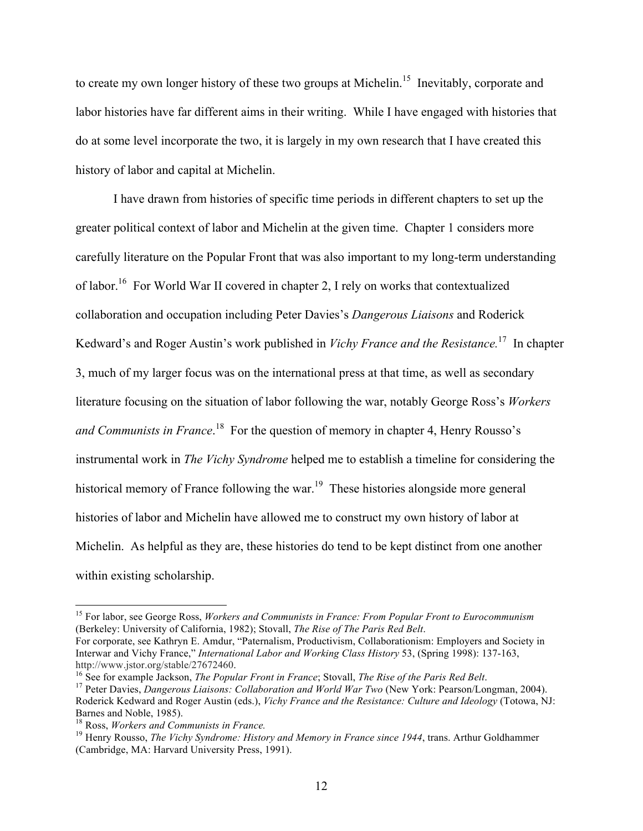to create my own longer history of these two groups at Michelin.<sup>15</sup> Inevitably, corporate and labor histories have far different aims in their writing. While I have engaged with histories that do at some level incorporate the two, it is largely in my own research that I have created this history of labor and capital at Michelin.

I have drawn from histories of specific time periods in different chapters to set up the greater political context of labor and Michelin at the given time. Chapter 1 considers more carefully literature on the Popular Front that was also important to my long-term understanding of labor.16 For World War II covered in chapter 2, I rely on works that contextualized collaboration and occupation including Peter Davies's *Dangerous Liaisons* and Roderick Kedward's and Roger Austin's work published in *Vichy France and the Resistance.*<sup>17</sup> In chapter 3, much of my larger focus was on the international press at that time, as well as secondary literature focusing on the situation of labor following the war, notably George Ross's *Workers*  and Communists in France.<sup>18</sup> For the question of memory in chapter 4, Henry Rousso's instrumental work in *The Vichy Syndrome* helped me to establish a timeline for considering the historical memory of France following the war.<sup>19</sup> These histories alongside more general histories of labor and Michelin have allowed me to construct my own history of labor at Michelin. As helpful as they are, these histories do tend to be kept distinct from one another within existing scholarship.

 <sup>15</sup> For labor, see George Ross, *Workers and Communists in France: From Popular Front to Eurocommunism* (Berkeley: University of California, 1982); Stovall, *The Rise of The Paris Red Belt*.

For corporate, see Kathryn E. Amdur, "Paternalism, Productivism, Collaborationism: Employers and Society in Interwar and Vichy France," *International Labor and Working Class History* 53, (Spring 1998): 137-163, http://www.jstor.org/stable/27672460.<br><sup>16</sup> See for example Jackson, *The Popular Front in France*; Stovall, *The Rise of the Paris Red Belt.*<br><sup>17</sup> Peter Davies, *Dangerous Liaisons: Collaboration and World War Two* (New Yo

Roderick Kedward and Roger Austin (eds.), *Vichy France and the Resistance: Culture and Ideology* (Totowa, NJ: Barnes and Noble, 1985).<br><sup>18</sup> Ross, *Workers and Communists in France*.

<sup>&</sup>lt;sup>19</sup> Henry Rousso, *The Vichy Syndrome: History and Memory in France since 1944*, trans. Arthur Goldhammer (Cambridge, MA: Harvard University Press, 1991).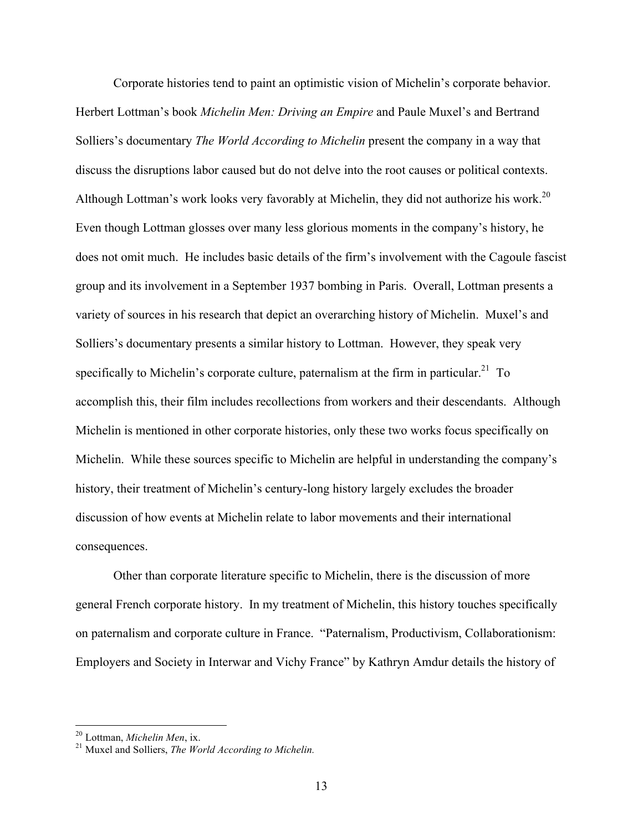Corporate histories tend to paint an optimistic vision of Michelin's corporate behavior. Herbert Lottman's book *Michelin Men: Driving an Empire* and Paule Muxel's and Bertrand Solliers's documentary *The World According to Michelin* present the company in a way that discuss the disruptions labor caused but do not delve into the root causes or political contexts. Although Lottman's work looks very favorably at Michelin, they did not authorize his work.<sup>20</sup> Even though Lottman glosses over many less glorious moments in the company's history, he does not omit much. He includes basic details of the firm's involvement with the Cagoule fascist group and its involvement in a September 1937 bombing in Paris. Overall, Lottman presents a variety of sources in his research that depict an overarching history of Michelin. Muxel's and Solliers's documentary presents a similar history to Lottman. However, they speak very specifically to Michelin's corporate culture, paternalism at the firm in particular.<sup>21</sup> To accomplish this, their film includes recollections from workers and their descendants. Although Michelin is mentioned in other corporate histories, only these two works focus specifically on Michelin. While these sources specific to Michelin are helpful in understanding the company's history, their treatment of Michelin's century-long history largely excludes the broader discussion of how events at Michelin relate to labor movements and their international consequences.

Other than corporate literature specific to Michelin, there is the discussion of more general French corporate history. In my treatment of Michelin, this history touches specifically on paternalism and corporate culture in France. "Paternalism, Productivism, Collaborationism: Employers and Society in Interwar and Vichy France" by Kathryn Amdur details the history of

<sup>&</sup>lt;sup>20</sup> Lottman, *Michelin Men*, ix.<br><sup>21</sup> Muxel and Solliers, *The World According to Michelin.*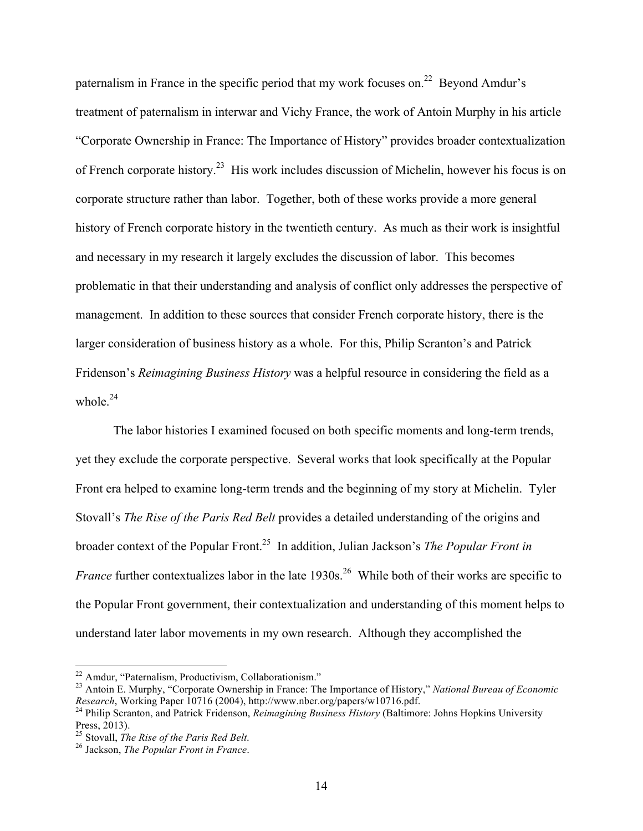paternalism in France in the specific period that my work focuses on.<sup>22</sup> Beyond Amdur's treatment of paternalism in interwar and Vichy France, the work of Antoin Murphy in his article "Corporate Ownership in France: The Importance of History" provides broader contextualization of French corporate history.23 His work includes discussion of Michelin, however his focus is on corporate structure rather than labor. Together, both of these works provide a more general history of French corporate history in the twentieth century. As much as their work is insightful and necessary in my research it largely excludes the discussion of labor. This becomes problematic in that their understanding and analysis of conflict only addresses the perspective of management. In addition to these sources that consider French corporate history, there is the larger consideration of business history as a whole. For this, Philip Scranton's and Patrick Fridenson's *Reimagining Business History* was a helpful resource in considering the field as a whole. $24$ 

The labor histories I examined focused on both specific moments and long-term trends, yet they exclude the corporate perspective. Several works that look specifically at the Popular Front era helped to examine long-term trends and the beginning of my story at Michelin. Tyler Stovall's *The Rise of the Paris Red Belt* provides a detailed understanding of the origins and broader context of the Popular Front.25 In addition, Julian Jackson's *The Popular Front in France* further contextualizes labor in the late 1930s.<sup>26</sup> While both of their works are specific to the Popular Front government, their contextualization and understanding of this moment helps to understand later labor movements in my own research. Although they accomplished the

<sup>&</sup>lt;sup>22</sup> Amdur, "Paternalism, Productivism, Collaborationism."<br><sup>23</sup> Antoin E. Murphy, "Corporate Ownership in France: The Importance of History," *National Bureau of Economic Research*, Working Paper 10716 (2004), http://www.n

<sup>&</sup>lt;sup>24</sup> Philip Scranton, and Patrick Fridenson, *Reimagining Business History* (Baltimore: Johns Hopkins University Press, 2013).

<sup>25</sup> Stovall, *The Rise of the Paris Red Belt*. <sup>26</sup> Jackson, *The Popular Front in France*.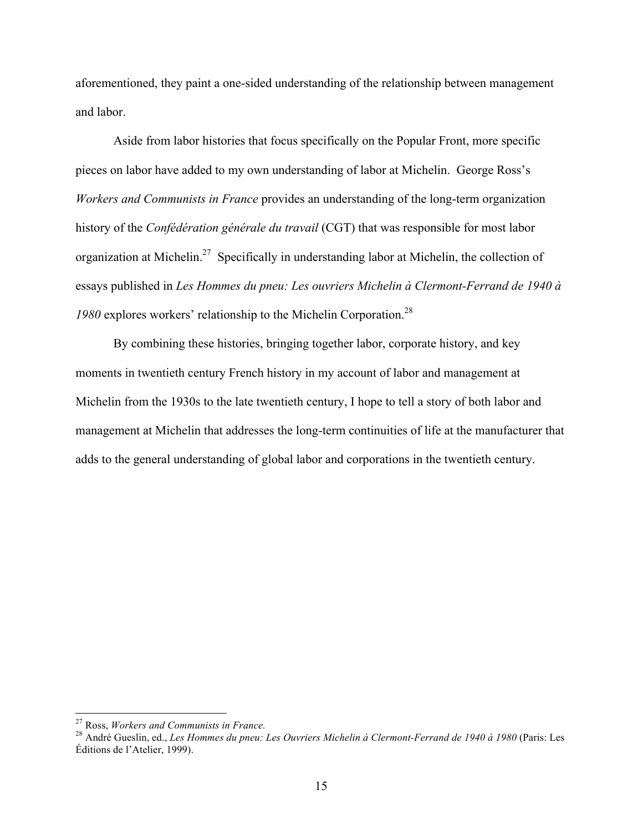aforementioned, they paint a one-sided understanding of the relationship between management and labor.

Aside from labor histories that focus specifically on the Popular Front, more specific pieces on labor have added to my own understanding of labor at Michelin. George Ross's *Workers and Communists in France* provides an understanding of the long-term organization history of the *Confédération générale du travail* (CGT) that was responsible for most labor organization at Michelin.<sup>27</sup> Specifically in understanding labor at Michelin, the collection of essays published in *Les Hommes du pneu: Les ouvriers Michelin à Clermont-Ferrand de 1940 à 1980* explores workers' relationship to the Michelin Corporation.28

By combining these histories, bringing together labor, corporate history, and key moments in twentieth century French history in my account of labor and management at Michelin from the 1930s to the late twentieth century, I hope to tell a story of both labor and management at Michelin that addresses the long-term continuities of life at the manufacturer that adds to the general understanding of global labor and corporations in the twentieth century.

<sup>&</sup>lt;sup>27</sup> Ross, *Workers and Communists in France.*<br><sup>28</sup> André Gueslin, ed., *Les Hommes du pneu: Les Ouvriers Michelin à Clermont-Ferrand de 1940 à 1980* (Paris: Les Éditions de l'Atelier, 1999).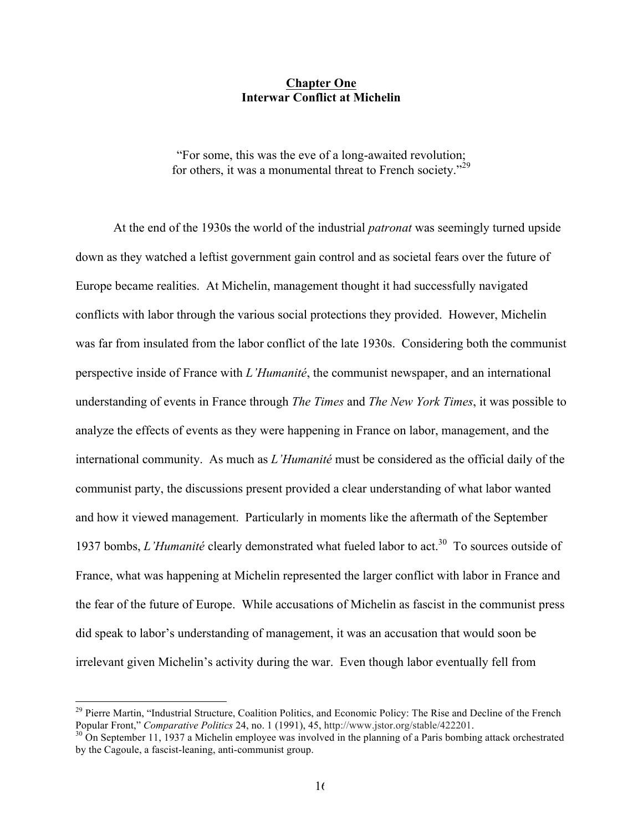#### **Chapter One Interwar Conflict at Michelin**

"For some, this was the eve of a long-awaited revolution; for others, it was a monumental threat to French society."<sup>29</sup>

At the end of the 1930s the world of the industrial *patronat* was seemingly turned upside down as they watched a leftist government gain control and as societal fears over the future of Europe became realities. At Michelin, management thought it had successfully navigated conflicts with labor through the various social protections they provided. However, Michelin was far from insulated from the labor conflict of the late 1930s. Considering both the communist perspective inside of France with *L'Humanité*, the communist newspaper, and an international understanding of events in France through *The Times* and *The New York Times*, it was possible to analyze the effects of events as they were happening in France on labor, management, and the international community. As much as *L'Humanité* must be considered as the official daily of the communist party, the discussions present provided a clear understanding of what labor wanted and how it viewed management. Particularly in moments like the aftermath of the September 1937 bombs, *L'Humanité* clearly demonstrated what fueled labor to act.<sup>30</sup> To sources outside of France, what was happening at Michelin represented the larger conflict with labor in France and the fear of the future of Europe. While accusations of Michelin as fascist in the communist press did speak to labor's understanding of management, it was an accusation that would soon be irrelevant given Michelin's activity during the war. Even though labor eventually fell from

<sup>&</sup>lt;sup>29</sup> Pierre Martin, "Industrial Structure, Coalition Politics, and Economic Policy: The Rise and Decline of the French Popular Front," *Comparative Politics* 24, no. 1 (1991), 45, http://www.jstor.org/stable/422201.

<sup>&</sup>lt;sup>30</sup> On September 11, 1937 a Michelin employee was involved in the planning of a Paris bombing attack orchestrated by the Cagoule, a fascist-leaning, anti-communist group.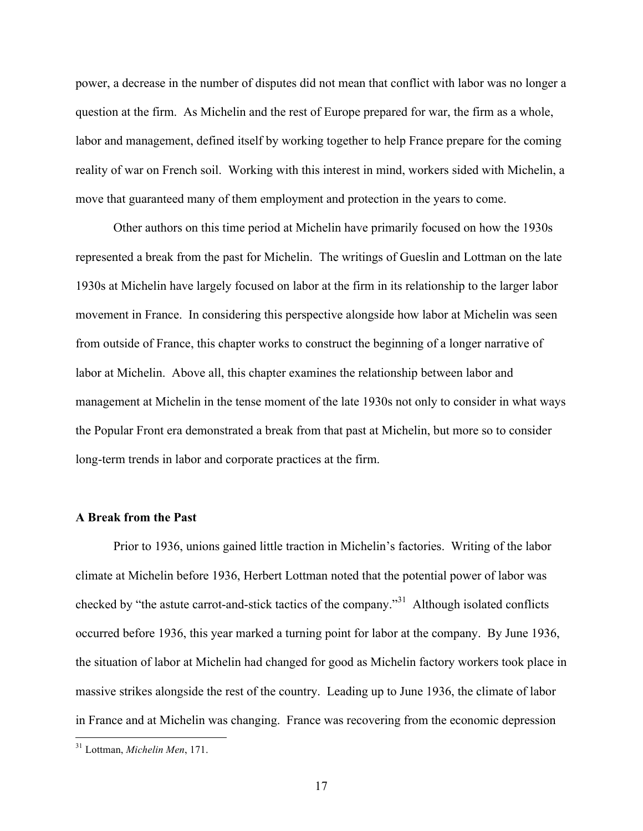power, a decrease in the number of disputes did not mean that conflict with labor was no longer a question at the firm. As Michelin and the rest of Europe prepared for war, the firm as a whole, labor and management, defined itself by working together to help France prepare for the coming reality of war on French soil. Working with this interest in mind, workers sided with Michelin, a move that guaranteed many of them employment and protection in the years to come.

Other authors on this time period at Michelin have primarily focused on how the 1930s represented a break from the past for Michelin. The writings of Gueslin and Lottman on the late 1930s at Michelin have largely focused on labor at the firm in its relationship to the larger labor movement in France. In considering this perspective alongside how labor at Michelin was seen from outside of France, this chapter works to construct the beginning of a longer narrative of labor at Michelin. Above all, this chapter examines the relationship between labor and management at Michelin in the tense moment of the late 1930s not only to consider in what ways the Popular Front era demonstrated a break from that past at Michelin, but more so to consider long-term trends in labor and corporate practices at the firm.

## **A Break from the Past**

Prior to 1936, unions gained little traction in Michelin's factories. Writing of the labor climate at Michelin before 1936, Herbert Lottman noted that the potential power of labor was checked by "the astute carrot-and-stick tactics of the company."31 Although isolated conflicts occurred before 1936, this year marked a turning point for labor at the company. By June 1936, the situation of labor at Michelin had changed for good as Michelin factory workers took place in massive strikes alongside the rest of the country. Leading up to June 1936, the climate of labor in France and at Michelin was changing. France was recovering from the economic depression

 <sup>31</sup> Lottman, *Michelin Men*, 171.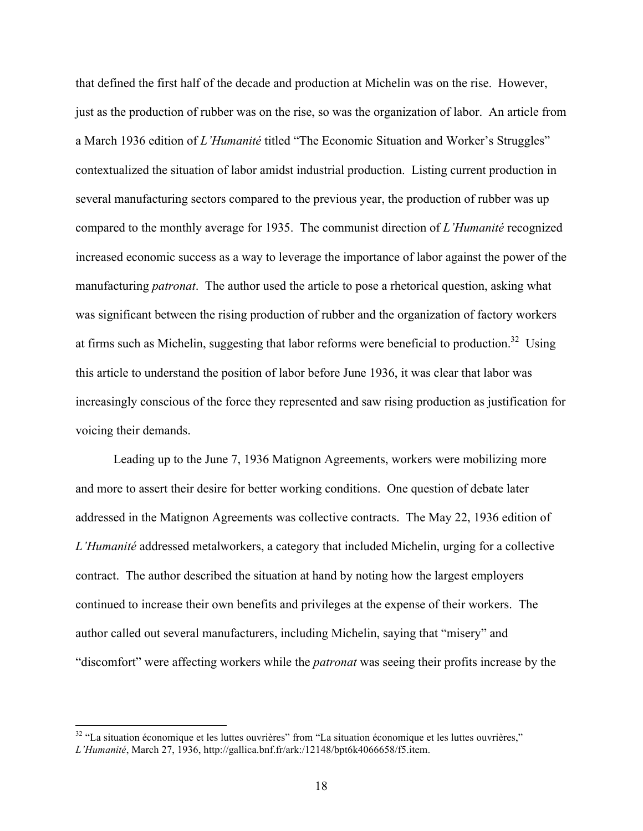that defined the first half of the decade and production at Michelin was on the rise. However, just as the production of rubber was on the rise, so was the organization of labor. An article from a March 1936 edition of *L'Humanité* titled "The Economic Situation and Worker's Struggles" contextualized the situation of labor amidst industrial production. Listing current production in several manufacturing sectors compared to the previous year, the production of rubber was up compared to the monthly average for 1935. The communist direction of *L'Humanité* recognized increased economic success as a way to leverage the importance of labor against the power of the manufacturing *patronat*. The author used the article to pose a rhetorical question, asking what was significant between the rising production of rubber and the organization of factory workers at firms such as Michelin, suggesting that labor reforms were beneficial to production.<sup>32</sup> Using this article to understand the position of labor before June 1936, it was clear that labor was increasingly conscious of the force they represented and saw rising production as justification for voicing their demands.

Leading up to the June 7, 1936 Matignon Agreements, workers were mobilizing more and more to assert their desire for better working conditions. One question of debate later addressed in the Matignon Agreements was collective contracts. The May 22, 1936 edition of *L'Humanité* addressed metalworkers, a category that included Michelin, urging for a collective contract. The author described the situation at hand by noting how the largest employers continued to increase their own benefits and privileges at the expense of their workers. The author called out several manufacturers, including Michelin, saying that "misery" and "discomfort" were affecting workers while the *patronat* was seeing their profits increase by the

<sup>&</sup>lt;sup>32</sup> "La situation économique et les luttes ouvrières" from "La situation économique et les luttes ouvrières," *L'Humanité*, March 27, 1936, http://gallica.bnf.fr/ark:/12148/bpt6k4066658/f5.item.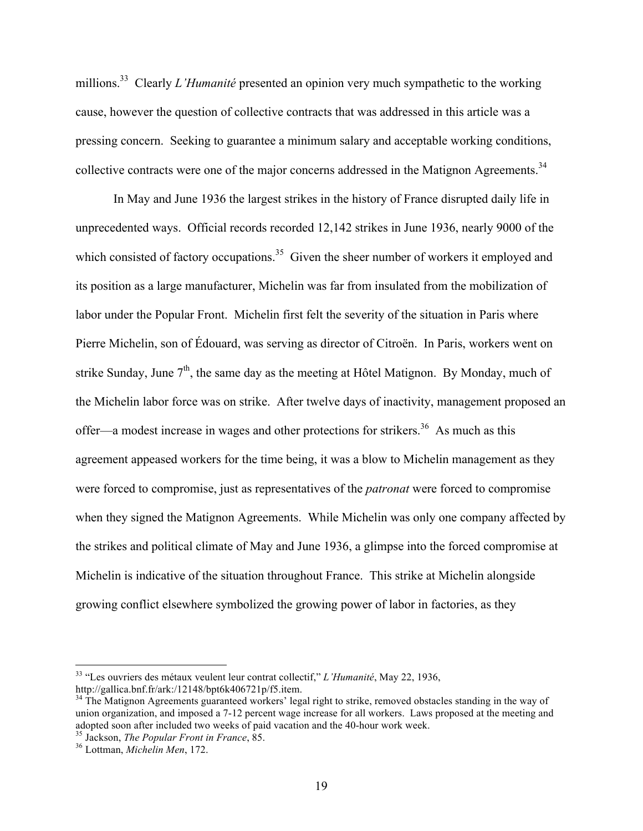millions.<sup>33</sup> Clearly *L'Humanité* presented an opinion very much sympathetic to the working cause, however the question of collective contracts that was addressed in this article was a pressing concern. Seeking to guarantee a minimum salary and acceptable working conditions, collective contracts were one of the major concerns addressed in the Matignon Agreements.<sup>34</sup>

In May and June 1936 the largest strikes in the history of France disrupted daily life in unprecedented ways. Official records recorded 12,142 strikes in June 1936, nearly 9000 of the which consisted of factory occupations.<sup>35</sup> Given the sheer number of workers it employed and its position as a large manufacturer, Michelin was far from insulated from the mobilization of labor under the Popular Front. Michelin first felt the severity of the situation in Paris where Pierre Michelin, son of Édouard, was serving as director of Citroën. In Paris, workers went on strike Sunday, June  $7<sup>th</sup>$ , the same day as the meeting at Hôtel Matignon. By Monday, much of the Michelin labor force was on strike. After twelve days of inactivity, management proposed an offer—a modest increase in wages and other protections for strikers.<sup>36</sup> As much as this agreement appeased workers for the time being, it was a blow to Michelin management as they were forced to compromise, just as representatives of the *patronat* were forced to compromise when they signed the Matignon Agreements. While Michelin was only one company affected by the strikes and political climate of May and June 1936, a glimpse into the forced compromise at Michelin is indicative of the situation throughout France. This strike at Michelin alongside growing conflict elsewhere symbolized the growing power of labor in factories, as they

 <sup>33</sup> "Les ouvriers des métaux veulent leur contrat collectif," *L'Humanité*, May 22, 1936, http://gallica.bnf.fr/ark:/12148/bpt6k406721p/f5.item.

<sup>&</sup>lt;sup>34</sup> The Matignon Agreements guaranteed workers' legal right to strike, removed obstacles standing in the way of union organization, and imposed a 7-12 percent wage increase for all workers. Laws proposed at the meeting and adopted soon after included two weeks of paid vacation and the 40-hour work week. <sup>35</sup> Jackson, *The Popular Front in France*, 85. <sup>36</sup> Lottman, *Michelin Men*, 172.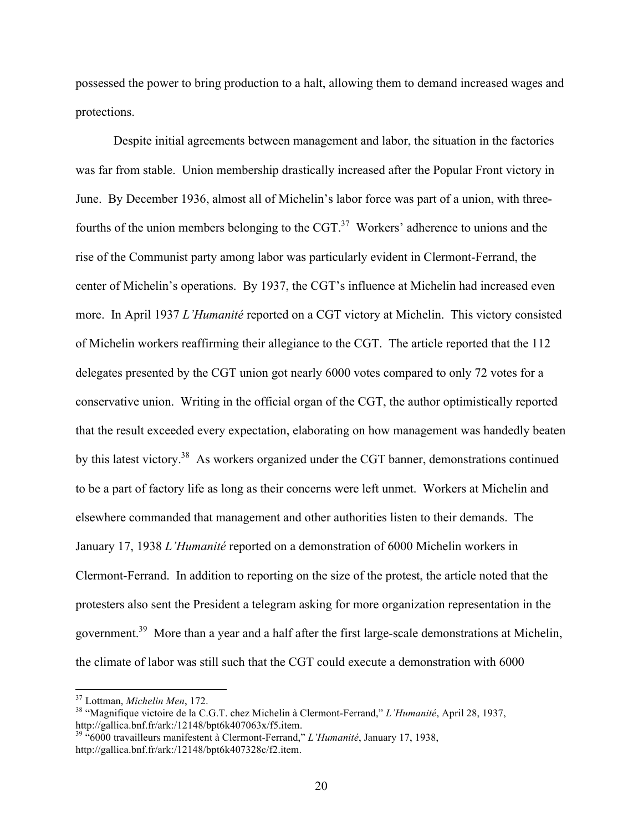possessed the power to bring production to a halt, allowing them to demand increased wages and protections.

Despite initial agreements between management and labor, the situation in the factories was far from stable. Union membership drastically increased after the Popular Front victory in June. By December 1936, almost all of Michelin's labor force was part of a union, with threefourths of the union members belonging to the  $CGT<sup>37</sup>$  Workers' adherence to unions and the rise of the Communist party among labor was particularly evident in Clermont-Ferrand, the center of Michelin's operations. By 1937, the CGT's influence at Michelin had increased even more. In April 1937 *L'Humanité* reported on a CGT victory at Michelin. This victory consisted of Michelin workers reaffirming their allegiance to the CGT. The article reported that the 112 delegates presented by the CGT union got nearly 6000 votes compared to only 72 votes for a conservative union. Writing in the official organ of the CGT, the author optimistically reported that the result exceeded every expectation, elaborating on how management was handedly beaten by this latest victory.<sup>38</sup> As workers organized under the CGT banner, demonstrations continued to be a part of factory life as long as their concerns were left unmet. Workers at Michelin and elsewhere commanded that management and other authorities listen to their demands. The January 17, 1938 *L'Humanité* reported on a demonstration of 6000 Michelin workers in Clermont-Ferrand. In addition to reporting on the size of the protest, the article noted that the protesters also sent the President a telegram asking for more organization representation in the government.39 More than a year and a half after the first large-scale demonstrations at Michelin, the climate of labor was still such that the CGT could execute a demonstration with 6000

<sup>&</sup>lt;sup>37</sup> Lottman, *Michelin Men*, 172.<br><sup>38</sup> "Magnifique victoire de la C.G.T. chez Michelin à Clermont-Ferrand," *L'Humanité*, April 28, 1937, http://gallica.bnf.fr/ark:/12148/bpt6k407063x/f5.item.

http://gallica.bnf.fr/ark:/12148/bpt6k407063x/f5.item. <sup>39</sup> "6000 travailleurs manifestent à Clermont-Ferrand," *L'Humanité*, January 17, 1938, http://gallica.bnf.fr/ark:/12148/bpt6k407328c/f2.item.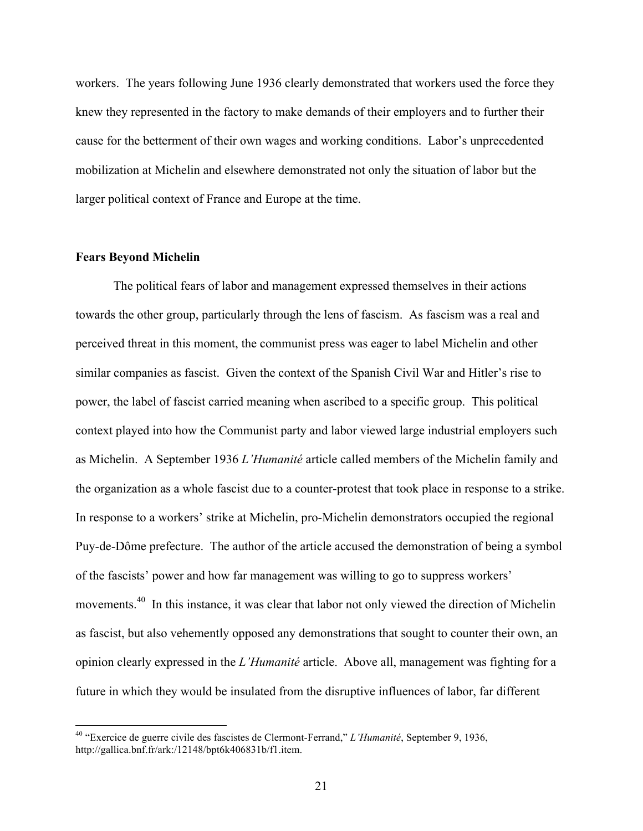workers. The years following June 1936 clearly demonstrated that workers used the force they knew they represented in the factory to make demands of their employers and to further their cause for the betterment of their own wages and working conditions. Labor's unprecedented mobilization at Michelin and elsewhere demonstrated not only the situation of labor but the larger political context of France and Europe at the time.

#### **Fears Beyond Michelin**

The political fears of labor and management expressed themselves in their actions towards the other group, particularly through the lens of fascism. As fascism was a real and perceived threat in this moment, the communist press was eager to label Michelin and other similar companies as fascist. Given the context of the Spanish Civil War and Hitler's rise to power, the label of fascist carried meaning when ascribed to a specific group. This political context played into how the Communist party and labor viewed large industrial employers such as Michelin. A September 1936 *L'Humanité* article called members of the Michelin family and the organization as a whole fascist due to a counter-protest that took place in response to a strike. In response to a workers' strike at Michelin, pro-Michelin demonstrators occupied the regional Puy-de-Dôme prefecture. The author of the article accused the demonstration of being a symbol of the fascists' power and how far management was willing to go to suppress workers' movements.40 In this instance, it was clear that labor not only viewed the direction of Michelin as fascist, but also vehemently opposed any demonstrations that sought to counter their own, an opinion clearly expressed in the *L'Humanité* article. Above all, management was fighting for a future in which they would be insulated from the disruptive influences of labor, far different

 <sup>40</sup> "Exercice de guerre civile des fascistes de Clermont-Ferrand," *L'Humanité*, September 9, 1936, http://gallica.bnf.fr/ark:/12148/bpt6k406831b/f1.item.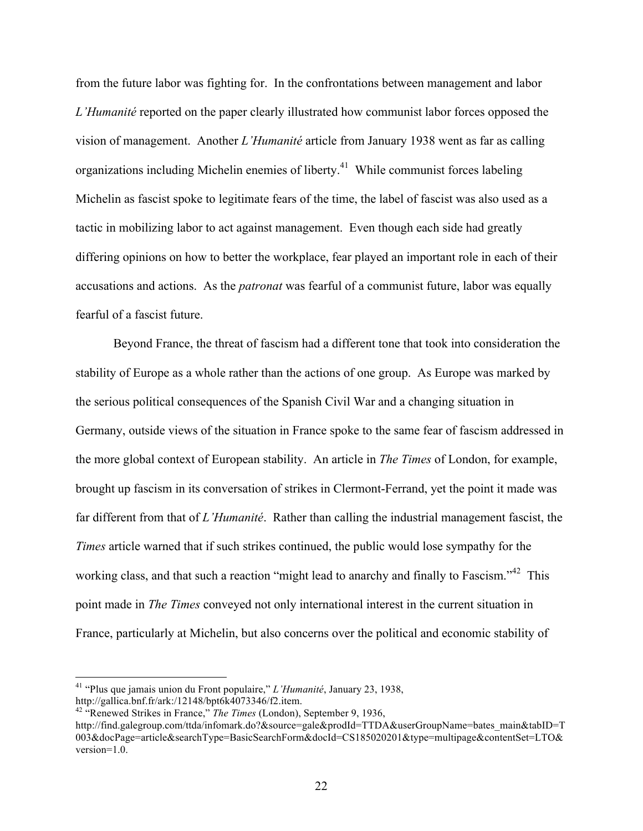from the future labor was fighting for. In the confrontations between management and labor *L'Humanité* reported on the paper clearly illustrated how communist labor forces opposed the vision of management. Another *L'Humanité* article from January 1938 went as far as calling organizations including Michelin enemies of liberty.<sup>41</sup> While communist forces labeling Michelin as fascist spoke to legitimate fears of the time, the label of fascist was also used as a tactic in mobilizing labor to act against management. Even though each side had greatly differing opinions on how to better the workplace, fear played an important role in each of their accusations and actions. As the *patronat* was fearful of a communist future, labor was equally fearful of a fascist future.

Beyond France, the threat of fascism had a different tone that took into consideration the stability of Europe as a whole rather than the actions of one group. As Europe was marked by the serious political consequences of the Spanish Civil War and a changing situation in Germany, outside views of the situation in France spoke to the same fear of fascism addressed in the more global context of European stability. An article in *The Times* of London, for example, brought up fascism in its conversation of strikes in Clermont-Ferrand, yet the point it made was far different from that of *L'Humanité*. Rather than calling the industrial management fascist, the *Times* article warned that if such strikes continued, the public would lose sympathy for the working class, and that such a reaction "might lead to anarchy and finally to Fascism."<sup>42</sup> This point made in *The Times* conveyed not only international interest in the current situation in France, particularly at Michelin, but also concerns over the political and economic stability of

 <sup>41</sup> "Plus que jamais union du Front populaire," *L'Humanité*, January 23, 1938, http://gallica.bnf.fr/ark:/12148/bpt6k4073346/f2.item.

<sup>&</sup>lt;sup>42 "</sup>Renewed Strikes in France," *The Times* (London), September 9, 1936,

http://find.galegroup.com/ttda/infomark.do?&source=gale&prodId=TTDA&userGroupName=bates\_main&tabID=T 003&docPage=article&searchType=BasicSearchForm&docId=CS185020201&type=multipage&contentSet=LTO& version=1.0.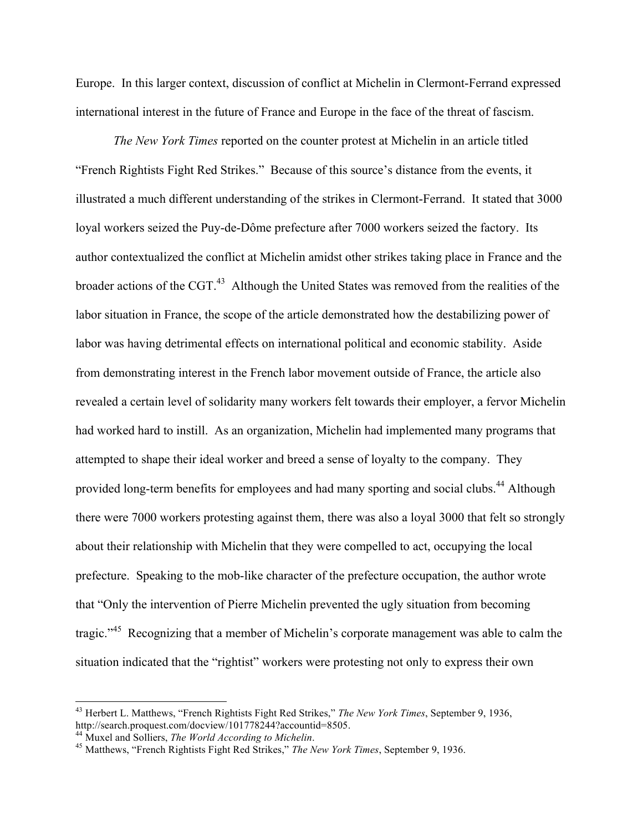Europe. In this larger context, discussion of conflict at Michelin in Clermont-Ferrand expressed international interest in the future of France and Europe in the face of the threat of fascism.

*The New York Times* reported on the counter protest at Michelin in an article titled "French Rightists Fight Red Strikes." Because of this source's distance from the events, it illustrated a much different understanding of the strikes in Clermont-Ferrand. It stated that 3000 loyal workers seized the Puy-de-Dôme prefecture after 7000 workers seized the factory. Its author contextualized the conflict at Michelin amidst other strikes taking place in France and the broader actions of the CGT.<sup>43</sup> Although the United States was removed from the realities of the labor situation in France, the scope of the article demonstrated how the destabilizing power of labor was having detrimental effects on international political and economic stability. Aside from demonstrating interest in the French labor movement outside of France, the article also revealed a certain level of solidarity many workers felt towards their employer, a fervor Michelin had worked hard to instill. As an organization, Michelin had implemented many programs that attempted to shape their ideal worker and breed a sense of loyalty to the company. They provided long-term benefits for employees and had many sporting and social clubs.<sup>44</sup> Although there were 7000 workers protesting against them, there was also a loyal 3000 that felt so strongly about their relationship with Michelin that they were compelled to act, occupying the local prefecture. Speaking to the mob-like character of the prefecture occupation, the author wrote that "Only the intervention of Pierre Michelin prevented the ugly situation from becoming tragic."<sup>45</sup> Recognizing that a member of Michelin's corporate management was able to calm the situation indicated that the "rightist" workers were protesting not only to express their own

<sup>&</sup>lt;sup>43</sup> Herbert L. Matthews, "French Rightists Fight Red Strikes," *The New York Times*, September 9, 1936, http://search.proquest.com/docview/101778244?accountid=8505.

http://search.proquest.com/docview/101778244?accountid=8505. <sup>44</sup> Muxel and Solliers, *The World According to Michelin*. <sup>45</sup> Matthews, "French Rightists Fight Red Strikes," *The New York Times*, September 9, 1936.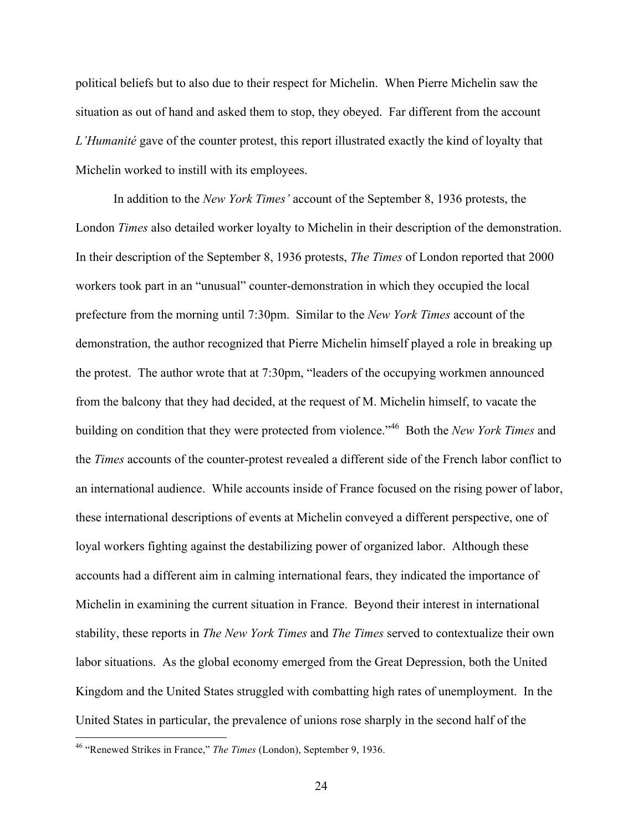political beliefs but to also due to their respect for Michelin. When Pierre Michelin saw the situation as out of hand and asked them to stop, they obeyed. Far different from the account *L'Humanité* gave of the counter protest, this report illustrated exactly the kind of loyalty that Michelin worked to instill with its employees.

In addition to the *New York Times'* account of the September 8, 1936 protests, the London *Times* also detailed worker loyalty to Michelin in their description of the demonstration. In their description of the September 8, 1936 protests, *The Times* of London reported that 2000 workers took part in an "unusual" counter-demonstration in which they occupied the local prefecture from the morning until 7:30pm. Similar to the *New York Times* account of the demonstration, the author recognized that Pierre Michelin himself played a role in breaking up the protest. The author wrote that at 7:30pm, "leaders of the occupying workmen announced from the balcony that they had decided, at the request of M. Michelin himself, to vacate the building on condition that they were protected from violence."46 Both the *New York Times* and the *Times* accounts of the counter-protest revealed a different side of the French labor conflict to an international audience. While accounts inside of France focused on the rising power of labor, these international descriptions of events at Michelin conveyed a different perspective, one of loyal workers fighting against the destabilizing power of organized labor. Although these accounts had a different aim in calming international fears, they indicated the importance of Michelin in examining the current situation in France. Beyond their interest in international stability, these reports in *The New York Times* and *The Times* served to contextualize their own labor situations. As the global economy emerged from the Great Depression, both the United Kingdom and the United States struggled with combatting high rates of unemployment. In the United States in particular, the prevalence of unions rose sharply in the second half of the

 <sup>46</sup> "Renewed Strikes in France," *The Times* (London), September 9, 1936.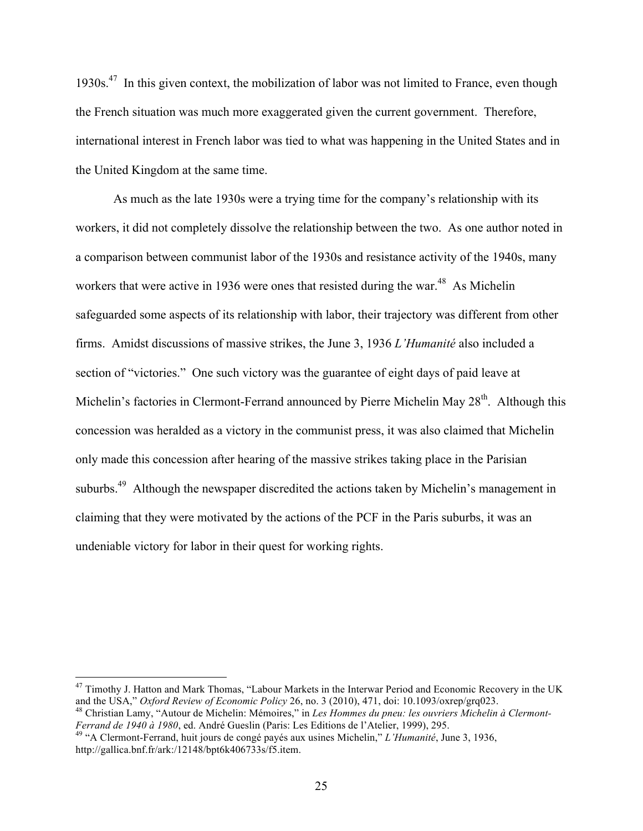$1930s<sup>47</sup>$  In this given context, the mobilization of labor was not limited to France, even though the French situation was much more exaggerated given the current government. Therefore, international interest in French labor was tied to what was happening in the United States and in the United Kingdom at the same time.

As much as the late 1930s were a trying time for the company's relationship with its workers, it did not completely dissolve the relationship between the two. As one author noted in a comparison between communist labor of the 1930s and resistance activity of the 1940s, many workers that were active in 1936 were ones that resisted during the war.<sup>48</sup> As Michelin safeguarded some aspects of its relationship with labor, their trajectory was different from other firms. Amidst discussions of massive strikes, the June 3, 1936 *L'Humanité* also included a section of "victories." One such victory was the guarantee of eight days of paid leave at Michelin's factories in Clermont-Ferrand announced by Pierre Michelin May 28<sup>th</sup>. Although this concession was heralded as a victory in the communist press, it was also claimed that Michelin only made this concession after hearing of the massive strikes taking place in the Parisian suburbs.<sup>49</sup> Although the newspaper discredited the actions taken by Michelin's management in claiming that they were motivated by the actions of the PCF in the Paris suburbs, it was an undeniable victory for labor in their quest for working rights.

<sup>&</sup>lt;sup>47</sup> Timothy J. Hatton and Mark Thomas, "Labour Markets in the Interwar Period and Economic Recovery in the UK and the USA," *Oxford Review of Economic Policy* 26, no. 3 (2010), 471, doi: 10.1093/oxrep/grq023.

<sup>&</sup>lt;sup>48</sup> Christian Lamy, "Autour de Michelin: Mémoires," in *Les Hommes du pneu: les ouvriers Michelin à Clermont-*<br>*Ferrand de 1940 à 1980*, ed. André Gueslin (Paris: Les Editions de l'Atelier, 1999), 295.

*Ferrand de 1940 à 1980*, ed. André Gueslin (Paris: Les Editions de l'Atelier, 1999), 295. <sup>49</sup> "A Clermont-Ferrand, huit jours de congé payés aux usines Michelin," *L'Humanité*, June 3, 1936, http://gallica.bnf.fr/ark:/12148/bpt6k406733s/f5.item.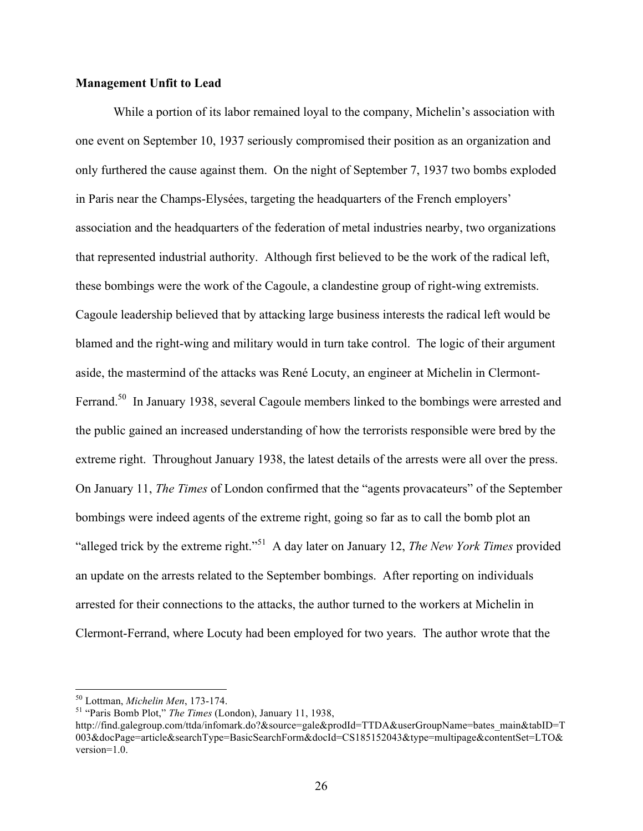## **Management Unfit to Lead**

While a portion of its labor remained loyal to the company, Michelin's association with one event on September 10, 1937 seriously compromised their position as an organization and only furthered the cause against them. On the night of September 7, 1937 two bombs exploded in Paris near the Champs-Elysées, targeting the headquarters of the French employers' association and the headquarters of the federation of metal industries nearby, two organizations that represented industrial authority. Although first believed to be the work of the radical left, these bombings were the work of the Cagoule, a clandestine group of right-wing extremists. Cagoule leadership believed that by attacking large business interests the radical left would be blamed and the right-wing and military would in turn take control. The logic of their argument aside, the mastermind of the attacks was René Locuty, an engineer at Michelin in Clermont-Ferrand.<sup>50</sup> In January 1938, several Cagoule members linked to the bombings were arrested and the public gained an increased understanding of how the terrorists responsible were bred by the extreme right. Throughout January 1938, the latest details of the arrests were all over the press. On January 11, *The Times* of London confirmed that the "agents provacateurs" of the September bombings were indeed agents of the extreme right, going so far as to call the bomb plot an "alleged trick by the extreme right."51 A day later on January 12, *The New York Times* provided an update on the arrests related to the September bombings. After reporting on individuals arrested for their connections to the attacks, the author turned to the workers at Michelin in Clermont-Ferrand, where Locuty had been employed for two years. The author wrote that the

<sup>50</sup> Lottman, *Michelin Men*, 173-174. <sup>51</sup> "Paris Bomb Plot," *The Times* (London), January 11, 1938,

http://find.galegroup.com/ttda/infomark.do?&source=gale&prodId=TTDA&userGroupName=bates\_main&tabID=T 003&docPage=article&searchType=BasicSearchForm&docId=CS185152043&type=multipage&contentSet=LTO& version=1.0.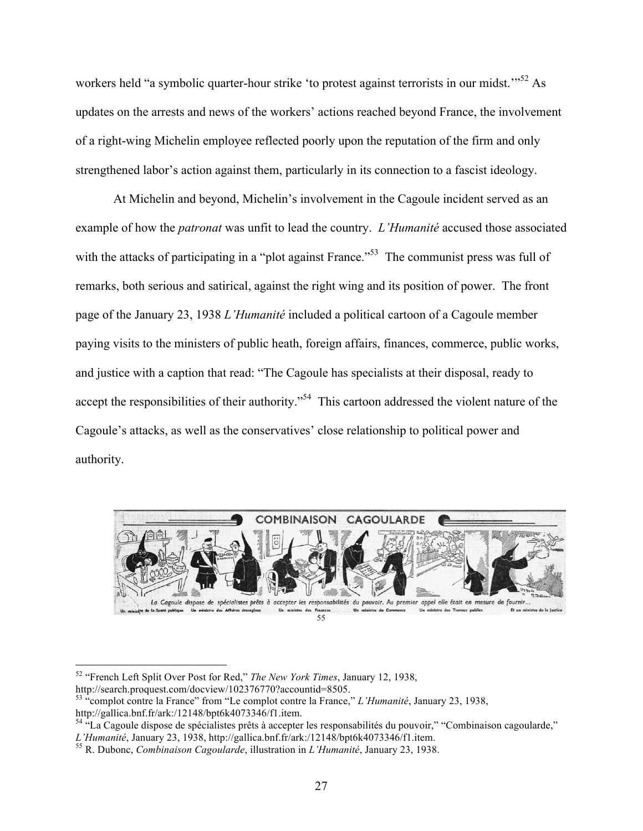workers held "a symbolic quarter-hour strike 'to protest against terrorists in our midst."<sup>52</sup> As updates on the arrests and news of the workers' actions reached beyond France, the involvement of a right-wing Michelin employee reflected poorly upon the reputation of the firm and only strengthened labor's action against them, particularly in its connection to a fascist ideology.

At Michelin and beyond, Michelin's involvement in the Cagoule incident served as an example of how the *patronat* was unfit to lead the country. *L'Humanité* accused those associated with the attacks of participating in a "plot against France."<sup>53</sup> The communist press was full of remarks, both serious and satirical, against the right wing and its position of power. The front page of the January 23, 1938 *L'Humanité* included a political cartoon of a Cagoule member paying visits to the ministers of public heath, foreign affairs, finances, commerce, public works, and justice with a caption that read: "The Cagoule has specialists at their disposal, ready to accept the responsibilities of their authority."<sup>54</sup> This cartoon addressed the violent nature of the Cagoule's attacks, as well as the conservatives' close relationship to political power and authority.



 <sup>52</sup> "French Left Split Over Post for Red," *The New York Times*, January 12, 1938,

http://search.proquest.com/docview/102376770?accountid=8505.

<sup>53</sup> "complot contre la France" from "Le complot contre la France," *L'Humanité*, January 23, 1938, http://gallica.bnf.fr/ark:/12148/bpt6k4073346/f1.item.

<sup>&</sup>lt;sup>54 "La Cagoule dispose de spécialistes prêts à accepter les responsabilités du pouvoir," "Combinaison cagoularde,"<br>L'Humanité, January 23, 1938, http://gallica.bnf.fr/ark:/12148/bpt6k4073346/f1.item.</sup>

<sup>&</sup>lt;sup>55</sup> R. Dubonc, *Combinaison Cagoularde*, illustration in *L'Humanité*, January 23, 1938.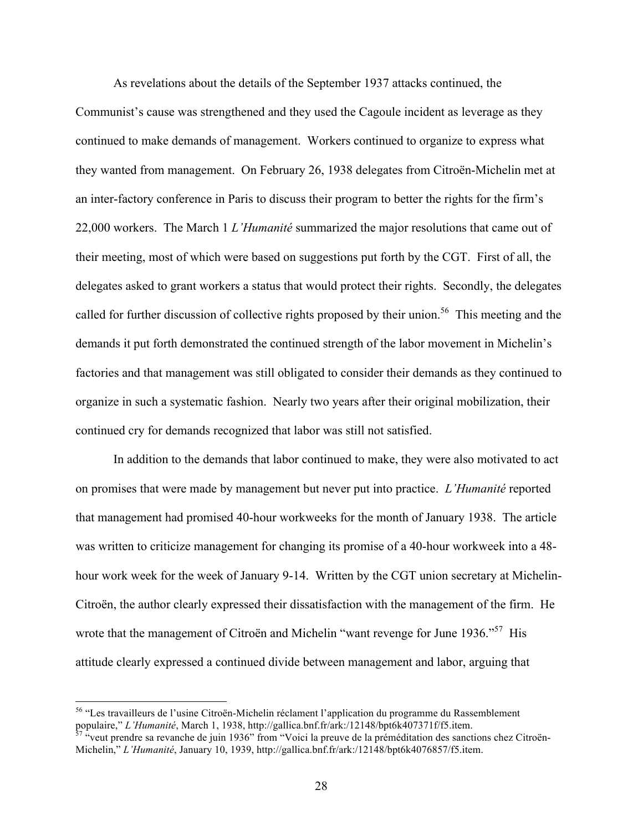As revelations about the details of the September 1937 attacks continued, the Communist's cause was strengthened and they used the Cagoule incident as leverage as they continued to make demands of management. Workers continued to organize to express what they wanted from management. On February 26, 1938 delegates from Citroën-Michelin met at an inter-factory conference in Paris to discuss their program to better the rights for the firm's 22,000 workers. The March 1 *L'Humanité* summarized the major resolutions that came out of their meeting, most of which were based on suggestions put forth by the CGT. First of all, the delegates asked to grant workers a status that would protect their rights. Secondly, the delegates called for further discussion of collective rights proposed by their union.<sup>56</sup> This meeting and the demands it put forth demonstrated the continued strength of the labor movement in Michelin's factories and that management was still obligated to consider their demands as they continued to organize in such a systematic fashion. Nearly two years after their original mobilization, their continued cry for demands recognized that labor was still not satisfied.

In addition to the demands that labor continued to make, they were also motivated to act on promises that were made by management but never put into practice. *L'Humanité* reported that management had promised 40-hour workweeks for the month of January 1938. The article was written to criticize management for changing its promise of a 40-hour workweek into a 48 hour work week for the week of January 9-14. Written by the CGT union secretary at Michelin-Citroën, the author clearly expressed their dissatisfaction with the management of the firm. He wrote that the management of Citroën and Michelin "want revenge for June 1936."<sup>57</sup> His attitude clearly expressed a continued divide between management and labor, arguing that

 <sup>56</sup> "Les travailleurs de l'usine Citroën-Michelin réclament l'application du programme du Rassemblement populaire," *L'Humanité*, March 1, 1938, http://gallica.bnf.fr/ark:/12148/bpt6k407371f/f5.item. 57 "veut prendre sa revanche de juin 1936" from "Voici la preuve de la préméditation des sanctions chez Citroën-

Michelin," *L'Humanité*, January 10, 1939, http://gallica.bnf.fr/ark:/12148/bpt6k4076857/f5.item.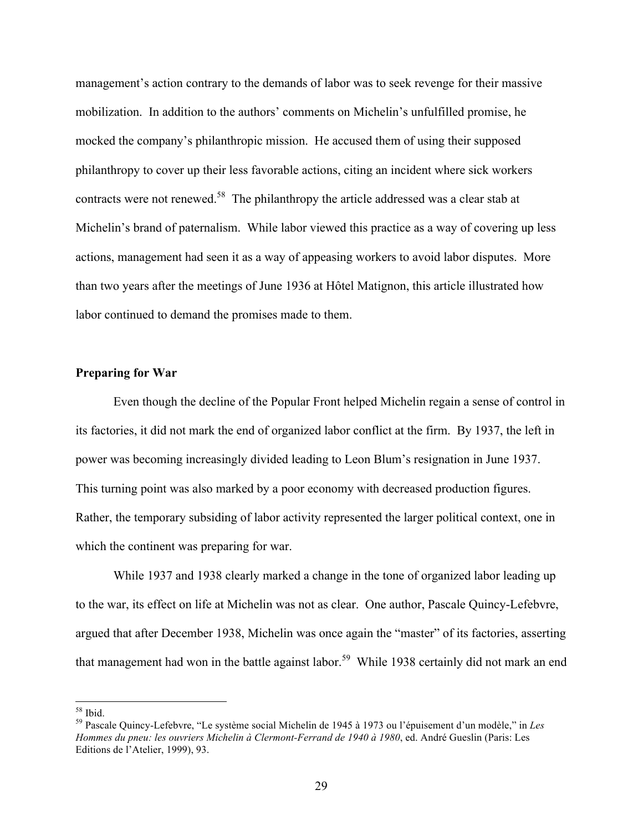management's action contrary to the demands of labor was to seek revenge for their massive mobilization. In addition to the authors' comments on Michelin's unfulfilled promise, he mocked the company's philanthropic mission. He accused them of using their supposed philanthropy to cover up their less favorable actions, citing an incident where sick workers contracts were not renewed.<sup>58</sup> The philanthropy the article addressed was a clear stab at Michelin's brand of paternalism. While labor viewed this practice as a way of covering up less actions, management had seen it as a way of appeasing workers to avoid labor disputes. More than two years after the meetings of June 1936 at Hôtel Matignon, this article illustrated how labor continued to demand the promises made to them.

## **Preparing for War**

Even though the decline of the Popular Front helped Michelin regain a sense of control in its factories, it did not mark the end of organized labor conflict at the firm. By 1937, the left in power was becoming increasingly divided leading to Leon Blum's resignation in June 1937. This turning point was also marked by a poor economy with decreased production figures. Rather, the temporary subsiding of labor activity represented the larger political context, one in which the continent was preparing for war.

While 1937 and 1938 clearly marked a change in the tone of organized labor leading up to the war, its effect on life at Michelin was not as clear. One author, Pascale Quincy-Lefebvre, argued that after December 1938, Michelin was once again the "master" of its factories, asserting that management had won in the battle against labor.<sup>59</sup> While 1938 certainly did not mark an end

<sup>58</sup> Ibid. 59 Pascale Quincy-Lefebvre, "Le système social Michelin de 1945 à 1973 ou l'épuisement d'un modèle," in *Les Hommes du pneu: les ouvriers Michelin à Clermont-Ferrand de 1940 à 1980*, ed. André Gueslin (Paris: Les Editions de l'Atelier, 1999), 93.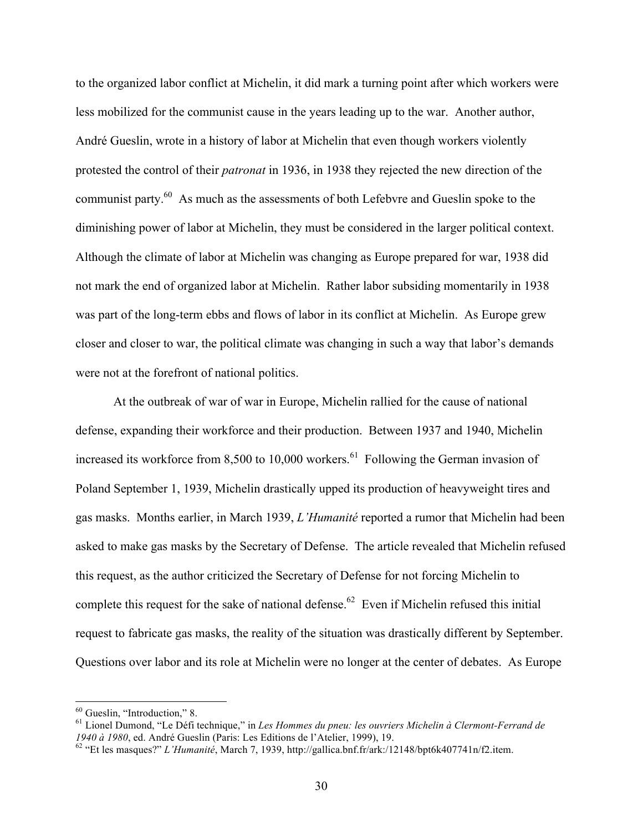to the organized labor conflict at Michelin, it did mark a turning point after which workers were less mobilized for the communist cause in the years leading up to the war. Another author, André Gueslin, wrote in a history of labor at Michelin that even though workers violently protested the control of their *patronat* in 1936, in 1938 they rejected the new direction of the communist party.<sup>60</sup> As much as the assessments of both Lefebvre and Gueslin spoke to the diminishing power of labor at Michelin, they must be considered in the larger political context. Although the climate of labor at Michelin was changing as Europe prepared for war, 1938 did not mark the end of organized labor at Michelin. Rather labor subsiding momentarily in 1938 was part of the long-term ebbs and flows of labor in its conflict at Michelin. As Europe grew closer and closer to war, the political climate was changing in such a way that labor's demands were not at the forefront of national politics.

At the outbreak of war of war in Europe, Michelin rallied for the cause of national defense, expanding their workforce and their production. Between 1937 and 1940, Michelin increased its workforce from 8,500 to 10,000 workers. $61$  Following the German invasion of Poland September 1, 1939, Michelin drastically upped its production of heavyweight tires and gas masks. Months earlier, in March 1939, *L'Humanité* reported a rumor that Michelin had been asked to make gas masks by the Secretary of Defense. The article revealed that Michelin refused this request, as the author criticized the Secretary of Defense for not forcing Michelin to complete this request for the sake of national defense.<sup>62</sup> Even if Michelin refused this initial request to fabricate gas masks, the reality of the situation was drastically different by September. Questions over labor and its role at Michelin were no longer at the center of debates. As Europe

<sup>&</sup>lt;sup>60</sup> Gueslin, "Introduction," 8.<br><sup>61</sup> Lionel Dumond, "Le Défi technique," in *Les Hommes du pneu: les ouvriers Michelin à Clermont-Ferrand de 1940 à 1980*, ed. André Gueslin (Paris: Les Editions de l'Atelier, 1999), 19.

<sup>&</sup>lt;sup>62</sup> "Et les masques?" *L'Humanité*, March 7, 1939, http://gallica.bnf.fr/ark:/12148/bpt6k407741n/f2.item.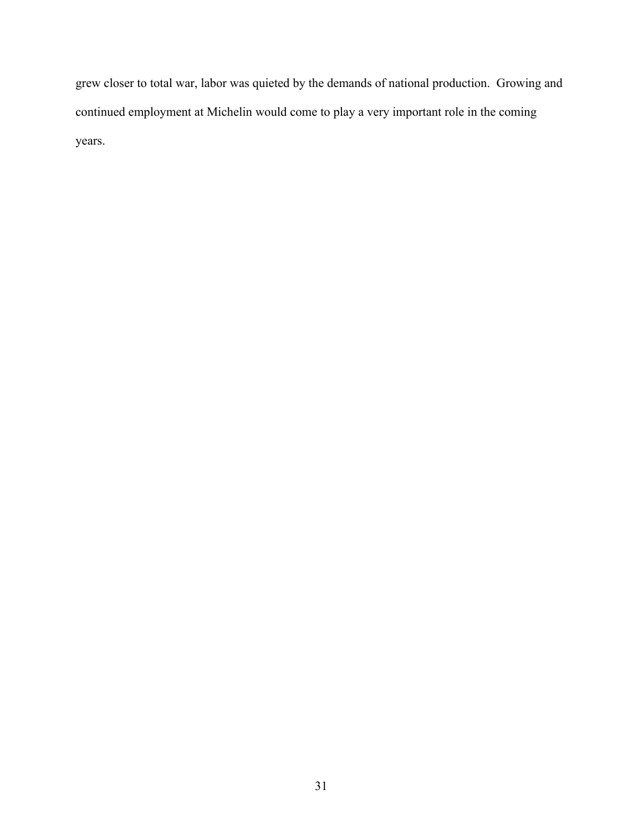grew closer to total war, labor was quieted by the demands of national production. Growing and continued employment at Michelin would come to play a very important role in the coming years.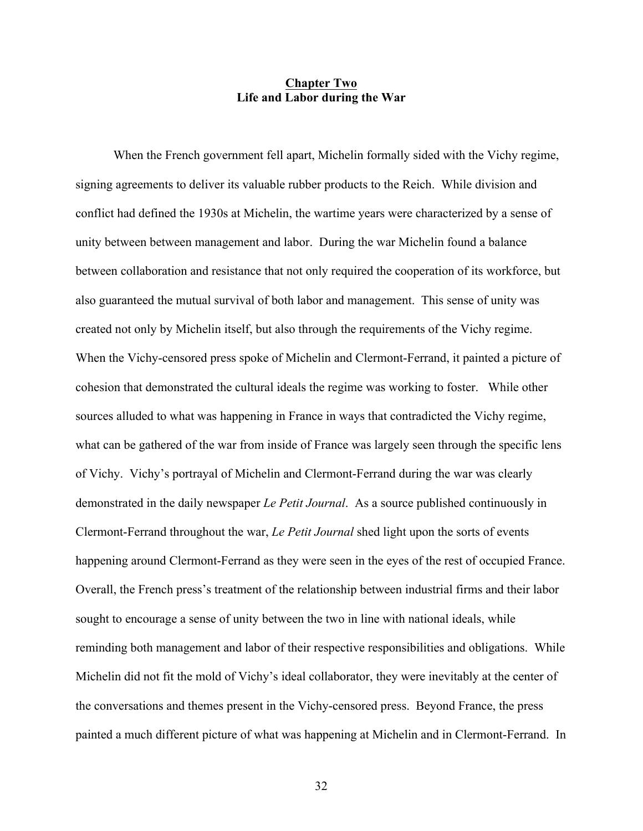#### **Chapter Two Life and Labor during the War**

When the French government fell apart, Michelin formally sided with the Vichy regime, signing agreements to deliver its valuable rubber products to the Reich. While division and conflict had defined the 1930s at Michelin, the wartime years were characterized by a sense of unity between between management and labor. During the war Michelin found a balance between collaboration and resistance that not only required the cooperation of its workforce, but also guaranteed the mutual survival of both labor and management. This sense of unity was created not only by Michelin itself, but also through the requirements of the Vichy regime. When the Vichy-censored press spoke of Michelin and Clermont-Ferrand, it painted a picture of cohesion that demonstrated the cultural ideals the regime was working to foster. While other sources alluded to what was happening in France in ways that contradicted the Vichy regime, what can be gathered of the war from inside of France was largely seen through the specific lens of Vichy. Vichy's portrayal of Michelin and Clermont-Ferrand during the war was clearly demonstrated in the daily newspaper *Le Petit Journal*. As a source published continuously in Clermont-Ferrand throughout the war, *Le Petit Journal* shed light upon the sorts of events happening around Clermont-Ferrand as they were seen in the eyes of the rest of occupied France. Overall, the French press's treatment of the relationship between industrial firms and their labor sought to encourage a sense of unity between the two in line with national ideals, while reminding both management and labor of their respective responsibilities and obligations.While Michelin did not fit the mold of Vichy's ideal collaborator, they were inevitably at the center of the conversations and themes present in the Vichy-censored press. Beyond France, the press painted a much different picture of what was happening at Michelin and in Clermont-Ferrand. In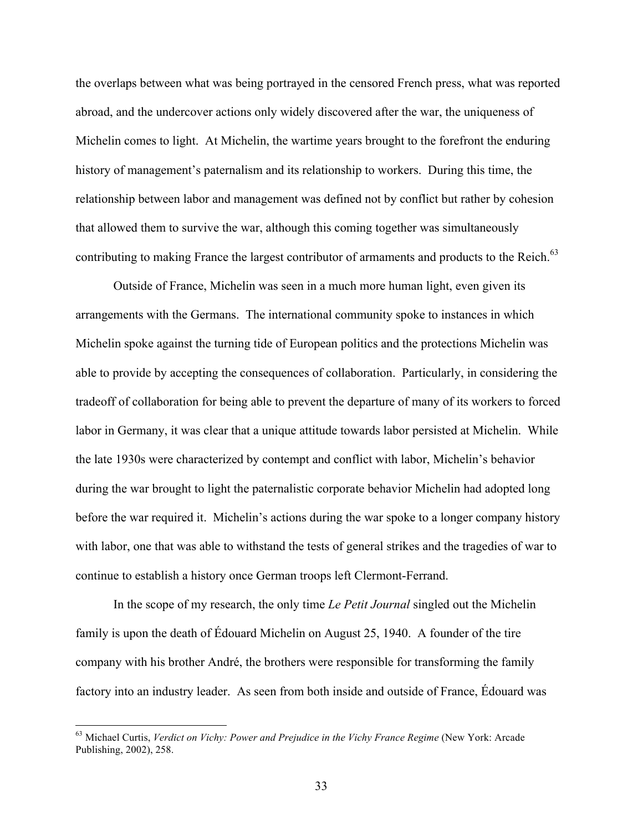the overlaps between what was being portrayed in the censored French press, what was reported abroad, and the undercover actions only widely discovered after the war, the uniqueness of Michelin comes to light. At Michelin, the wartime years brought to the forefront the enduring history of management's paternalism and its relationship to workers. During this time, the relationship between labor and management was defined not by conflict but rather by cohesion that allowed them to survive the war, although this coming together was simultaneously contributing to making France the largest contributor of armaments and products to the Reich.<sup>63</sup>

Outside of France, Michelin was seen in a much more human light, even given its arrangements with the Germans. The international community spoke to instances in which Michelin spoke against the turning tide of European politics and the protections Michelin was able to provide by accepting the consequences of collaboration. Particularly, in considering the tradeoff of collaboration for being able to prevent the departure of many of its workers to forced labor in Germany, it was clear that a unique attitude towards labor persisted at Michelin. While the late 1930s were characterized by contempt and conflict with labor, Michelin's behavior during the war brought to light the paternalistic corporate behavior Michelin had adopted long before the war required it. Michelin's actions during the war spoke to a longer company history with labor, one that was able to withstand the tests of general strikes and the tragedies of war to continue to establish a history once German troops left Clermont-Ferrand.

In the scope of my research, the only time *Le Petit Journal* singled out the Michelin family is upon the death of Édouard Michelin on August 25, 1940. A founder of the tire company with his brother André, the brothers were responsible for transforming the family factory into an industry leader. As seen from both inside and outside of France, Édouard was

 <sup>63</sup> Michael Curtis, *Verdict on Vichy: Power and Prejudice in the Vichy France Regime* (New York: Arcade Publishing, 2002), 258.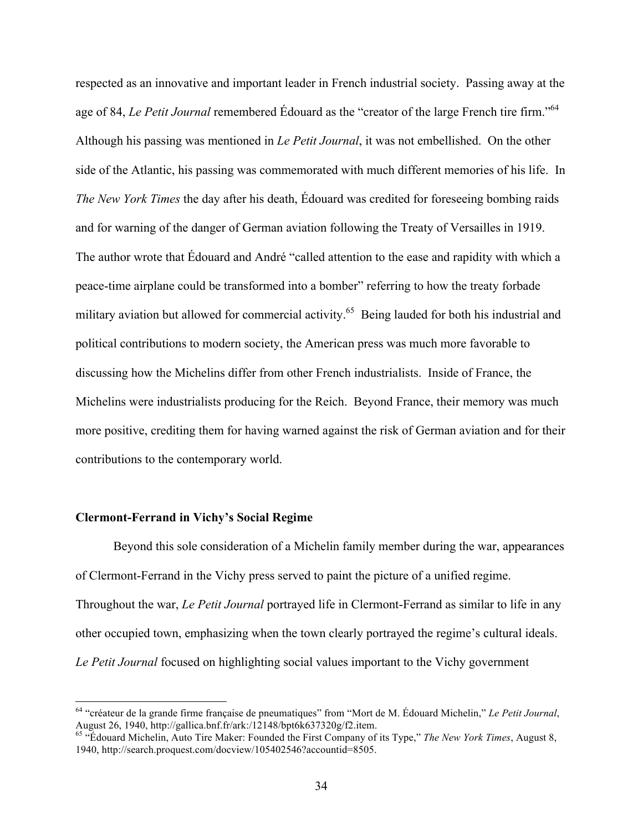respected as an innovative and important leader in French industrial society. Passing away at the age of 84, *Le Petit Journal* remembered Édouard as the "creator of the large French tire firm."<sup>64</sup> Although his passing was mentioned in *Le Petit Journal*, it was not embellished. On the other side of the Atlantic, his passing was commemorated with much different memories of his life. In *The New York Times* the day after his death, Édouard was credited for foreseeing bombing raids and for warning of the danger of German aviation following the Treaty of Versailles in 1919. The author wrote that Édouard and André "called attention to the ease and rapidity with which a peace-time airplane could be transformed into a bomber" referring to how the treaty forbade military aviation but allowed for commercial activity.<sup>65</sup> Being lauded for both his industrial and political contributions to modern society, the American press was much more favorable to discussing how the Michelins differ from other French industrialists. Inside of France, the Michelins were industrialists producing for the Reich. Beyond France, their memory was much more positive, crediting them for having warned against the risk of German aviation and for their contributions to the contemporary world.

## **Clermont-Ferrand in Vichy's Social Regime**

Beyond this sole consideration of a Michelin family member during the war, appearances of Clermont-Ferrand in the Vichy press served to paint the picture of a unified regime. Throughout the war, *Le Petit Journal* portrayed life in Clermont-Ferrand as similar to life in any other occupied town, emphasizing when the town clearly portrayed the regime's cultural ideals. *Le Petit Journal* focused on highlighting social values important to the Vichy government

<sup>&</sup>lt;sup>64</sup> "créateur de la grande firme française de pneumatiques" from "Mort de M. Édouard Michelin," *Le Petit Journal*, August 26, 1940, http://gallica.bnf.fr/ark:/12148/bpt6k637320g/f2.item.

<sup>&</sup>lt;sup>65</sup> "Édouard Michelin, Auto Tire Maker: Founded the First Company of its Type," *The New York Times*, August 8, 1940, http://search.proquest.com/docview/105402546?accountid=8505.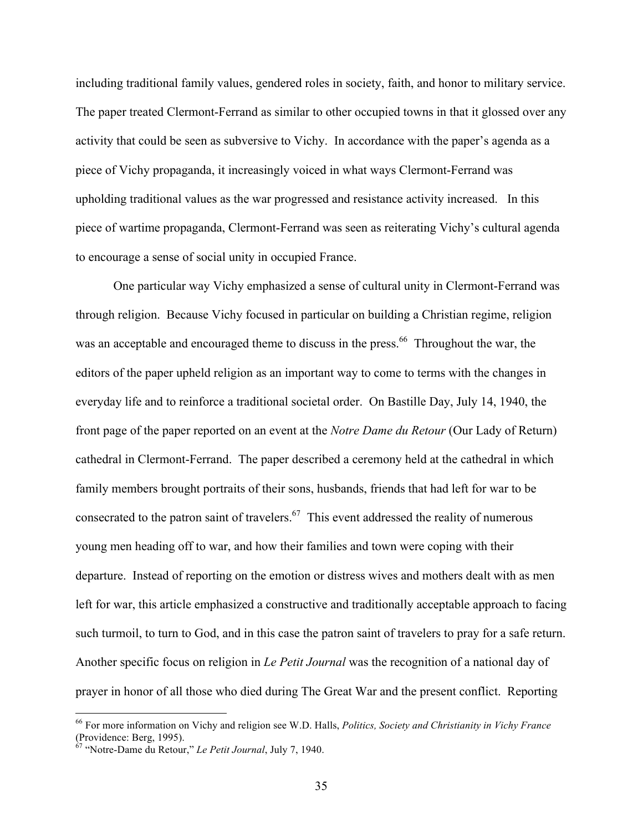including traditional family values, gendered roles in society, faith, and honor to military service. The paper treated Clermont-Ferrand as similar to other occupied towns in that it glossed over any activity that could be seen as subversive to Vichy. In accordance with the paper's agenda as a piece of Vichy propaganda, it increasingly voiced in what ways Clermont-Ferrand was upholding traditional values as the war progressed and resistance activity increased. In this piece of wartime propaganda, Clermont-Ferrand was seen as reiterating Vichy's cultural agenda to encourage a sense of social unity in occupied France.

One particular way Vichy emphasized a sense of cultural unity in Clermont-Ferrand was through religion. Because Vichy focused in particular on building a Christian regime, religion was an acceptable and encouraged theme to discuss in the press.<sup>66</sup> Throughout the war, the editors of the paper upheld religion as an important way to come to terms with the changes in everyday life and to reinforce a traditional societal order. On Bastille Day, July 14, 1940, the front page of the paper reported on an event at the *Notre Dame du Retour* (Our Lady of Return) cathedral in Clermont-Ferrand. The paper described a ceremony held at the cathedral in which family members brought portraits of their sons, husbands, friends that had left for war to be consecrated to the patron saint of travelers.<sup>67</sup> This event addressed the reality of numerous young men heading off to war, and how their families and town were coping with their departure. Instead of reporting on the emotion or distress wives and mothers dealt with as men left for war, this article emphasized a constructive and traditionally acceptable approach to facing such turmoil, to turn to God, and in this case the patron saint of travelers to pray for a safe return. Another specific focus on religion in *Le Petit Journal* was the recognition of a national day of prayer in honor of all those who died during The Great War and the present conflict. Reporting

 <sup>66</sup> For more information on Vichy and religion see W.D. Halls, *Politics, Society and Christianity in Vichy France*  (Providence: Berg, 1995).

<sup>67</sup> "Notre-Dame du Retour," *Le Petit Journal*, July 7, 1940.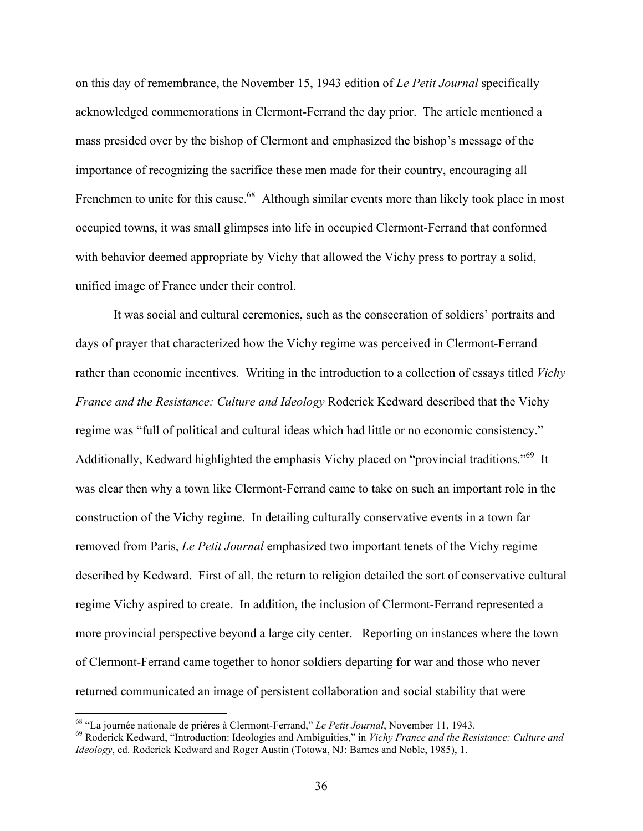on this day of remembrance, the November 15, 1943 edition of *Le Petit Journal* specifically acknowledged commemorations in Clermont-Ferrand the day prior. The article mentioned a mass presided over by the bishop of Clermont and emphasized the bishop's message of the importance of recognizing the sacrifice these men made for their country, encouraging all Frenchmen to unite for this cause.<sup>68</sup> Although similar events more than likely took place in most occupied towns, it was small glimpses into life in occupied Clermont-Ferrand that conformed with behavior deemed appropriate by Vichy that allowed the Vichy press to portray a solid, unified image of France under their control.

It was social and cultural ceremonies, such as the consecration of soldiers' portraits and days of prayer that characterized how the Vichy regime was perceived in Clermont-Ferrand rather than economic incentives. Writing in the introduction to a collection of essays titled *Vichy France and the Resistance: Culture and Ideology* Roderick Kedward described that the Vichy regime was "full of political and cultural ideas which had little or no economic consistency." Additionally, Kedward highlighted the emphasis Vichy placed on "provincial traditions."<sup>69</sup> It was clear then why a town like Clermont-Ferrand came to take on such an important role in the construction of the Vichy regime. In detailing culturally conservative events in a town far removed from Paris, *Le Petit Journal* emphasized two important tenets of the Vichy regime described by Kedward. First of all, the return to religion detailed the sort of conservative cultural regime Vichy aspired to create. In addition, the inclusion of Clermont-Ferrand represented a more provincial perspective beyond a large city center. Reporting on instances where the town of Clermont-Ferrand came together to honor soldiers departing for war and those who never returned communicated an image of persistent collaboration and social stability that were

<sup>&</sup>lt;sup>68</sup> "La journée nationale de prières à Clermont-Ferrand," *Le Petit Journal*, November 11, 1943.<br><sup>69</sup> Roderick Kedward, "Introduction: Ideologies and Ambiguities," in *Vichy France and the Resistance: Culture and Ideology*, ed. Roderick Kedward and Roger Austin (Totowa, NJ: Barnes and Noble, 1985), 1.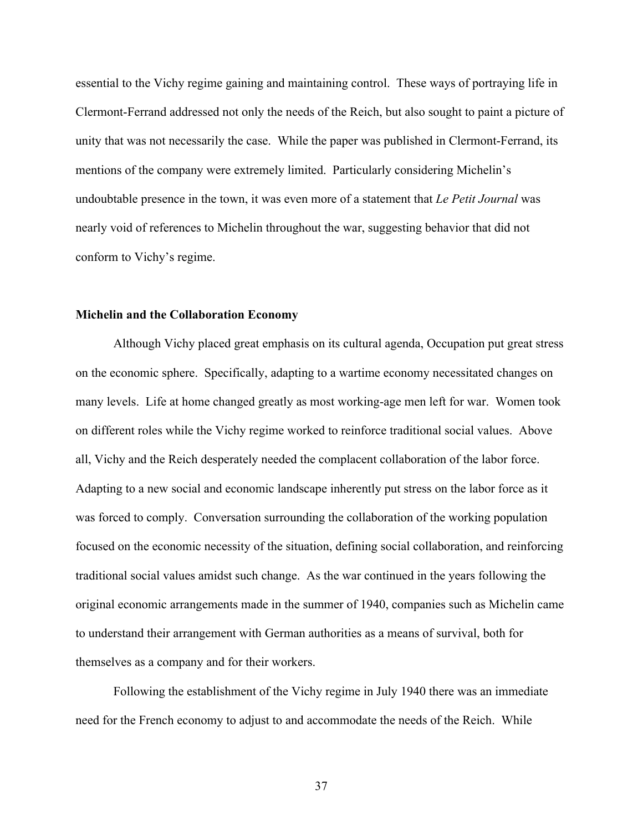essential to the Vichy regime gaining and maintaining control. These ways of portraying life in Clermont-Ferrand addressed not only the needs of the Reich, but also sought to paint a picture of unity that was not necessarily the case. While the paper was published in Clermont-Ferrand, its mentions of the company were extremely limited. Particularly considering Michelin's undoubtable presence in the town, it was even more of a statement that *Le Petit Journal* was nearly void of references to Michelin throughout the war, suggesting behavior that did not conform to Vichy's regime.

### **Michelin and the Collaboration Economy**

Although Vichy placed great emphasis on its cultural agenda, Occupation put great stress on the economic sphere. Specifically, adapting to a wartime economy necessitated changes on many levels. Life at home changed greatly as most working-age men left for war. Women took on different roles while the Vichy regime worked to reinforce traditional social values. Above all, Vichy and the Reich desperately needed the complacent collaboration of the labor force. Adapting to a new social and economic landscape inherently put stress on the labor force as it was forced to comply. Conversation surrounding the collaboration of the working population focused on the economic necessity of the situation, defining social collaboration, and reinforcing traditional social values amidst such change. As the war continued in the years following the original economic arrangements made in the summer of 1940, companies such as Michelin came to understand their arrangement with German authorities as a means of survival, both for themselves as a company and for their workers.

Following the establishment of the Vichy regime in July 1940 there was an immediate need for the French economy to adjust to and accommodate the needs of the Reich. While

37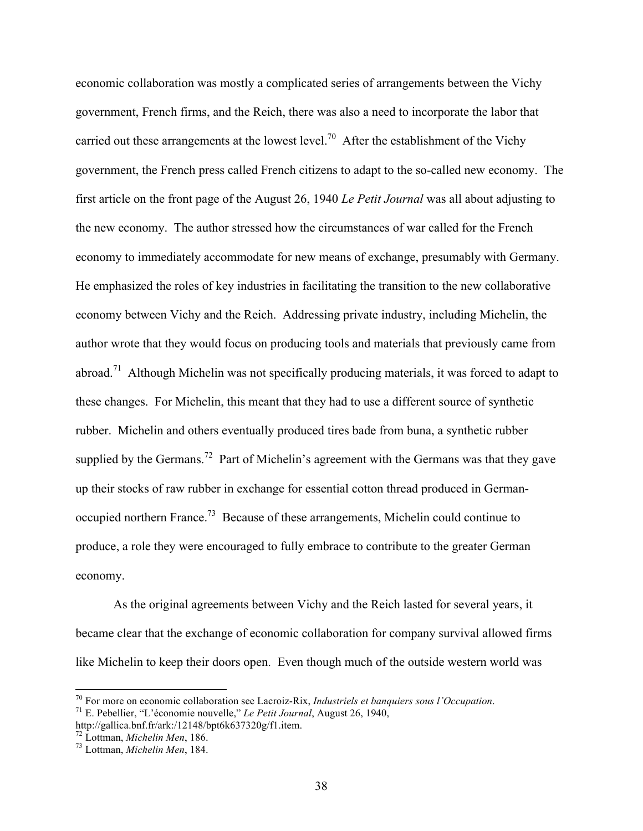economic collaboration was mostly a complicated series of arrangements between the Vichy government, French firms, and the Reich, there was also a need to incorporate the labor that carried out these arrangements at the lowest level.<sup>70</sup> After the establishment of the Vichy government, the French press called French citizens to adapt to the so-called new economy. The first article on the front page of the August 26, 1940 *Le Petit Journal* was all about adjusting to the new economy. The author stressed how the circumstances of war called for the French economy to immediately accommodate for new means of exchange, presumably with Germany. He emphasized the roles of key industries in facilitating the transition to the new collaborative economy between Vichy and the Reich. Addressing private industry, including Michelin, the author wrote that they would focus on producing tools and materials that previously came from abroad.<sup>71</sup> Although Michelin was not specifically producing materials, it was forced to adapt to these changes. For Michelin, this meant that they had to use a different source of synthetic rubber. Michelin and others eventually produced tires bade from buna, a synthetic rubber supplied by the Germans.<sup>72</sup> Part of Michelin's agreement with the Germans was that they gave up their stocks of raw rubber in exchange for essential cotton thread produced in Germanoccupied northern France.<sup>73</sup> Because of these arrangements, Michelin could continue to produce, a role they were encouraged to fully embrace to contribute to the greater German economy.

As the original agreements between Vichy and the Reich lasted for several years, it became clear that the exchange of economic collaboration for company survival allowed firms like Michelin to keep their doors open. Even though much of the outside western world was

<sup>70</sup> For more on economic collaboration see Lacroiz-Rix, *Industriels et banquiers sous l'Occupation*. <sup>71</sup> E. Pebellier, "L'économie nouvelle," *Le Petit Journal*, August 26, 1940,

http://gallica.bnf.fr/ark:/12148/bpt6k637320g/f1.item.

<sup>72</sup> Lottman, *Michelin Men*, 186. <sup>73</sup> Lottman, *Michelin Men*, 184.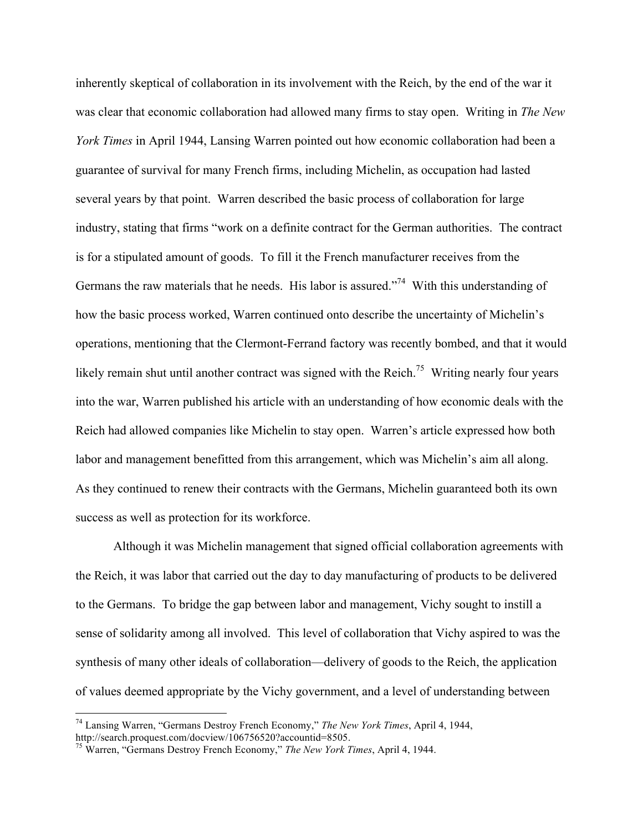inherently skeptical of collaboration in its involvement with the Reich, by the end of the war it was clear that economic collaboration had allowed many firms to stay open. Writing in *The New York Times* in April 1944, Lansing Warren pointed out how economic collaboration had been a guarantee of survival for many French firms, including Michelin, as occupation had lasted several years by that point. Warren described the basic process of collaboration for large industry, stating that firms "work on a definite contract for the German authorities. The contract is for a stipulated amount of goods. To fill it the French manufacturer receives from the Germans the raw materials that he needs. His labor is assured.<sup> $274$ </sup> With this understanding of how the basic process worked, Warren continued onto describe the uncertainty of Michelin's operations, mentioning that the Clermont-Ferrand factory was recently bombed, and that it would likely remain shut until another contract was signed with the Reich.<sup>75</sup> Writing nearly four years into the war, Warren published his article with an understanding of how economic deals with the Reich had allowed companies like Michelin to stay open. Warren's article expressed how both labor and management benefitted from this arrangement, which was Michelin's aim all along. As they continued to renew their contracts with the Germans, Michelin guaranteed both its own success as well as protection for its workforce.

Although it was Michelin management that signed official collaboration agreements with the Reich, it was labor that carried out the day to day manufacturing of products to be delivered to the Germans. To bridge the gap between labor and management, Vichy sought to instill a sense of solidarity among all involved. This level of collaboration that Vichy aspired to was the synthesis of many other ideals of collaboration—delivery of goods to the Reich, the application of values deemed appropriate by the Vichy government, and a level of understanding between

 <sup>74</sup> Lansing Warren, "Germans Destroy French Economy," *The New York Times*, April 4, 1944,

<sup>&</sup>lt;sup>75</sup> Warren. "Germans Destroy French Economy," *The New York Times*, April 4, 1944.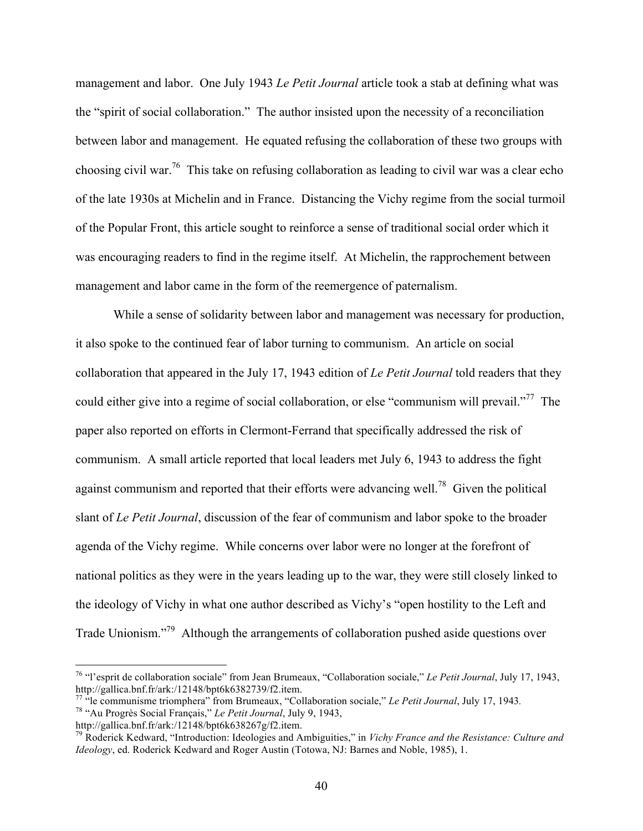management and labor. One July 1943 *Le Petit Journal* article took a stab at defining what was the "spirit of social collaboration." The author insisted upon the necessity of a reconciliation between labor and management. He equated refusing the collaboration of these two groups with choosing civil war.<sup>76</sup> This take on refusing collaboration as leading to civil war was a clear echo of the late 1930s at Michelin and in France. Distancing the Vichy regime from the social turmoil of the Popular Front, this article sought to reinforce a sense of traditional social order which it was encouraging readers to find in the regime itself. At Michelin, the rapprochement between management and labor came in the form of the reemergence of paternalism.

While a sense of solidarity between labor and management was necessary for production, it also spoke to the continued fear of labor turning to communism. An article on social collaboration that appeared in the July 17, 1943 edition of *Le Petit Journal* told readers that they could either give into a regime of social collaboration, or else "communism will prevail."<sup>77</sup> The paper also reported on efforts in Clermont-Ferrand that specifically addressed the risk of communism. A small article reported that local leaders met July 6, 1943 to address the fight against communism and reported that their efforts were advancing well.<sup>78</sup> Given the political slant of *Le Petit Journal*, discussion of the fear of communism and labor spoke to the broader agenda of the Vichy regime. While concerns over labor were no longer at the forefront of national politics as they were in the years leading up to the war, they were still closely linked to the ideology of Vichy in what one author described as Vichy's "open hostility to the Left and Trade Unionism."<sup>79</sup> Although the arrangements of collaboration pushed aside questions over

http://gallica.bnf.fr/ark:/12148/bpt6k638267g/f2.item.

 <sup>76</sup> "l'esprit de collaboration sociale" from Jean Brumeaux, "Collaboration sociale," *Le Petit Journal*, July 17, 1943, http://gallica.bnf.fr/ark:/12148/bpt6k6382739/f2.item.

<sup>77</sup> "le communisme triomphera" from Brumeaux, "Collaboration sociale," *Le Petit Journal*, July 17, 1943*.*<sup>78</sup> "Au Progrès Social Français," *Le Petit Journal*, July 9, 1943,

<sup>79</sup> Roderick Kedward, "Introduction: Ideologies and Ambiguities," in *Vichy France and the Resistance: Culture and Ideology*, ed. Roderick Kedward and Roger Austin (Totowa, NJ: Barnes and Noble, 1985), 1.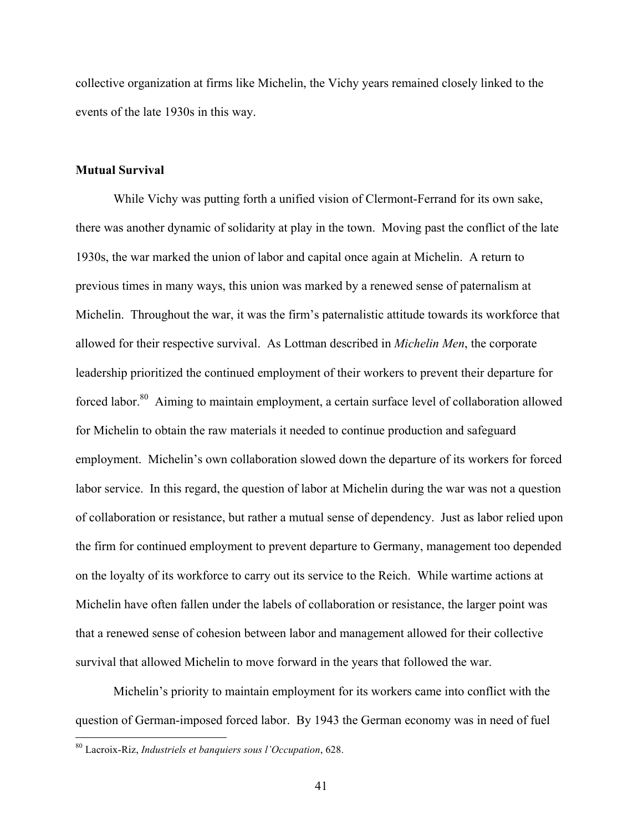collective organization at firms like Michelin, the Vichy years remained closely linked to the events of the late 1930s in this way.

### **Mutual Survival**

While Vichy was putting forth a unified vision of Clermont-Ferrand for its own sake, there was another dynamic of solidarity at play in the town. Moving past the conflict of the late 1930s, the war marked the union of labor and capital once again at Michelin. A return to previous times in many ways, this union was marked by a renewed sense of paternalism at Michelin. Throughout the war, it was the firm's paternalistic attitude towards its workforce that allowed for their respective survival. As Lottman described in *Michelin Men*, the corporate leadership prioritized the continued employment of their workers to prevent their departure for forced labor.<sup>80</sup> Aiming to maintain employment, a certain surface level of collaboration allowed for Michelin to obtain the raw materials it needed to continue production and safeguard employment. Michelin's own collaboration slowed down the departure of its workers for forced labor service. In this regard, the question of labor at Michelin during the war was not a question of collaboration or resistance, but rather a mutual sense of dependency. Just as labor relied upon the firm for continued employment to prevent departure to Germany, management too depended on the loyalty of its workforce to carry out its service to the Reich. While wartime actions at Michelin have often fallen under the labels of collaboration or resistance, the larger point was that a renewed sense of cohesion between labor and management allowed for their collective survival that allowed Michelin to move forward in the years that followed the war.

Michelin's priority to maintain employment for its workers came into conflict with the question of German-imposed forced labor. By 1943 the German economy was in need of fuel

 <sup>80</sup> Lacroix-Riz, *Industriels et banquiers sous l'Occupation*, 628.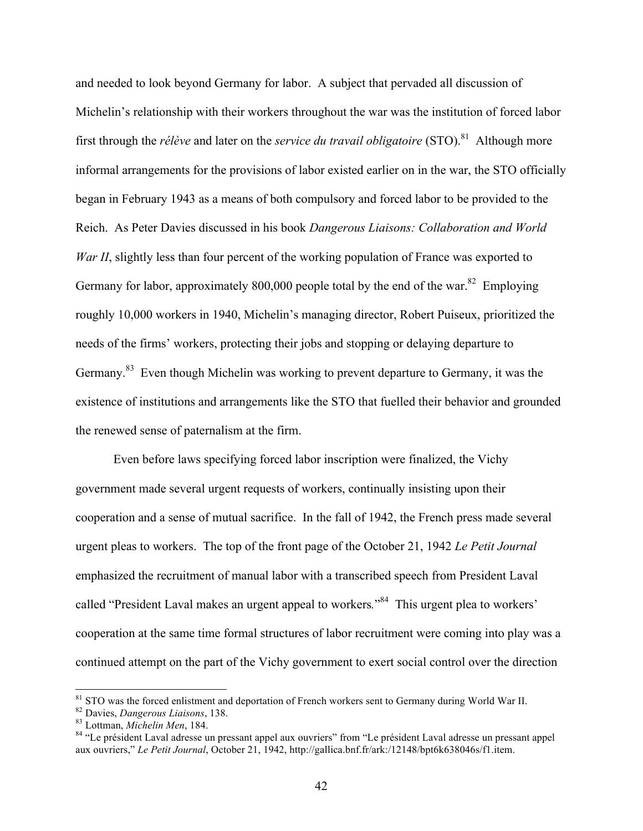and needed to look beyond Germany for labor. A subject that pervaded all discussion of Michelin's relationship with their workers throughout the war was the institution of forced labor first through the *rélève* and later on the *service du travail obligatoire* (STO). 81 Although more informal arrangements for the provisions of labor existed earlier on in the war, the STO officially began in February 1943 as a means of both compulsory and forced labor to be provided to the Reich. As Peter Davies discussed in his book *Dangerous Liaisons: Collaboration and World War II*, slightly less than four percent of the working population of France was exported to Germany for labor, approximately 800,000 people total by the end of the war.<sup>82</sup> Employing roughly 10,000 workers in 1940, Michelin's managing director, Robert Puiseux, prioritized the needs of the firms' workers, protecting their jobs and stopping or delaying departure to Germany.<sup>83</sup> Even though Michelin was working to prevent departure to Germany, it was the existence of institutions and arrangements like the STO that fuelled their behavior and grounded the renewed sense of paternalism at the firm.

Even before laws specifying forced labor inscription were finalized, the Vichy government made several urgent requests of workers, continually insisting upon their cooperation and a sense of mutual sacrifice. In the fall of 1942, the French press made several urgent pleas to workers. The top of the front page of the October 21, 1942 *Le Petit Journal* emphasized the recruitment of manual labor with a transcribed speech from President Laval called "President Laval makes an urgent appeal to workers*.*" 84 This urgent plea to workers' cooperation at the same time formal structures of labor recruitment were coming into play was a continued attempt on the part of the Vichy government to exert social control over the direction

<sup>&</sup>lt;sup>81</sup> STO was the forced enlistment and deportation of French workers sent to Germany during World War II.<br><sup>82</sup> Davies, *Dangerous Liaisons*, 138.<br><sup>83</sup> Lottman, *Michelin Men*, 184.<br><sup>84</sup> "Le président Laval adresse un pres

aux ouvriers," *Le Petit Journal*, October 21, 1942, http://gallica.bnf.fr/ark:/12148/bpt6k638046s/f1.item.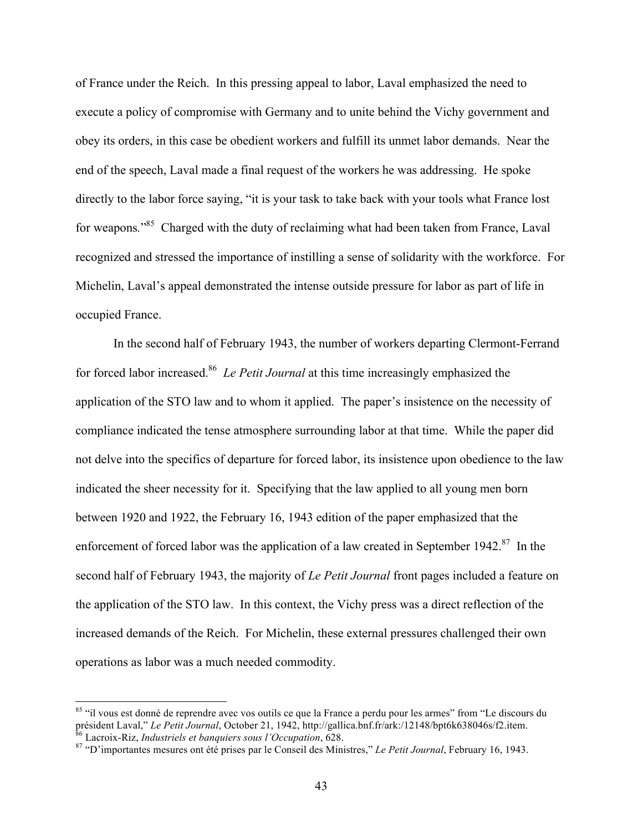of France under the Reich. In this pressing appeal to labor, Laval emphasized the need to execute a policy of compromise with Germany and to unite behind the Vichy government and obey its orders, in this case be obedient workers and fulfill its unmet labor demands. Near the end of the speech, Laval made a final request of the workers he was addressing. He spoke directly to the labor force saying, "it is your task to take back with your tools what France lost for weapons*.*" 85 Charged with the duty of reclaiming what had been taken from France, Laval recognized and stressed the importance of instilling a sense of solidarity with the workforce. For Michelin, Laval's appeal demonstrated the intense outside pressure for labor as part of life in occupied France.

In the second half of February 1943, the number of workers departing Clermont-Ferrand for forced labor increased.<sup>86</sup> *Le Petit Journal* at this time increasingly emphasized the application of the STO law and to whom it applied. The paper's insistence on the necessity of compliance indicated the tense atmosphere surrounding labor at that time. While the paper did not delve into the specifics of departure for forced labor, its insistence upon obedience to the law indicated the sheer necessity for it. Specifying that the law applied to all young men born between 1920 and 1922, the February 16, 1943 edition of the paper emphasized that the enforcement of forced labor was the application of a law created in September 1942.<sup>87</sup> In the second half of February 1943, the majority of *Le Petit Journal* front pages included a feature on the application of the STO law. In this context, the Vichy press was a direct reflection of the increased demands of the Reich. For Michelin, these external pressures challenged their own operations as labor was a much needed commodity.

<sup>&</sup>lt;sup>85</sup> "il vous est donné de reprendre avec vos outils ce que la France a perdu pour les armes" from "Le discours du président Laval," Le Petit Journal, October 21, 1942, http://gallica.bnf.fr/ark./12148/bpt6k638046s/f2.item.<br><sup>86</sup> Lacroix-Riz, *Industriels et banquiers sous l'Occupation*, 628.<br><sup>87</sup> "D'importantes mesures ont été prises p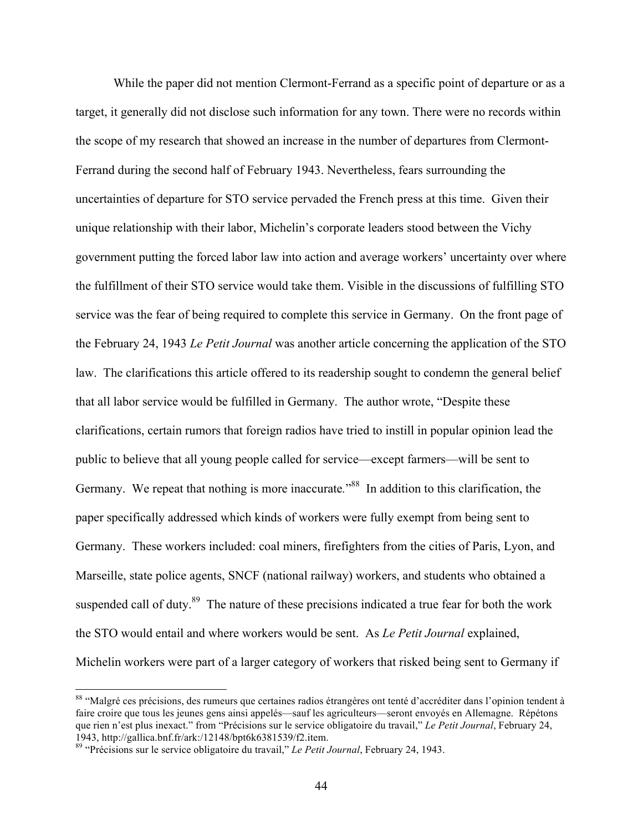While the paper did not mention Clermont-Ferrand as a specific point of departure or as a target, it generally did not disclose such information for any town. There were no records within the scope of my research that showed an increase in the number of departures from Clermont-Ferrand during the second half of February 1943. Nevertheless, fears surrounding the uncertainties of departure for STO service pervaded the French press at this time. Given their unique relationship with their labor, Michelin's corporate leaders stood between the Vichy government putting the forced labor law into action and average workers' uncertainty over where the fulfillment of their STO service would take them. Visible in the discussions of fulfilling STO service was the fear of being required to complete this service in Germany. On the front page of the February 24, 1943 *Le Petit Journal* was another article concerning the application of the STO law. The clarifications this article offered to its readership sought to condemn the general belief that all labor service would be fulfilled in Germany. The author wrote, "Despite these clarifications, certain rumors that foreign radios have tried to instill in popular opinion lead the public to believe that all young people called for service—except farmers—will be sent to Germany. We repeat that nothing is more inaccurate*.*" <sup>88</sup>In addition to this clarification, the paper specifically addressed which kinds of workers were fully exempt from being sent to Germany. These workers included: coal miners, firefighters from the cities of Paris, Lyon, and Marseille, state police agents, SNCF (national railway) workers, and students who obtained a suspended call of duty.<sup>89</sup> The nature of these precisions indicated a true fear for both the work the STO would entail and where workers would be sent. As *Le Petit Journal* explained, Michelin workers were part of a larger category of workers that risked being sent to Germany if

<sup>88 &</sup>quot;Malgré ces précisions, des rumeurs que certaines radios étrangères ont tenté d'accréditer dans l'opinion tendent à faire croire que tous les jeunes gens ainsi appelés—sauf les agriculteurs—seront envoyés en Allemagne. Répétons que rien n'est plus inexact." from "Précisions sur le service obligatoire du travail," *Le Petit Journal*, February 24, 1943, http://gallica.bnf.fr/ark:/12148/bpt6k6381539/f2.item. <sup>89</sup> "Précisions sur le service obligatoire du travail," *Le Petit Journal*, February 24, 1943.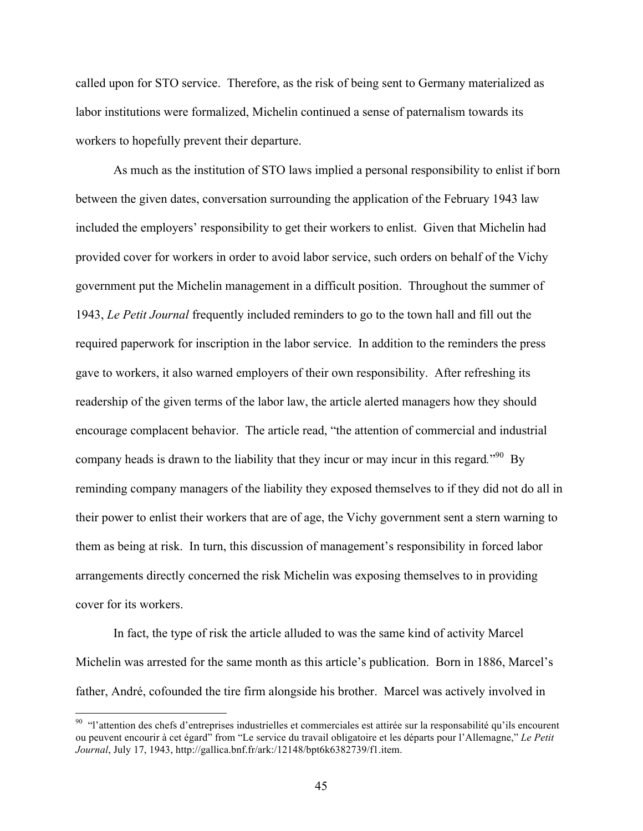called upon for STO service. Therefore, as the risk of being sent to Germany materialized as labor institutions were formalized, Michelin continued a sense of paternalism towards its workers to hopefully prevent their departure.

As much as the institution of STO laws implied a personal responsibility to enlist if born between the given dates, conversation surrounding the application of the February 1943 law included the employers' responsibility to get their workers to enlist. Given that Michelin had provided cover for workers in order to avoid labor service, such orders on behalf of the Vichy government put the Michelin management in a difficult position. Throughout the summer of 1943, *Le Petit Journal* frequently included reminders to go to the town hall and fill out the required paperwork for inscription in the labor service. In addition to the reminders the press gave to workers, it also warned employers of their own responsibility. After refreshing its readership of the given terms of the labor law, the article alerted managers how they should encourage complacent behavior. The article read, "the attention of commercial and industrial company heads is drawn to the liability that they incur or may incur in this regard.<sup>"90</sup> By reminding company managers of the liability they exposed themselves to if they did not do all in their power to enlist their workers that are of age, the Vichy government sent a stern warning to them as being at risk. In turn, this discussion of management's responsibility in forced labor arrangements directly concerned the risk Michelin was exposing themselves to in providing cover for its workers.

In fact, the type of risk the article alluded to was the same kind of activity Marcel Michelin was arrested for the same month as this article's publication. Born in 1886, Marcel's father, André, cofounded the tire firm alongside his brother. Marcel was actively involved in

<sup>&</sup>lt;sup>90</sup> "l'attention des chefs d'entreprises industrielles et commerciales est attirée sur la responsabilité qu'ils encourent ou peuvent encourir à cet égard" from "Le service du travail obligatoire et les départs pour l'Allemagne," *Le Petit Journal*, July 17, 1943, http://gallica.bnf.fr/ark:/12148/bpt6k6382739/f1.item.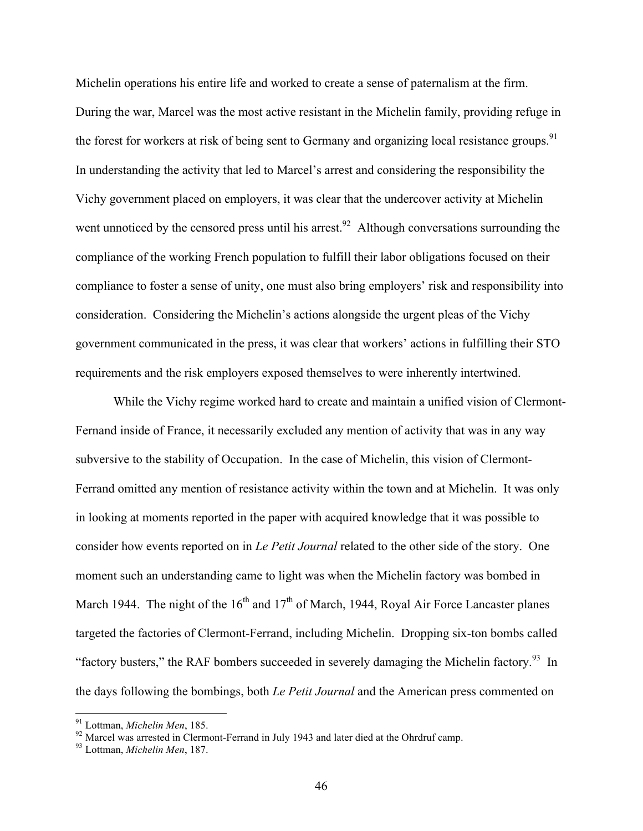Michelin operations his entire life and worked to create a sense of paternalism at the firm. During the war, Marcel was the most active resistant in the Michelin family, providing refuge in the forest for workers at risk of being sent to Germany and organizing local resistance groups.<sup>91</sup> In understanding the activity that led to Marcel's arrest and considering the responsibility the Vichy government placed on employers, it was clear that the undercover activity at Michelin went unnoticed by the censored press until his arrest.<sup>92</sup> Although conversations surrounding the compliance of the working French population to fulfill their labor obligations focused on their compliance to foster a sense of unity, one must also bring employers' risk and responsibility into consideration. Considering the Michelin's actions alongside the urgent pleas of the Vichy government communicated in the press, it was clear that workers' actions in fulfilling their STO requirements and the risk employers exposed themselves to were inherently intertwined.

While the Vichy regime worked hard to create and maintain a unified vision of Clermont-Fernand inside of France, it necessarily excluded any mention of activity that was in any way subversive to the stability of Occupation. In the case of Michelin, this vision of Clermont-Ferrand omitted any mention of resistance activity within the town and at Michelin. It was only in looking at moments reported in the paper with acquired knowledge that it was possible to consider how events reported on in *Le Petit Journal* related to the other side of the story. One moment such an understanding came to light was when the Michelin factory was bombed in March 1944. The night of the  $16<sup>th</sup>$  and  $17<sup>th</sup>$  of March, 1944, Royal Air Force Lancaster planes targeted the factories of Clermont-Ferrand, including Michelin. Dropping six-ton bombs called "factory busters," the RAF bombers succeeded in severely damaging the Michelin factory.<sup>93</sup> In the days following the bombings, both *Le Petit Journal* and the American press commented on

<sup>91</sup> Lottman, *Michelin Men*, 185. <sup>92</sup> Marcel was arrested in Clermont-Ferrand in July 1943 and later died at the Ohrdruf camp. 93 Lottman, *Michelin Men*, 187.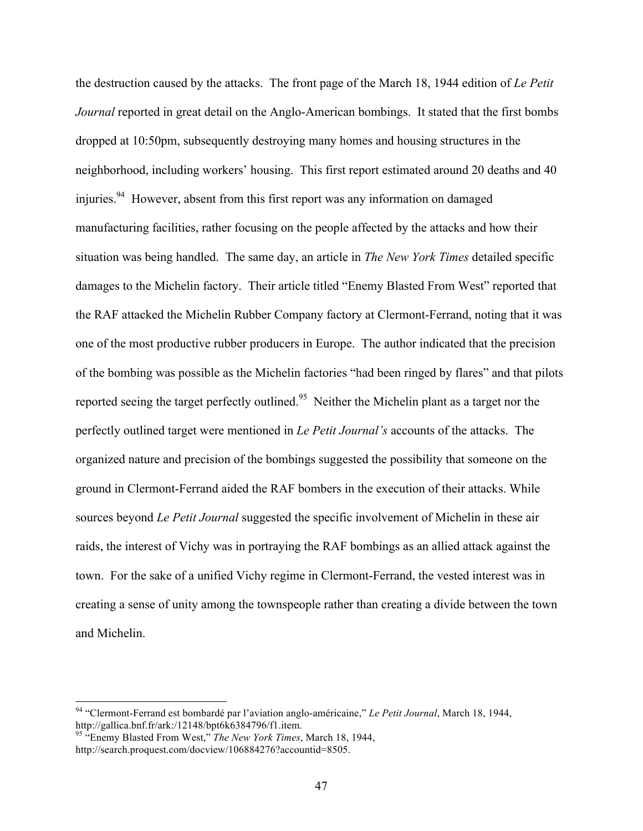the destruction caused by the attacks. The front page of the March 18, 1944 edition of *Le Petit Journal* reported in great detail on the Anglo-American bombings. It stated that the first bombs dropped at 10:50pm, subsequently destroying many homes and housing structures in the neighborhood, including workers' housing. This first report estimated around 20 deaths and 40 injuries.<sup>94</sup> However, absent from this first report was any information on damaged manufacturing facilities, rather focusing on the people affected by the attacks and how their situation was being handled. The same day, an article in *The New York Times* detailed specific damages to the Michelin factory. Their article titled "Enemy Blasted From West" reported that the RAF attacked the Michelin Rubber Company factory at Clermont-Ferrand, noting that it was one of the most productive rubber producers in Europe. The author indicated that the precision of the bombing was possible as the Michelin factories "had been ringed by flares" and that pilots reported seeing the target perfectly outlined.<sup>95</sup> Neither the Michelin plant as a target nor the perfectly outlined target were mentioned in *Le Petit Journal's* accounts of the attacks. The organized nature and precision of the bombings suggested the possibility that someone on the ground in Clermont-Ferrand aided the RAF bombers in the execution of their attacks. While sources beyond *Le Petit Journal* suggested the specific involvement of Michelin in these air raids, the interest of Vichy was in portraying the RAF bombings as an allied attack against the town. For the sake of a unified Vichy regime in Clermont-Ferrand, the vested interest was in creating a sense of unity among the townspeople rather than creating a divide between the town and Michelin.

 <sup>94</sup> "Clermont-Ferrand est bombardé par l'aviation anglo-américaine," *Le Petit Journal*, March 18, 1944, http://gallica.bnf.fr/ark:/12148/bpt6k6384796/f1.item.

<sup>95</sup> "Enemy Blasted From West," *The New York Times*, March 18, 1944, http://search.proquest.com/docview/106884276?accountid=8505.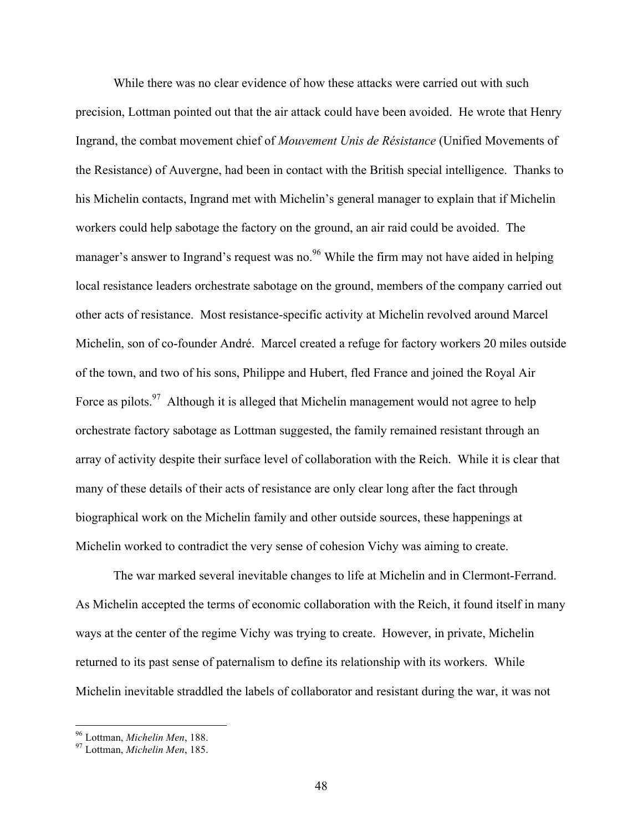While there was no clear evidence of how these attacks were carried out with such precision, Lottman pointed out that the air attack could have been avoided. He wrote that Henry Ingrand, the combat movement chief of *Mouvement Unis de Résistance* (Unified Movements of the Resistance) of Auvergne, had been in contact with the British special intelligence. Thanks to his Michelin contacts, Ingrand met with Michelin's general manager to explain that if Michelin workers could help sabotage the factory on the ground, an air raid could be avoided. The manager's answer to Ingrand's request was no.<sup>96</sup> While the firm may not have aided in helping local resistance leaders orchestrate sabotage on the ground, members of the company carried out other acts of resistance. Most resistance-specific activity at Michelin revolved around Marcel Michelin, son of co-founder André. Marcel created a refuge for factory workers 20 miles outside of the town, and two of his sons, Philippe and Hubert, fled France and joined the Royal Air Force as pilots.<sup>97</sup> Although it is alleged that Michelin management would not agree to help orchestrate factory sabotage as Lottman suggested, the family remained resistant through an array of activity despite their surface level of collaboration with the Reich. While it is clear that many of these details of their acts of resistance are only clear long after the fact through biographical work on the Michelin family and other outside sources, these happenings at Michelin worked to contradict the very sense of cohesion Vichy was aiming to create.

The war marked several inevitable changes to life at Michelin and in Clermont-Ferrand. As Michelin accepted the terms of economic collaboration with the Reich, it found itself in many ways at the center of the regime Vichy was trying to create. However, in private, Michelin returned to its past sense of paternalism to define its relationship with its workers. While Michelin inevitable straddled the labels of collaborator and resistant during the war, it was not

<sup>96</sup> Lottman, *Michelin Men*, 188. <sup>97</sup> Lottman, *Michelin Men*, 185.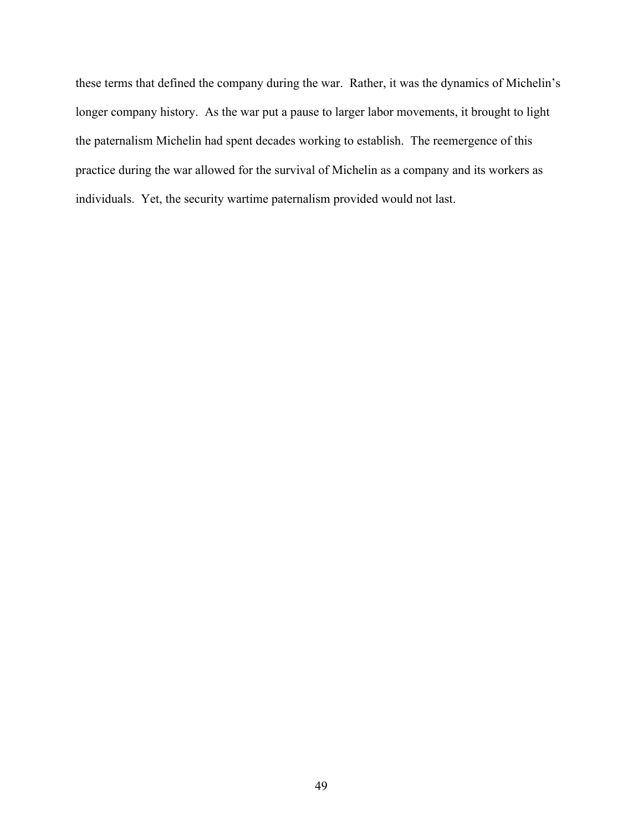these terms that defined the company during the war. Rather, it was the dynamics of Michelin's longer company history. As the war put a pause to larger labor movements, it brought to light the paternalism Michelin had spent decades working to establish. The reemergence of this practice during the war allowed for the survival of Michelin as a company and its workers as individuals. Yet, the security wartime paternalism provided would not last.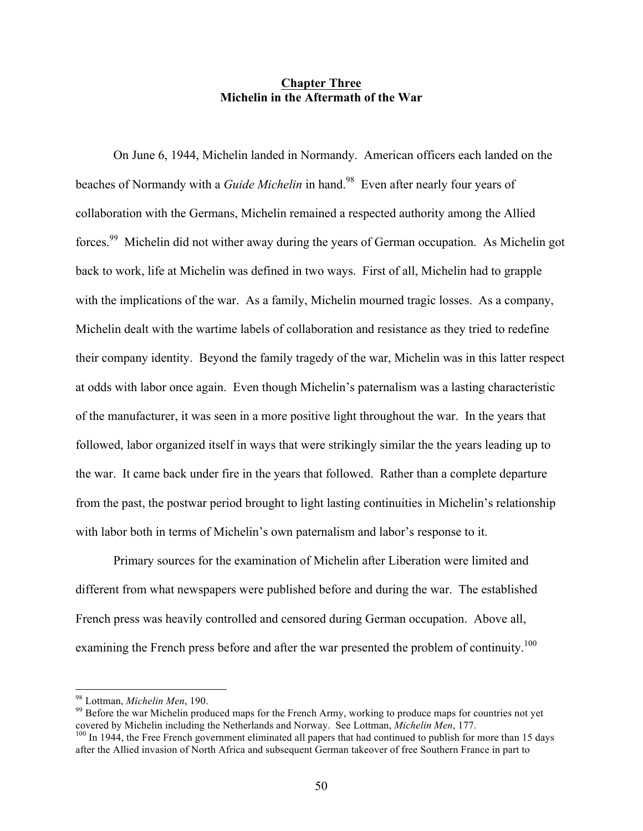# **Chapter Three Michelin in the Aftermath of the War**

On June 6, 1944, Michelin landed in Normandy. American officers each landed on the beaches of Normandy with a *Guide Michelin* in hand.<sup>98</sup> Even after nearly four years of collaboration with the Germans, Michelin remained a respected authority among the Allied forces.<sup>99</sup> Michelin did not wither away during the years of German occupation. As Michelin got back to work, life at Michelin was defined in two ways. First of all, Michelin had to grapple with the implications of the war. As a family, Michelin mourned tragic losses. As a company, Michelin dealt with the wartime labels of collaboration and resistance as they tried to redefine their company identity. Beyond the family tragedy of the war, Michelin was in this latter respect at odds with labor once again. Even though Michelin's paternalism was a lasting characteristic of the manufacturer, it was seen in a more positive light throughout the war. In the years that followed, labor organized itself in ways that were strikingly similar the the years leading up to the war. It came back under fire in the years that followed. Rather than a complete departure from the past, the postwar period brought to light lasting continuities in Michelin's relationship with labor both in terms of Michelin's own paternalism and labor's response to it.

Primary sources for the examination of Michelin after Liberation were limited and different from what newspapers were published before and during the war. The established French press was heavily controlled and censored during German occupation. Above all, examining the French press before and after the war presented the problem of continuity.<sup>100</sup>

<sup>&</sup>lt;sup>98</sup> Lottman, *Michelin Men*, 190.<br><sup>99</sup> Before the war Michelin produced maps for the French Army, working to produce maps for countries not yet covered by Michelin including the Netherlands and Norway. See Lottman, *Michelin Men*, 177.<br><sup>100</sup> In 1944, the Free French government eliminated all papers that had continued to publish for more than 15 days

after the Allied invasion of North Africa and subsequent German takeover of free Southern France in part to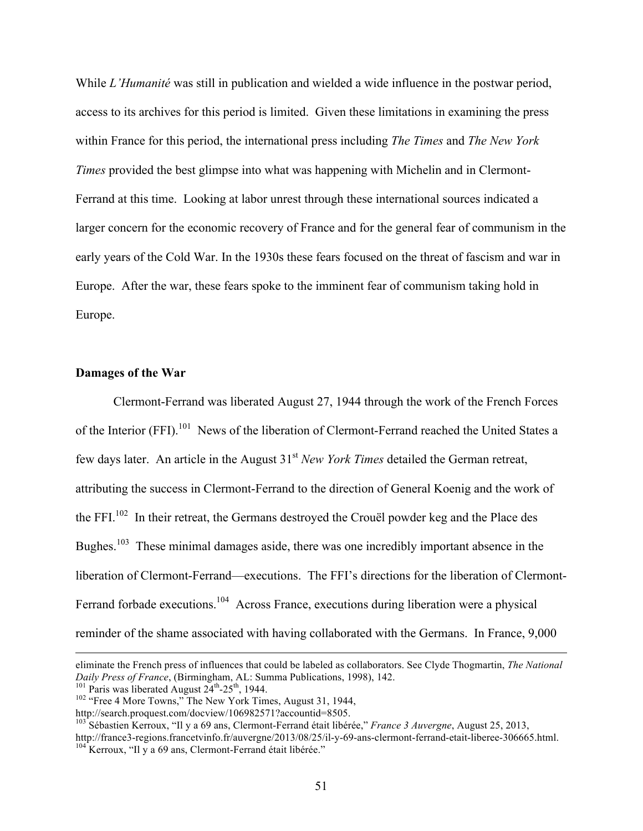While *L'Humanité* was still in publication and wielded a wide influence in the postwar period, access to its archives for this period is limited. Given these limitations in examining the press within France for this period, the international press including *The Times* and *The New York Times* provided the best glimpse into what was happening with Michelin and in Clermont-Ferrand at this time. Looking at labor unrest through these international sources indicated a larger concern for the economic recovery of France and for the general fear of communism in the early years of the Cold War. In the 1930s these fears focused on the threat of fascism and war in Europe. After the war, these fears spoke to the imminent fear of communism taking hold in Europe.

## **Damages of the War**

Clermont-Ferrand was liberated August 27, 1944 through the work of the French Forces of the Interior (FFI).<sup>101</sup> News of the liberation of Clermont-Ferrand reached the United States a few days later. An article in the August 31st *New York Times* detailed the German retreat, attributing the success in Clermont-Ferrand to the direction of General Koenig and the work of the FFI.102 In their retreat, the Germans destroyed the Crouël powder keg and the Place des Bughes.<sup>103</sup> These minimal damages aside, there was one incredibly important absence in the liberation of Clermont-Ferrand—executions. The FFI's directions for the liberation of Clermont-Ferrand forbade executions.<sup>104</sup> Across France, executions during liberation were a physical reminder of the shame associated with having collaborated with the Germans. In France, 9,000

 $\overline{a}$ 

eliminate the French press of influences that could be labeled as collaborators. See Clyde Thogmartin, *The National* 

<sup>&</sup>lt;sup>101</sup> Paris was liberated August 24<sup>th</sup>-25<sup>th</sup>, 1944.<br><sup>102</sup> "Free 4 More Towns," The New York Times, August 31, 1944,<br>http://search.proquest.com/docview/106982571?accountid=8505.

<sup>&</sup>lt;sup>103</sup> Sébastien Kerroux, "Il y a 69 ans, Clermont-Ferrand était libérée," *France 3 Auvergne*, August 25, 2013, http://france3-regions.francetvinfo.fr/auvergne/2013/08/25/il-y-69-ans-clermont-ferrand-etait-liberee-306665.html.<br><sup>104</sup> Kerroux, "Il y a 69 ans, Clermont-Ferrand était libérée."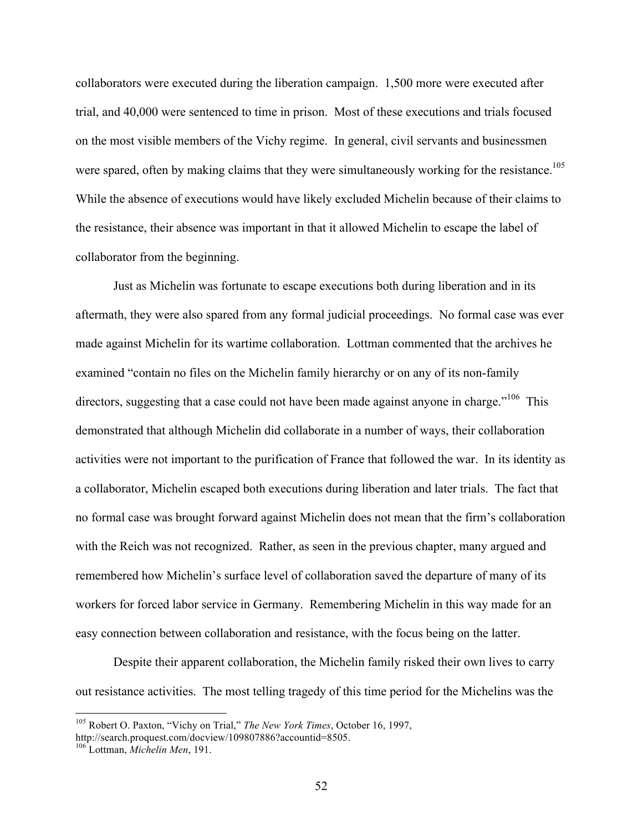collaborators were executed during the liberation campaign. 1,500 more were executed after trial, and 40,000 were sentenced to time in prison. Most of these executions and trials focused on the most visible members of the Vichy regime. In general, civil servants and businessmen were spared, often by making claims that they were simultaneously working for the resistance.<sup>105</sup> While the absence of executions would have likely excluded Michelin because of their claims to the resistance, their absence was important in that it allowed Michelin to escape the label of collaborator from the beginning.

Just as Michelin was fortunate to escape executions both during liberation and in its aftermath, they were also spared from any formal judicial proceedings. No formal case was ever made against Michelin for its wartime collaboration. Lottman commented that the archives he examined "contain no files on the Michelin family hierarchy or on any of its non-family directors, suggesting that a case could not have been made against anyone in charge.<sup>"106</sup> This demonstrated that although Michelin did collaborate in a number of ways, their collaboration activities were not important to the purification of France that followed the war. In its identity as a collaborator, Michelin escaped both executions during liberation and later trials. The fact that no formal case was brought forward against Michelin does not mean that the firm's collaboration with the Reich was not recognized. Rather, as seen in the previous chapter, many argued and remembered how Michelin's surface level of collaboration saved the departure of many of its workers for forced labor service in Germany. Remembering Michelin in this way made for an easy connection between collaboration and resistance, with the focus being on the latter.

Despite their apparent collaboration, the Michelin family risked their own lives to carry out resistance activities. The most telling tragedy of this time period for the Michelins was the

 <sup>105</sup> Robert O. Paxton, "Vichy on Trial," *The New York Times*, October 16, 1997,

http://search.proquest.com/docview/109807886?accountid=8505.

<sup>106</sup> Lottman, *Michelin Men*, 191.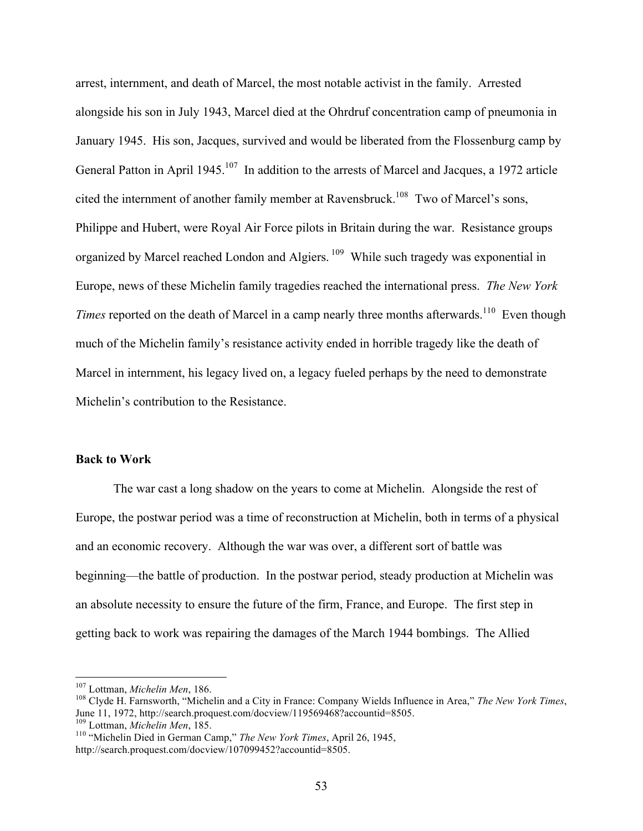arrest, internment, and death of Marcel, the most notable activist in the family. Arrested alongside his son in July 1943, Marcel died at the Ohrdruf concentration camp of pneumonia in January 1945. His son, Jacques, survived and would be liberated from the Flossenburg camp by General Patton in April 1945.<sup>107</sup> In addition to the arrests of Marcel and Jacques, a 1972 article cited the internment of another family member at Ravensbruck.<sup>108</sup> Two of Marcel's sons, Philippe and Hubert, were Royal Air Force pilots in Britain during the war. Resistance groups organized by Marcel reached London and Algiers. <sup>109</sup> While such tragedy was exponential in Europe, news of these Michelin family tragedies reached the international press. *The New York Times* reported on the death of Marcel in a camp nearly three months afterwards.<sup>110</sup> Even though much of the Michelin family's resistance activity ended in horrible tragedy like the death of Marcel in internment, his legacy lived on, a legacy fueled perhaps by the need to demonstrate Michelin's contribution to the Resistance.

### **Back to Work**

The war cast a long shadow on the years to come at Michelin. Alongside the rest of Europe, the postwar period was a time of reconstruction at Michelin, both in terms of a physical and an economic recovery. Although the war was over, a different sort of battle was beginning—the battle of production. In the postwar period, steady production at Michelin was an absolute necessity to ensure the future of the firm, France, and Europe. The first step in getting back to work was repairing the damages of the March 1944 bombings. The Allied

<sup>&</sup>lt;sup>107</sup> Lottman, *Michelin Men*, 186.<br><sup>108</sup> Clyde H. Farnsworth, "Michelin and a City in France: Company Wields Influence in Area," *The New York Times*, June 11, 1972, http://search.proquest.com/docview/119569468?accountid=8505.<br><sup>109</sup> Lottman, *Michelin Men*, 185.

<sup>&</sup>lt;sup>110</sup> "Michelin Died in German Camp," *The New York Times*, April 26, 1945, http://search.proquest.com/docview/107099452?accountid=8505.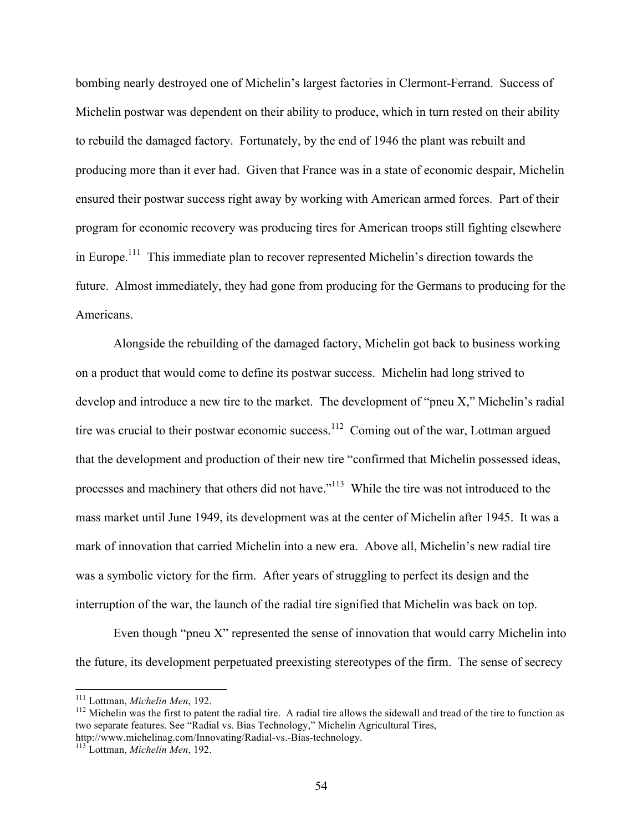bombing nearly destroyed one of Michelin's largest factories in Clermont-Ferrand. Success of Michelin postwar was dependent on their ability to produce, which in turn rested on their ability to rebuild the damaged factory. Fortunately, by the end of 1946 the plant was rebuilt and producing more than it ever had. Given that France was in a state of economic despair, Michelin ensured their postwar success right away by working with American armed forces. Part of their program for economic recovery was producing tires for American troops still fighting elsewhere in Europe.111 This immediate plan to recover represented Michelin's direction towards the future. Almost immediately, they had gone from producing for the Germans to producing for the Americans.

Alongside the rebuilding of the damaged factory, Michelin got back to business working on a product that would come to define its postwar success. Michelin had long strived to develop and introduce a new tire to the market. The development of "pneu X," Michelin's radial tire was crucial to their postwar economic success.<sup>112</sup> Coming out of the war, Lottman argued that the development and production of their new tire "confirmed that Michelin possessed ideas, processes and machinery that others did not have."<sup>113</sup> While the tire was not introduced to the mass market until June 1949, its development was at the center of Michelin after 1945. It was a mark of innovation that carried Michelin into a new era. Above all, Michelin's new radial tire was a symbolic victory for the firm. After years of struggling to perfect its design and the interruption of the war, the launch of the radial tire signified that Michelin was back on top.

Even though "pneu X" represented the sense of innovation that would carry Michelin into the future, its development perpetuated preexisting stereotypes of the firm. The sense of secrecy

<sup>&</sup>lt;sup>111</sup> Lottman, *Michelin Men*, 192.<br><sup>112</sup> Michelin was the first to patent the radial tire. A radial tire allows the sidewall and tread of the tire to function as two separate features. See "Radial vs. Bias Technology," Michelin Agricultural Tires, http://www.michelinag.com/Innovating/Radial-vs.-Bias-technology. 113 Lottman, *Michelin Men*, 192.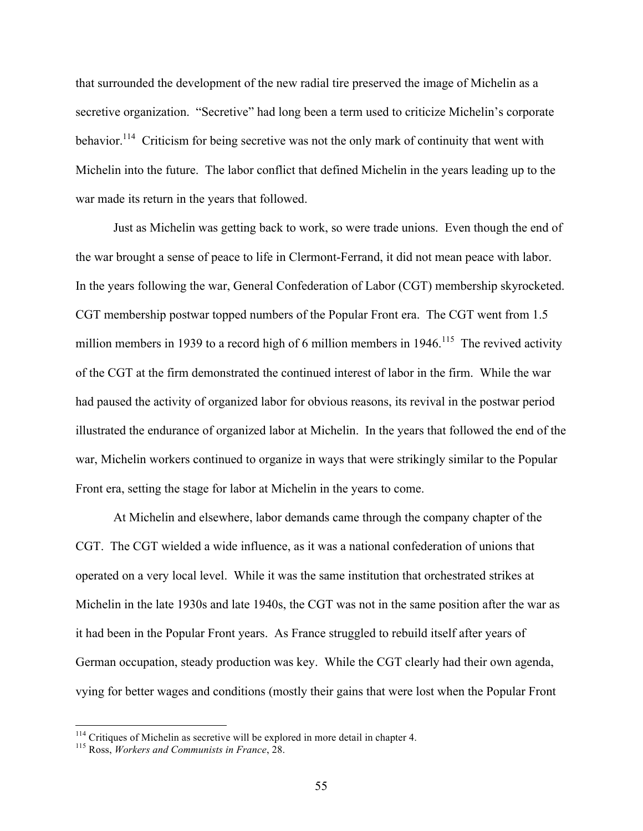that surrounded the development of the new radial tire preserved the image of Michelin as a secretive organization. "Secretive" had long been a term used to criticize Michelin's corporate behavior.<sup>114</sup> Criticism for being secretive was not the only mark of continuity that went with Michelin into the future. The labor conflict that defined Michelin in the years leading up to the war made its return in the years that followed.

Just as Michelin was getting back to work, so were trade unions. Even though the end of the war brought a sense of peace to life in Clermont-Ferrand, it did not mean peace with labor. In the years following the war, General Confederation of Labor (CGT) membership skyrocketed. CGT membership postwar topped numbers of the Popular Front era. The CGT went from 1.5 million members in 1939 to a record high of 6 million members in  $1946$ <sup>115</sup>. The revived activity of the CGT at the firm demonstrated the continued interest of labor in the firm. While the war had paused the activity of organized labor for obvious reasons, its revival in the postwar period illustrated the endurance of organized labor at Michelin. In the years that followed the end of the war, Michelin workers continued to organize in ways that were strikingly similar to the Popular Front era, setting the stage for labor at Michelin in the years to come.

At Michelin and elsewhere, labor demands came through the company chapter of the CGT. The CGT wielded a wide influence, as it was a national confederation of unions that operated on a very local level. While it was the same institution that orchestrated strikes at Michelin in the late 1930s and late 1940s, the CGT was not in the same position after the war as it had been in the Popular Front years. As France struggled to rebuild itself after years of German occupation, steady production was key. While the CGT clearly had their own agenda, vying for better wages and conditions (mostly their gains that were lost when the Popular Front

<sup>114</sup> Critiques of Michelin as secretive will be explored in more detail in chapter 4. 115 Ross, *Workers and Communists in France*, 28.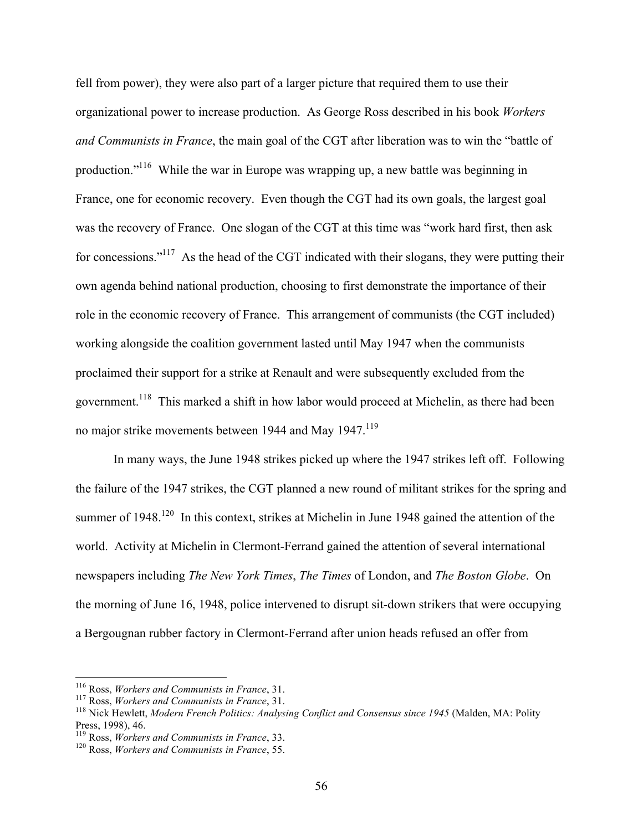fell from power), they were also part of a larger picture that required them to use their organizational power to increase production. As George Ross described in his book *Workers and Communists in France*, the main goal of the CGT after liberation was to win the "battle of production."116 While the war in Europe was wrapping up, a new battle was beginning in France, one for economic recovery. Even though the CGT had its own goals, the largest goal was the recovery of France. One slogan of the CGT at this time was "work hard first, then ask for concessions."<sup>117</sup> As the head of the CGT indicated with their slogans, they were putting their own agenda behind national production, choosing to first demonstrate the importance of their role in the economic recovery of France. This arrangement of communists (the CGT included) working alongside the coalition government lasted until May 1947 when the communists proclaimed their support for a strike at Renault and were subsequently excluded from the government.<sup>118</sup> This marked a shift in how labor would proceed at Michelin, as there had been no major strike movements between 1944 and May 1947.<sup>119</sup>

In many ways, the June 1948 strikes picked up where the 1947 strikes left off. Following the failure of the 1947 strikes, the CGT planned a new round of militant strikes for the spring and summer of 1948.<sup>120</sup> In this context, strikes at Michelin in June 1948 gained the attention of the world. Activity at Michelin in Clermont-Ferrand gained the attention of several international newspapers including *The New York Times*, *The Times* of London, and *The Boston Globe*. On the morning of June 16, 1948, police intervened to disrupt sit-down strikers that were occupying a Bergougnan rubber factory in Clermont-Ferrand after union heads refused an offer from

<sup>&</sup>lt;sup>116</sup> Ross, *Workers and Communists in France*, 31.<br><sup>117</sup> Ross, *Workers and Communists in France*, 31.<br><sup>118</sup> Nick Hewlett, *Modern French Politics: Analysing Conflict and Consensus since 1945* (Malden, MA: Polity<br>Press. 1

<sup>&</sup>lt;sup>119</sup> Ross, *Workers and Communists in France*, 33. <sup>120</sup> Ross, *Workers and Communists in France*, 55.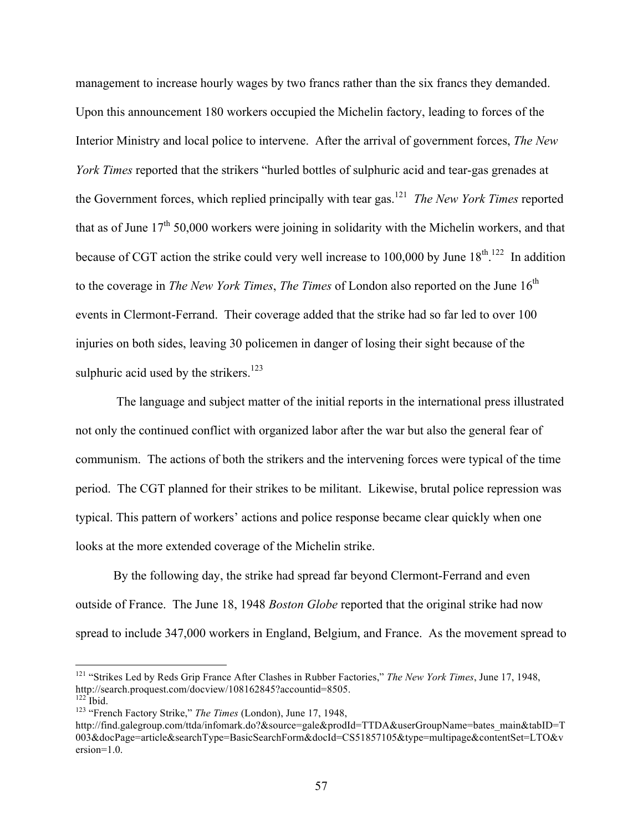management to increase hourly wages by two francs rather than the six francs they demanded. Upon this announcement 180 workers occupied the Michelin factory, leading to forces of the Interior Ministry and local police to intervene. After the arrival of government forces, *The New York Times* reported that the strikers "hurled bottles of sulphuric acid and tear-gas grenades at the Government forces, which replied principally with tear gas.121 *The New York Times* reported that as of June  $17<sup>th</sup> 50,000$  workers were joining in solidarity with the Michelin workers, and that because of CGT action the strike could very well increase to 100,000 by June  $18<sup>th, 122</sup>$  In addition to the coverage in *The New York Times, The Times* of London also reported on the June 16<sup>th</sup> events in Clermont-Ferrand. Their coverage added that the strike had so far led to over 100 injuries on both sides, leaving 30 policemen in danger of losing their sight because of the sulphuric acid used by the strikers. $123$ 

The language and subject matter of the initial reports in the international press illustrated not only the continued conflict with organized labor after the war but also the general fear of communism. The actions of both the strikers and the intervening forces were typical of the time period. The CGT planned for their strikes to be militant. Likewise, brutal police repression was typical. This pattern of workers' actions and police response became clear quickly when one looks at the more extended coverage of the Michelin strike.

By the following day, the strike had spread far beyond Clermont-Ferrand and even outside of France. The June 18, 1948 *Boston Globe* reported that the original strike had now spread to include 347,000 workers in England, Belgium, and France. As the movement spread to

<sup>&</sup>lt;sup>121</sup> "Strikes Led by Reds Grip France After Clashes in Rubber Factories," *The New York Times*, June 17, 1948, http://search.proquest.com/docview/108162845?accountid=8505.

<sup>&</sup>lt;sup>122</sup> Ibid.<br><sup>123</sup> "French Factory Strike," *The Times (London), June 17, 1948,* 

http://find.galegroup.com/ttda/infomark.do?&source=gale&prodId=TTDA&userGroupName=bates\_main&tabID=T 003&docPage=article&searchType=BasicSearchForm&docId=CS51857105&type=multipage&contentSet=LTO&v ersion=1.0.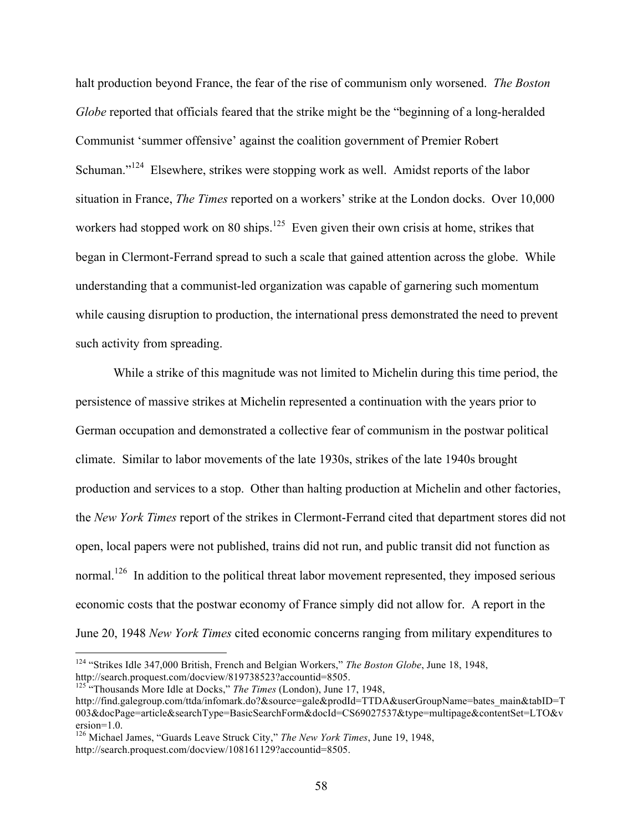halt production beyond France, the fear of the rise of communism only worsened. *The Boston Globe* reported that officials feared that the strike might be the "beginning of a long-heralded Communist 'summer offensive' against the coalition government of Premier Robert Schuman."<sup>124</sup> Elsewhere, strikes were stopping work as well. Amidst reports of the labor situation in France, *The Times* reported on a workers' strike at the London docks. Over 10,000 workers had stopped work on 80 ships.<sup>125</sup> Even given their own crisis at home, strikes that began in Clermont-Ferrand spread to such a scale that gained attention across the globe. While understanding that a communist-led organization was capable of garnering such momentum while causing disruption to production, the international press demonstrated the need to prevent such activity from spreading.

While a strike of this magnitude was not limited to Michelin during this time period, the persistence of massive strikes at Michelin represented a continuation with the years prior to German occupation and demonstrated a collective fear of communism in the postwar political climate. Similar to labor movements of the late 1930s, strikes of the late 1940s brought production and services to a stop. Other than halting production at Michelin and other factories, the *New York Times* report of the strikes in Clermont-Ferrand cited that department stores did not open, local papers were not published, trains did not run, and public transit did not function as normal.<sup>126</sup> In addition to the political threat labor movement represented, they imposed serious economic costs that the postwar economy of France simply did not allow for. A report in the June 20, 1948 *New York Times* cited economic concerns ranging from military expenditures to

 <sup>124</sup> "Strikes Idle 347,000 British, French and Belgian Workers," *The Boston Globe*, June 18, 1948, http://search.proquest.com/docview/819738523?accountid=8505.

<sup>125</sup> "Thousands More Idle at Docks," *The Times* (London), June 17, 1948,

http://find.galegroup.com/ttda/infomark.do?&source=gale&prodId=TTDA&userGroupName=bates\_main&tabID=T 003&docPage=article&searchType=BasicSearchForm&docId=CS69027537&type=multipage&contentSet=LTO&v ersion=1.0.

<sup>126</sup> Michael James, "Guards Leave Struck City," *The New York Times*, June 19, 1948, http://search.proquest.com/docview/108161129?accountid=8505.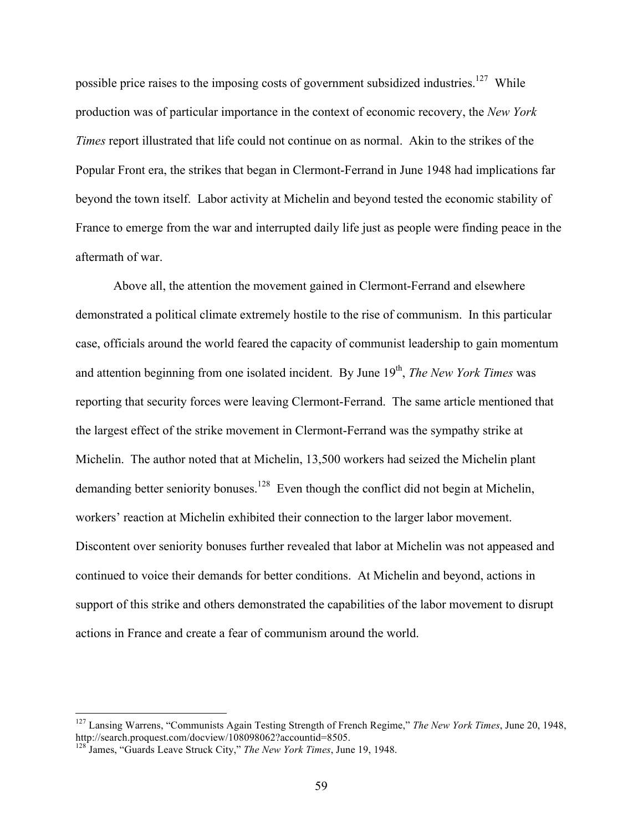possible price raises to the imposing costs of government subsidized industries.<sup>127</sup> While production was of particular importance in the context of economic recovery, the *New York Times* report illustrated that life could not continue on as normal. Akin to the strikes of the Popular Front era, the strikes that began in Clermont-Ferrand in June 1948 had implications far beyond the town itself. Labor activity at Michelin and beyond tested the economic stability of France to emerge from the war and interrupted daily life just as people were finding peace in the aftermath of war.

Above all, the attention the movement gained in Clermont-Ferrand and elsewhere demonstrated a political climate extremely hostile to the rise of communism. In this particular case, officials around the world feared the capacity of communist leadership to gain momentum and attention beginning from one isolated incident. By June 19<sup>th</sup>, *The New York Times* was reporting that security forces were leaving Clermont-Ferrand. The same article mentioned that the largest effect of the strike movement in Clermont-Ferrand was the sympathy strike at Michelin. The author noted that at Michelin, 13,500 workers had seized the Michelin plant demanding better seniority bonuses.<sup>128</sup> Even though the conflict did not begin at Michelin, workers' reaction at Michelin exhibited their connection to the larger labor movement. Discontent over seniority bonuses further revealed that labor at Michelin was not appeased and continued to voice their demands for better conditions. At Michelin and beyond, actions in support of this strike and others demonstrated the capabilities of the labor movement to disrupt actions in France and create a fear of communism around the world.

 <sup>127</sup> Lansing Warrens, "Communists Again Testing Strength of French Regime," *The New York Times*, June 20, 1948, http://search.proquest.com/docview/108098062?accountid=8505.

<sup>128</sup> James, "Guards Leave Struck City," *The New York Times*, June 19, 1948.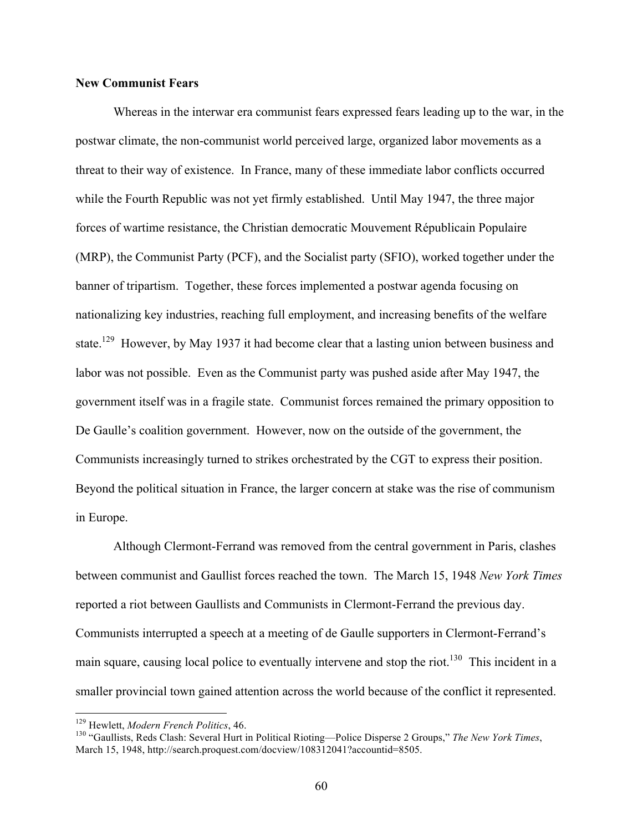# **New Communist Fears**

Whereas in the interwar era communist fears expressed fears leading up to the war, in the postwar climate, the non-communist world perceived large, organized labor movements as a threat to their way of existence. In France, many of these immediate labor conflicts occurred while the Fourth Republic was not yet firmly established. Until May 1947, the three major forces of wartime resistance, the Christian democratic Mouvement Républicain Populaire (MRP), the Communist Party (PCF), and the Socialist party (SFIO), worked together under the banner of tripartism. Together, these forces implemented a postwar agenda focusing on nationalizing key industries, reaching full employment, and increasing benefits of the welfare state.<sup>129</sup> However, by May 1937 it had become clear that a lasting union between business and labor was not possible. Even as the Communist party was pushed aside after May 1947, the government itself was in a fragile state. Communist forces remained the primary opposition to De Gaulle's coalition government. However, now on the outside of the government, the Communists increasingly turned to strikes orchestrated by the CGT to express their position. Beyond the political situation in France, the larger concern at stake was the rise of communism in Europe.

Although Clermont-Ferrand was removed from the central government in Paris, clashes between communist and Gaullist forces reached the town. The March 15, 1948 *New York Times* reported a riot between Gaullists and Communists in Clermont-Ferrand the previous day. Communists interrupted a speech at a meeting of de Gaulle supporters in Clermont-Ferrand's main square, causing local police to eventually intervene and stop the riot.<sup>130</sup> This incident in a smaller provincial town gained attention across the world because of the conflict it represented.

<sup>&</sup>lt;sup>129</sup> Hewlett, *Modern French Politics*, 46.<br><sup>130</sup> "Gaullists, Reds Clash: Several Hurt in Political Rioting—Police Disperse 2 Groups," *The New York Times*, March 15, 1948, http://search.proquest.com/docview/108312041?accountid=8505.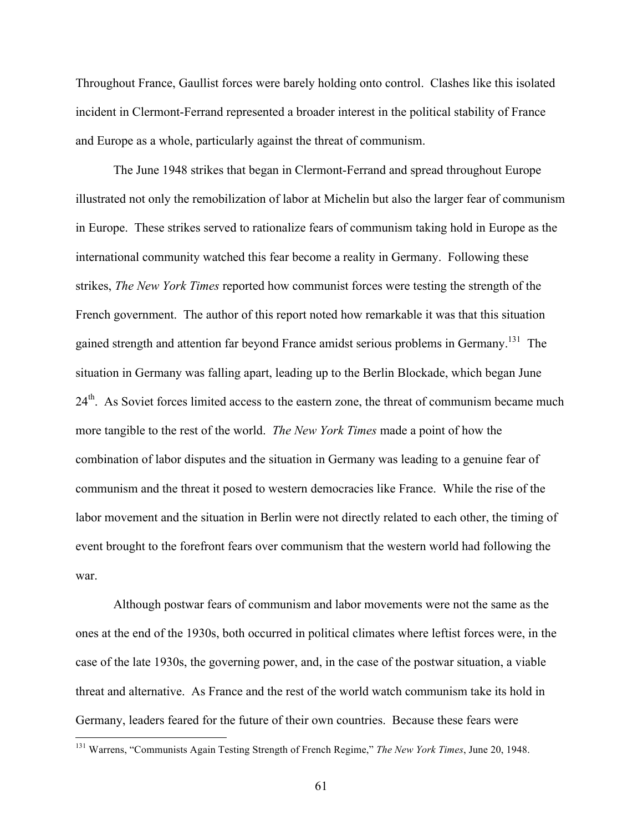Throughout France, Gaullist forces were barely holding onto control. Clashes like this isolated incident in Clermont-Ferrand represented a broader interest in the political stability of France and Europe as a whole, particularly against the threat of communism.

The June 1948 strikes that began in Clermont-Ferrand and spread throughout Europe illustrated not only the remobilization of labor at Michelin but also the larger fear of communism in Europe. These strikes served to rationalize fears of communism taking hold in Europe as the international community watched this fear become a reality in Germany. Following these strikes, *The New York Times* reported how communist forces were testing the strength of the French government. The author of this report noted how remarkable it was that this situation gained strength and attention far beyond France amidst serious problems in Germany.<sup>131</sup> The situation in Germany was falling apart, leading up to the Berlin Blockade, which began June 24<sup>th</sup>. As Soviet forces limited access to the eastern zone, the threat of communism became much more tangible to the rest of the world. *The New York Times* made a point of how the combination of labor disputes and the situation in Germany was leading to a genuine fear of communism and the threat it posed to western democracies like France. While the rise of the labor movement and the situation in Berlin were not directly related to each other, the timing of event brought to the forefront fears over communism that the western world had following the war.

Although postwar fears of communism and labor movements were not the same as the ones at the end of the 1930s, both occurred in political climates where leftist forces were, in the case of the late 1930s, the governing power, and, in the case of the postwar situation, a viable threat and alternative. As France and the rest of the world watch communism take its hold in Germany, leaders feared for the future of their own countries. Because these fears were

 <sup>131</sup> Warrens, "Communists Again Testing Strength of French Regime," *The New York Times*, June 20, 1948.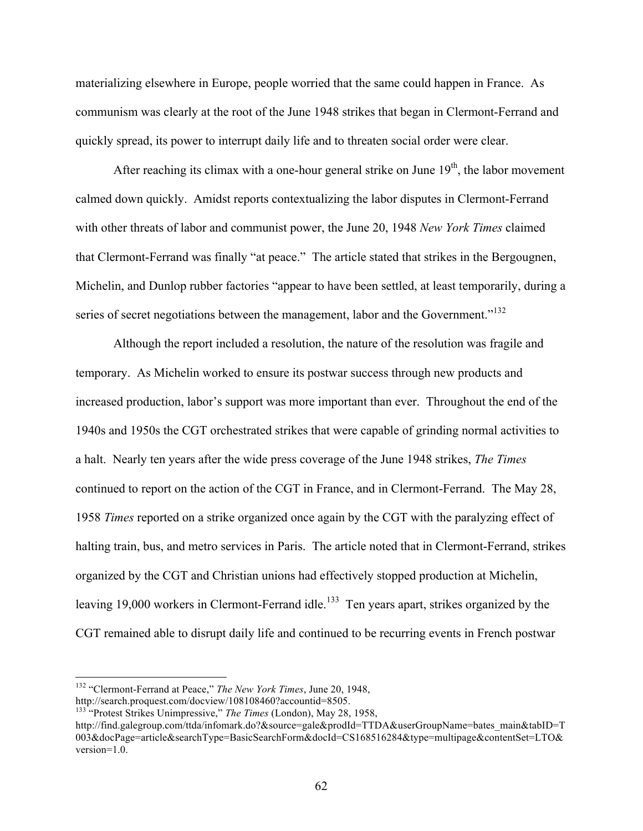materializing elsewhere in Europe, people worried that the same could happen in France. As communism was clearly at the root of the June 1948 strikes that began in Clermont-Ferrand and quickly spread, its power to interrupt daily life and to threaten social order were clear.

After reaching its climax with a one-hour general strike on June  $19<sup>th</sup>$ , the labor movement calmed down quickly. Amidst reports contextualizing the labor disputes in Clermont-Ferrand with other threats of labor and communist power, the June 20, 1948 *New York Times* claimed that Clermont-Ferrand was finally "at peace." The article stated that strikes in the Bergougnen, Michelin, and Dunlop rubber factories "appear to have been settled, at least temporarily, during a series of secret negotiations between the management, labor and the Government."<sup>132</sup>

Although the report included a resolution, the nature of the resolution was fragile and temporary. As Michelin worked to ensure its postwar success through new products and increased production, labor's support was more important than ever. Throughout the end of the 1940s and 1950s the CGT orchestrated strikes that were capable of grinding normal activities to a halt. Nearly ten years after the wide press coverage of the June 1948 strikes, *The Times* continued to report on the action of the CGT in France, and in Clermont-Ferrand. The May 28, 1958 *Times* reported on a strike organized once again by the CGT with the paralyzing effect of halting train, bus, and metro services in Paris. The article noted that in Clermont-Ferrand, strikes organized by the CGT and Christian unions had effectively stopped production at Michelin, leaving 19,000 workers in Clermont-Ferrand idle.<sup>133</sup> Ten years apart, strikes organized by the CGT remained able to disrupt daily life and continued to be recurring events in French postwar

 <sup>132</sup> "Clermont-Ferrand at Peace," *The New York Times*, June 20, 1948,

http://search.proquest.com/docview/108108460?accountid=8505.

<sup>133</sup> "Protest Strikes Unimpressive," *The Times* (London), May 28, 1958,

http://find.galegroup.com/ttda/infomark.do?&source=gale&prodId=TTDA&userGroupName=bates\_main&tabID=T 003&docPage=article&searchType=BasicSearchForm&docId=CS168516284&type=multipage&contentSet=LTO& version=1.0.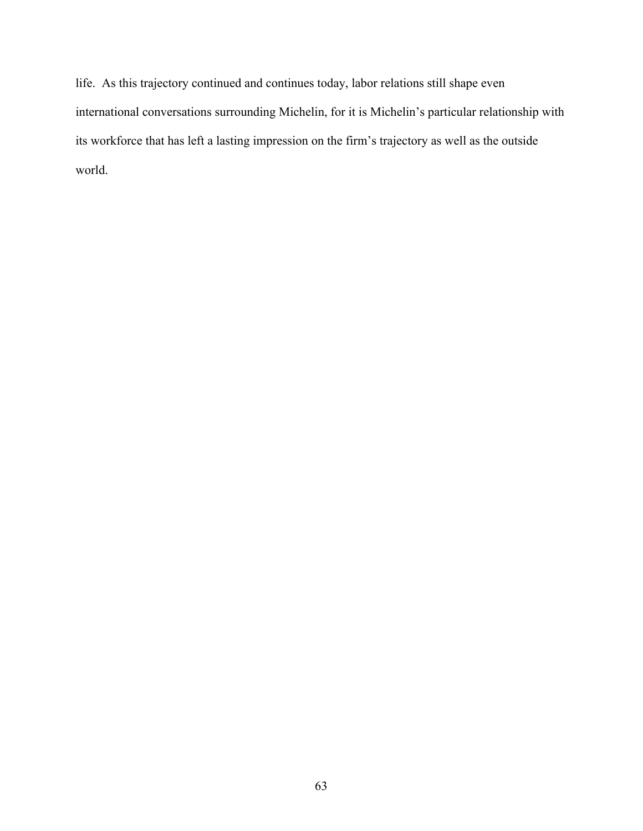life. As this trajectory continued and continues today, labor relations still shape even international conversations surrounding Michelin, for it is Michelin's particular relationship with its workforce that has left a lasting impression on the firm's trajectory as well as the outside world.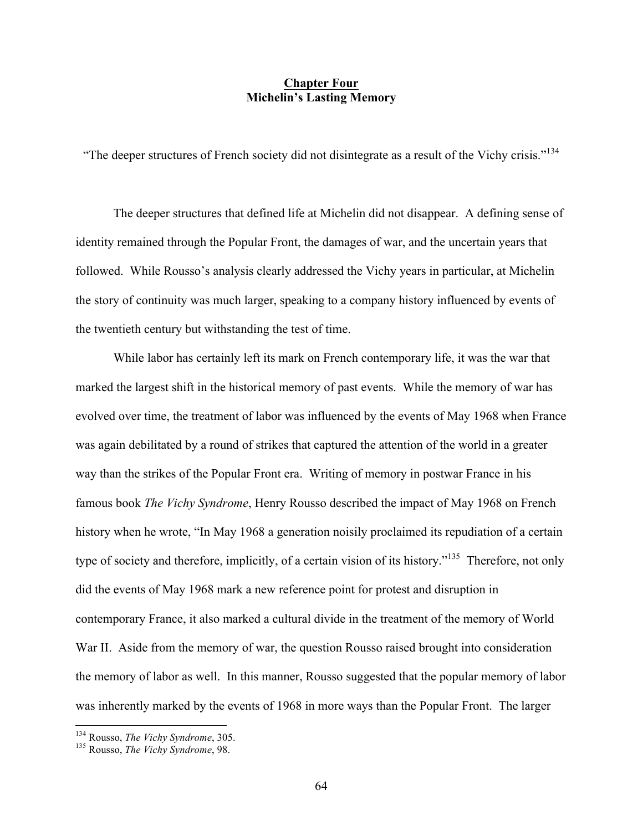# **Chapter Four Michelin's Lasting Memory**

"The deeper structures of French society did not disintegrate as a result of the Vichy crisis."<sup>134</sup>

The deeper structures that defined life at Michelin did not disappear. A defining sense of identity remained through the Popular Front, the damages of war, and the uncertain years that followed. While Rousso's analysis clearly addressed the Vichy years in particular, at Michelin the story of continuity was much larger, speaking to a company history influenced by events of the twentieth century but withstanding the test of time.

While labor has certainly left its mark on French contemporary life, it was the war that marked the largest shift in the historical memory of past events. While the memory of war has evolved over time, the treatment of labor was influenced by the events of May 1968 when France was again debilitated by a round of strikes that captured the attention of the world in a greater way than the strikes of the Popular Front era. Writing of memory in postwar France in his famous book *The Vichy Syndrome*, Henry Rousso described the impact of May 1968 on French history when he wrote, "In May 1968 a generation noisily proclaimed its repudiation of a certain type of society and therefore, implicitly, of a certain vision of its history."135 Therefore, not only did the events of May 1968 mark a new reference point for protest and disruption in contemporary France, it also marked a cultural divide in the treatment of the memory of World War II. Aside from the memory of war, the question Rousso raised brought into consideration the memory of labor as well. In this manner, Rousso suggested that the popular memory of labor was inherently marked by the events of 1968 in more ways than the Popular Front. The larger

<sup>134</sup> Rousso, *The Vichy Syndrome*, 305. 135 Rousso, *The Vichy Syndrome*, 98.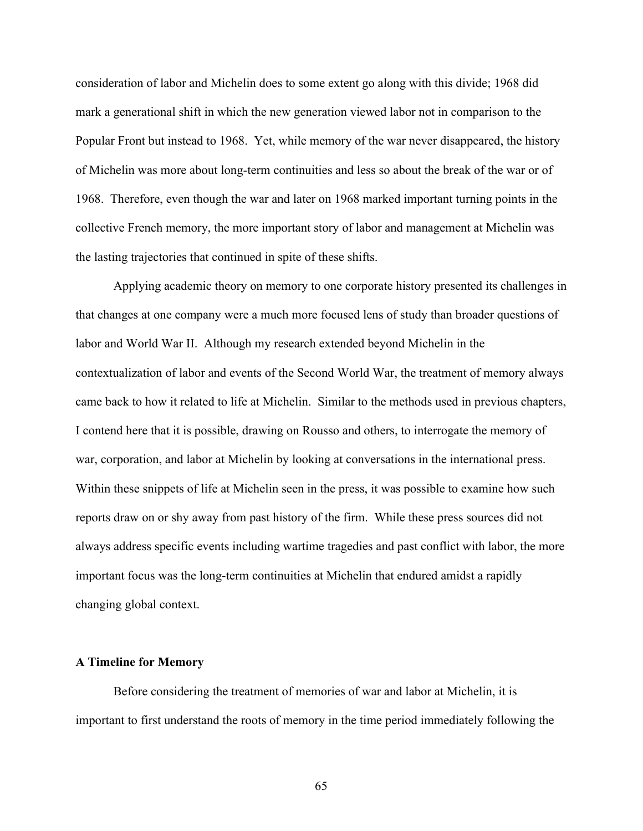consideration of labor and Michelin does to some extent go along with this divide; 1968 did mark a generational shift in which the new generation viewed labor not in comparison to the Popular Front but instead to 1968. Yet, while memory of the war never disappeared, the history of Michelin was more about long-term continuities and less so about the break of the war or of 1968. Therefore, even though the war and later on 1968 marked important turning points in the collective French memory, the more important story of labor and management at Michelin was the lasting trajectories that continued in spite of these shifts.

Applying academic theory on memory to one corporate history presented its challenges in that changes at one company were a much more focused lens of study than broader questions of labor and World War II. Although my research extended beyond Michelin in the contextualization of labor and events of the Second World War, the treatment of memory always came back to how it related to life at Michelin. Similar to the methods used in previous chapters, I contend here that it is possible, drawing on Rousso and others, to interrogate the memory of war, corporation, and labor at Michelin by looking at conversations in the international press. Within these snippets of life at Michelin seen in the press, it was possible to examine how such reports draw on or shy away from past history of the firm. While these press sources did not always address specific events including wartime tragedies and past conflict with labor, the more important focus was the long-term continuities at Michelin that endured amidst a rapidly changing global context.

### **A Timeline for Memory**

Before considering the treatment of memories of war and labor at Michelin, it is important to first understand the roots of memory in the time period immediately following the

65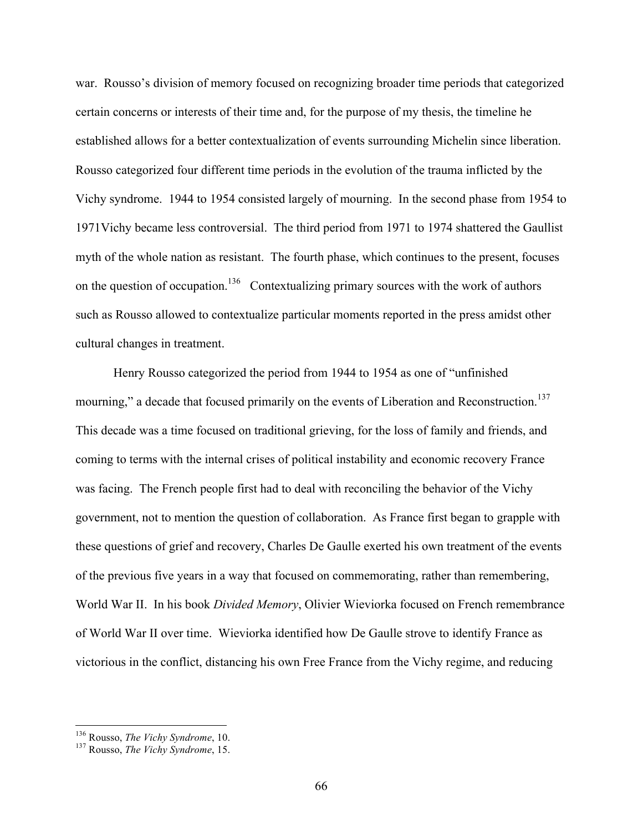war. Rousso's division of memory focused on recognizing broader time periods that categorized certain concerns or interests of their time and, for the purpose of my thesis, the timeline he established allows for a better contextualization of events surrounding Michelin since liberation. Rousso categorized four different time periods in the evolution of the trauma inflicted by the Vichy syndrome. 1944 to 1954 consisted largely of mourning. In the second phase from 1954 to 1971Vichy became less controversial. The third period from 1971 to 1974 shattered the Gaullist myth of the whole nation as resistant. The fourth phase, which continues to the present, focuses on the question of occupation.<sup>136</sup> Contextualizing primary sources with the work of authors such as Rousso allowed to contextualize particular moments reported in the press amidst other cultural changes in treatment.

Henry Rousso categorized the period from 1944 to 1954 as one of "unfinished mourning," a decade that focused primarily on the events of Liberation and Reconstruction.<sup>137</sup> This decade was a time focused on traditional grieving, for the loss of family and friends, and coming to terms with the internal crises of political instability and economic recovery France was facing. The French people first had to deal with reconciling the behavior of the Vichy government, not to mention the question of collaboration. As France first began to grapple with these questions of grief and recovery, Charles De Gaulle exerted his own treatment of the events of the previous five years in a way that focused on commemorating, rather than remembering, World War II. In his book *Divided Memory*, Olivier Wieviorka focused on French remembrance of World War II over time. Wieviorka identified how De Gaulle strove to identify France as victorious in the conflict, distancing his own Free France from the Vichy regime, and reducing

<sup>136</sup> Rousso, *The Vichy Syndrome*, 10. <sup>137</sup> Rousso, *The Vichy Syndrome*, 15.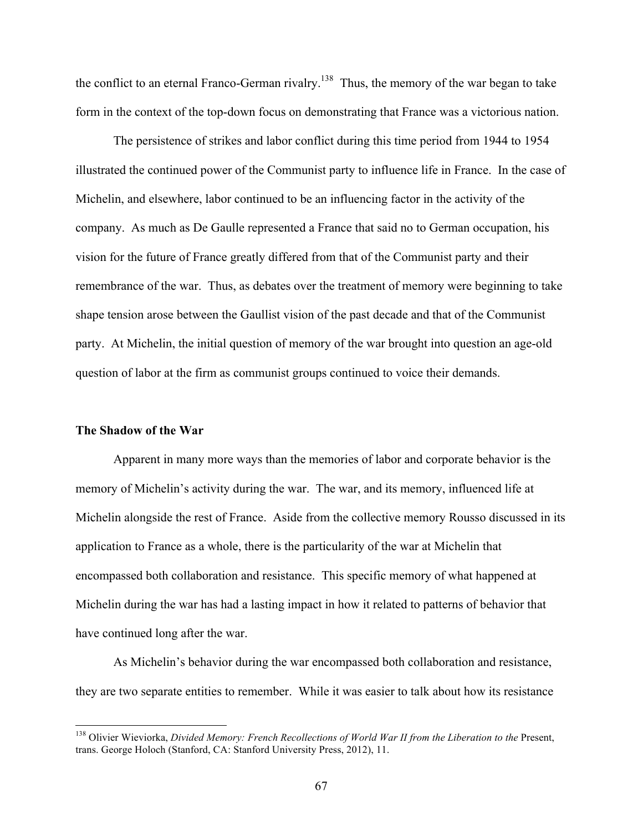the conflict to an eternal Franco-German rivalry.<sup>138</sup> Thus, the memory of the war began to take form in the context of the top-down focus on demonstrating that France was a victorious nation.

The persistence of strikes and labor conflict during this time period from 1944 to 1954 illustrated the continued power of the Communist party to influence life in France. In the case of Michelin, and elsewhere, labor continued to be an influencing factor in the activity of the company. As much as De Gaulle represented a France that said no to German occupation, his vision for the future of France greatly differed from that of the Communist party and their remembrance of the war. Thus, as debates over the treatment of memory were beginning to take shape tension arose between the Gaullist vision of the past decade and that of the Communist party. At Michelin, the initial question of memory of the war brought into question an age-old question of labor at the firm as communist groups continued to voice their demands.

### **The Shadow of the War**

Apparent in many more ways than the memories of labor and corporate behavior is the memory of Michelin's activity during the war. The war, and its memory, influenced life at Michelin alongside the rest of France. Aside from the collective memory Rousso discussed in its application to France as a whole, there is the particularity of the war at Michelin that encompassed both collaboration and resistance. This specific memory of what happened at Michelin during the war has had a lasting impact in how it related to patterns of behavior that have continued long after the war.

As Michelin's behavior during the war encompassed both collaboration and resistance, they are two separate entities to remember. While it was easier to talk about how its resistance

<sup>&</sup>lt;sup>138</sup> Olivier Wieviorka, *Divided Memory: French Recollections of World War II from the Liberation to the Present*, trans. George Holoch (Stanford, CA: Stanford University Press, 2012), 11.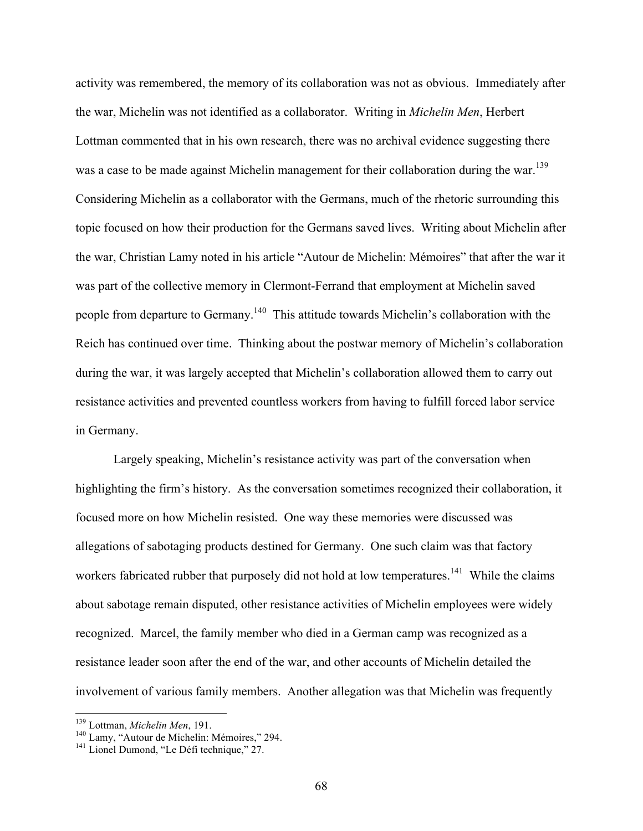activity was remembered, the memory of its collaboration was not as obvious. Immediately after the war, Michelin was not identified as a collaborator. Writing in *Michelin Men*, Herbert Lottman commented that in his own research, there was no archival evidence suggesting there was a case to be made against Michelin management for their collaboration during the war.<sup>139</sup> Considering Michelin as a collaborator with the Germans, much of the rhetoric surrounding this topic focused on how their production for the Germans saved lives. Writing about Michelin after the war, Christian Lamy noted in his article "Autour de Michelin: Mémoires" that after the war it was part of the collective memory in Clermont-Ferrand that employment at Michelin saved people from departure to Germany.<sup>140</sup> This attitude towards Michelin's collaboration with the Reich has continued over time. Thinking about the postwar memory of Michelin's collaboration during the war, it was largely accepted that Michelin's collaboration allowed them to carry out resistance activities and prevented countless workers from having to fulfill forced labor service in Germany.

Largely speaking, Michelin's resistance activity was part of the conversation when highlighting the firm's history. As the conversation sometimes recognized their collaboration, it focused more on how Michelin resisted. One way these memories were discussed was allegations of sabotaging products destined for Germany. One such claim was that factory workers fabricated rubber that purposely did not hold at low temperatures.<sup>141</sup> While the claims about sabotage remain disputed, other resistance activities of Michelin employees were widely recognized. Marcel, the family member who died in a German camp was recognized as a resistance leader soon after the end of the war, and other accounts of Michelin detailed the involvement of various family members. Another allegation was that Michelin was frequently

<sup>&</sup>lt;sup>139</sup> Lottman, *Michelin Men*, 191.<br><sup>140</sup> Lamy, "Autour de Michelin: Mémoires," 294.<br><sup>141</sup> Lionel Dumond, "Le Défi technique," 27.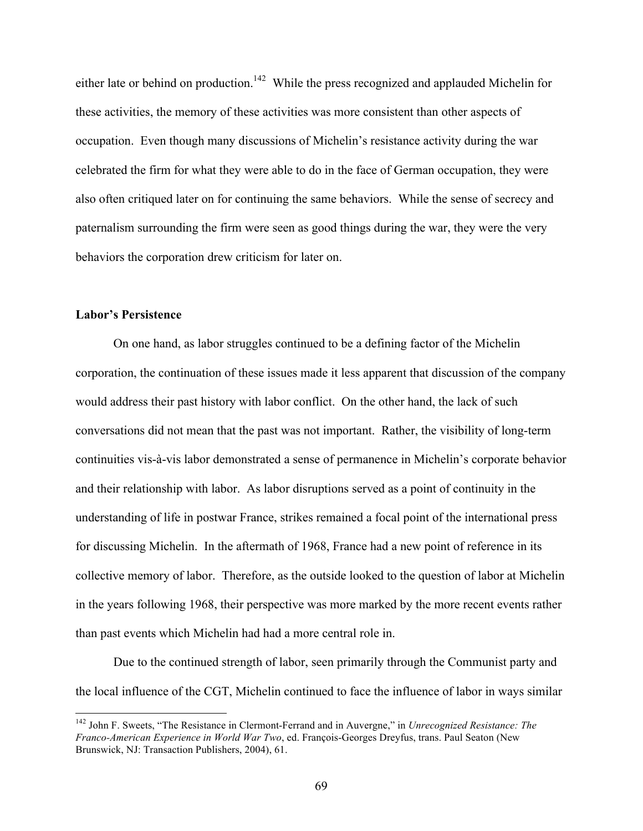either late or behind on production.<sup>142</sup> While the press recognized and applauded Michelin for these activities, the memory of these activities was more consistent than other aspects of occupation. Even though many discussions of Michelin's resistance activity during the war celebrated the firm for what they were able to do in the face of German occupation, they were also often critiqued later on for continuing the same behaviors. While the sense of secrecy and paternalism surrounding the firm were seen as good things during the war, they were the very behaviors the corporation drew criticism for later on.

# **Labor's Persistence**

On one hand, as labor struggles continued to be a defining factor of the Michelin corporation, the continuation of these issues made it less apparent that discussion of the company would address their past history with labor conflict. On the other hand, the lack of such conversations did not mean that the past was not important. Rather, the visibility of long-term continuities vis-à-vis labor demonstrated a sense of permanence in Michelin's corporate behavior and their relationship with labor. As labor disruptions served as a point of continuity in the understanding of life in postwar France, strikes remained a focal point of the international press for discussing Michelin. In the aftermath of 1968, France had a new point of reference in its collective memory of labor. Therefore, as the outside looked to the question of labor at Michelin in the years following 1968, their perspective was more marked by the more recent events rather than past events which Michelin had had a more central role in.

Due to the continued strength of labor, seen primarily through the Communist party and the local influence of the CGT, Michelin continued to face the influence of labor in ways similar

 <sup>142</sup> John F. Sweets, "The Resistance in Clermont-Ferrand and in Auvergne," in *Unrecognized Resistance: The Franco-American Experience in World War Two*, ed. François-Georges Dreyfus, trans. Paul Seaton (New Brunswick, NJ: Transaction Publishers, 2004), 61.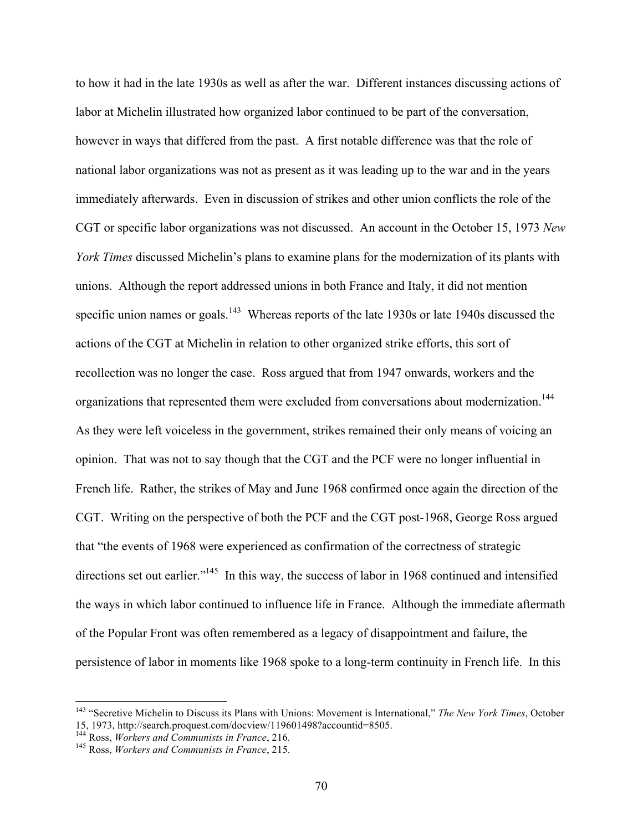to how it had in the late 1930s as well as after the war. Different instances discussing actions of labor at Michelin illustrated how organized labor continued to be part of the conversation, however in ways that differed from the past. A first notable difference was that the role of national labor organizations was not as present as it was leading up to the war and in the years immediately afterwards. Even in discussion of strikes and other union conflicts the role of the CGT or specific labor organizations was not discussed. An account in the October 15, 1973 *New York Times* discussed Michelin's plans to examine plans for the modernization of its plants with unions. Although the report addressed unions in both France and Italy, it did not mention specific union names or goals.<sup>143</sup> Whereas reports of the late 1930s or late 1940s discussed the actions of the CGT at Michelin in relation to other organized strike efforts, this sort of recollection was no longer the case. Ross argued that from 1947 onwards, workers and the organizations that represented them were excluded from conversations about modernization.<sup>144</sup> As they were left voiceless in the government, strikes remained their only means of voicing an opinion. That was not to say though that the CGT and the PCF were no longer influential in French life. Rather, the strikes of May and June 1968 confirmed once again the direction of the CGT. Writing on the perspective of both the PCF and the CGT post-1968, George Ross argued that "the events of 1968 were experienced as confirmation of the correctness of strategic directions set out earlier."<sup>145</sup> In this way, the success of labor in 1968 continued and intensified the ways in which labor continued to influence life in France. Although the immediate aftermath of the Popular Front was often remembered as a legacy of disappointment and failure, the persistence of labor in moments like 1968 spoke to a long-term continuity in French life. In this

<sup>&</sup>lt;sup>143</sup> "Secretive Michelin to Discuss its Plans with Unions: Movement is International," *The New York Times*, October 15, 1973, http://search.proquest.com/docview/119601498?accountid=8505.

<sup>144,</sup> Ross, *Workers and Communists in France*, 216.<br><sup>145</sup> Ross, *Workers and Communists in France*, 215.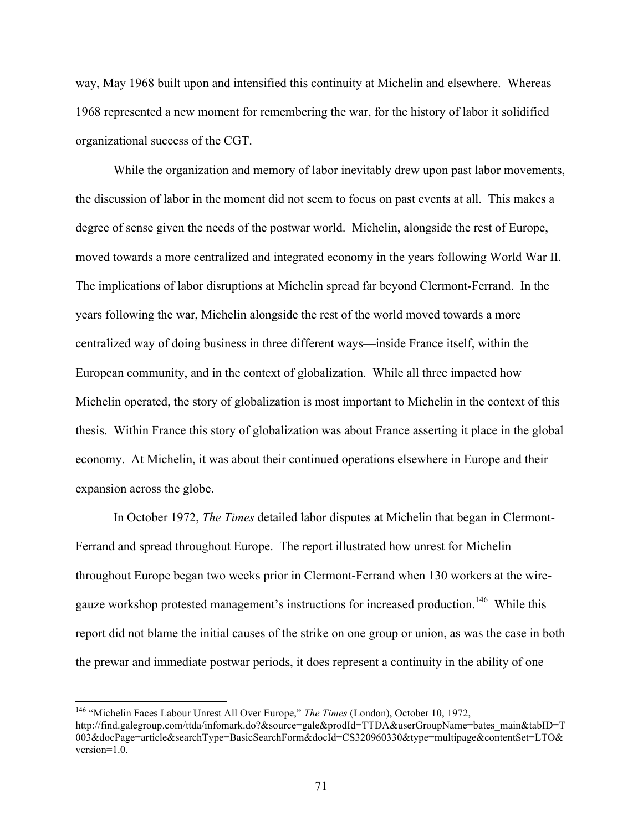way, May 1968 built upon and intensified this continuity at Michelin and elsewhere. Whereas 1968 represented a new moment for remembering the war, for the history of labor it solidified organizational success of the CGT.

While the organization and memory of labor inevitably drew upon past labor movements, the discussion of labor in the moment did not seem to focus on past events at all. This makes a degree of sense given the needs of the postwar world. Michelin, alongside the rest of Europe, moved towards a more centralized and integrated economy in the years following World War II. The implications of labor disruptions at Michelin spread far beyond Clermont-Ferrand. In the years following the war, Michelin alongside the rest of the world moved towards a more centralized way of doing business in three different ways—inside France itself, within the European community, and in the context of globalization. While all three impacted how Michelin operated, the story of globalization is most important to Michelin in the context of this thesis. Within France this story of globalization was about France asserting it place in the global economy. At Michelin, it was about their continued operations elsewhere in Europe and their expansion across the globe.

In October 1972, *The Times* detailed labor disputes at Michelin that began in Clermont-Ferrand and spread throughout Europe. The report illustrated how unrest for Michelin throughout Europe began two weeks prior in Clermont-Ferrand when 130 workers at the wiregauze workshop protested management's instructions for increased production.<sup>146</sup> While this report did not blame the initial causes of the strike on one group or union, as was the case in both the prewar and immediate postwar periods, it does represent a continuity in the ability of one

 <sup>146</sup> "Michelin Faces Labour Unrest All Over Europe," *The Times* (London), October 10, 1972, http://find.galegroup.com/ttda/infomark.do?&source=gale&prodId=TTDA&userGroupName=bates\_main&tabID=T 003&docPage=article&searchType=BasicSearchForm&docId=CS320960330&type=multipage&contentSet=LTO& version=1.0.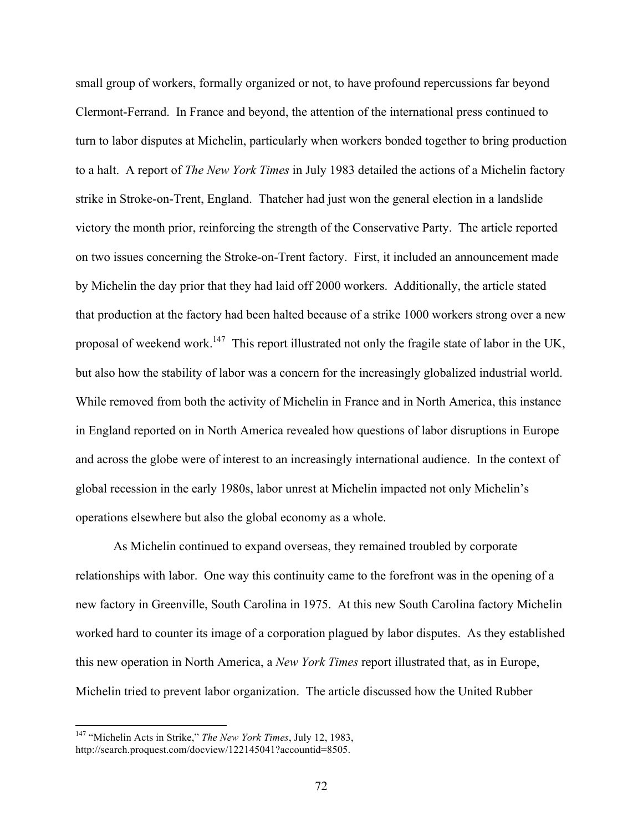small group of workers, formally organized or not, to have profound repercussions far beyond Clermont-Ferrand. In France and beyond, the attention of the international press continued to turn to labor disputes at Michelin, particularly when workers bonded together to bring production to a halt. A report of *The New York Times* in July 1983 detailed the actions of a Michelin factory strike in Stroke-on-Trent, England. Thatcher had just won the general election in a landslide victory the month prior, reinforcing the strength of the Conservative Party. The article reported on two issues concerning the Stroke-on-Trent factory. First, it included an announcement made by Michelin the day prior that they had laid off 2000 workers. Additionally, the article stated that production at the factory had been halted because of a strike 1000 workers strong over a new proposal of weekend work.<sup>147</sup> This report illustrated not only the fragile state of labor in the UK, but also how the stability of labor was a concern for the increasingly globalized industrial world. While removed from both the activity of Michelin in France and in North America, this instance in England reported on in North America revealed how questions of labor disruptions in Europe and across the globe were of interest to an increasingly international audience. In the context of global recession in the early 1980s, labor unrest at Michelin impacted not only Michelin's operations elsewhere but also the global economy as a whole.

As Michelin continued to expand overseas, they remained troubled by corporate relationships with labor. One way this continuity came to the forefront was in the opening of a new factory in Greenville, South Carolina in 1975. At this new South Carolina factory Michelin worked hard to counter its image of a corporation plagued by labor disputes. As they established this new operation in North America, a *New York Times* report illustrated that, as in Europe, Michelin tried to prevent labor organization. The article discussed how the United Rubber

 <sup>147</sup> "Michelin Acts in Strike," *The New York Times*, July 12, 1983, http://search.proquest.com/docview/122145041?accountid=8505.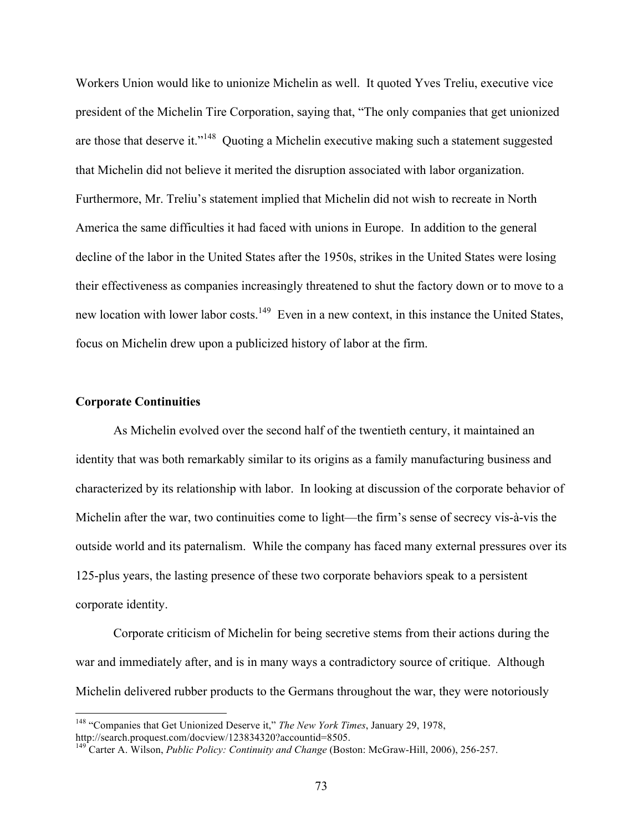Workers Union would like to unionize Michelin as well. It quoted Yves Treliu, executive vice president of the Michelin Tire Corporation, saying that, "The only companies that get unionized are those that deserve it."<sup>148</sup> Quoting a Michelin executive making such a statement suggested that Michelin did not believe it merited the disruption associated with labor organization. Furthermore, Mr. Treliu's statement implied that Michelin did not wish to recreate in North America the same difficulties it had faced with unions in Europe. In addition to the general decline of the labor in the United States after the 1950s, strikes in the United States were losing their effectiveness as companies increasingly threatened to shut the factory down or to move to a new location with lower labor costs.<sup>149</sup> Even in a new context, in this instance the United States, focus on Michelin drew upon a publicized history of labor at the firm.

## **Corporate Continuities**

As Michelin evolved over the second half of the twentieth century, it maintained an identity that was both remarkably similar to its origins as a family manufacturing business and characterized by its relationship with labor. In looking at discussion of the corporate behavior of Michelin after the war, two continuities come to light—the firm's sense of secrecy vis-à-vis the outside world and its paternalism. While the company has faced many external pressures over its 125-plus years, the lasting presence of these two corporate behaviors speak to a persistent corporate identity.

Corporate criticism of Michelin for being secretive stems from their actions during the war and immediately after, and is in many ways a contradictory source of critique. Although Michelin delivered rubber products to the Germans throughout the war, they were notoriously

 <sup>148</sup> "Companies that Get Unionized Deserve it," *The New York Times*, January 29, 1978, http://search.proquest.com/docview/123834320?accountid=8505.

<sup>149</sup> Carter A. Wilson, *Public Policy: Continuity and Change* (Boston: McGraw-Hill, 2006), 256-257.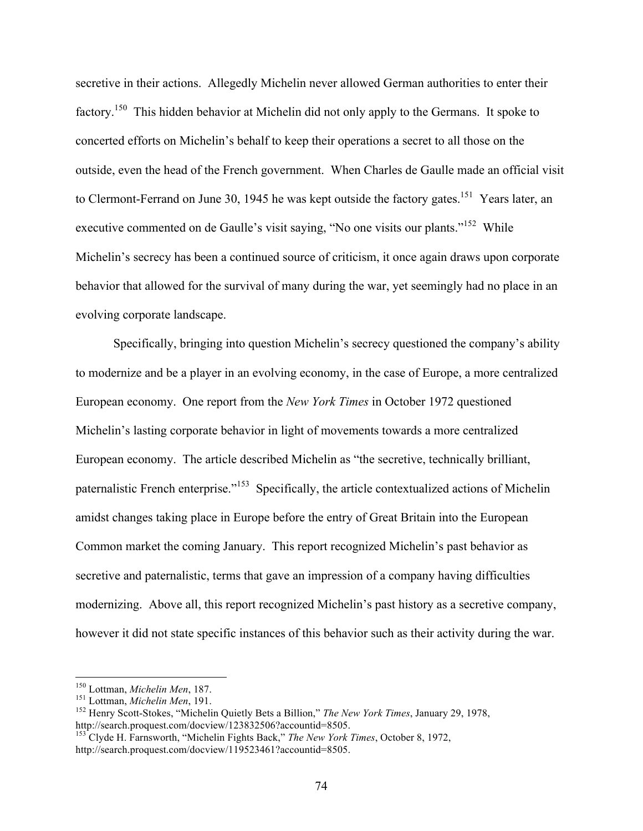secretive in their actions. Allegedly Michelin never allowed German authorities to enter their factory.150 This hidden behavior at Michelin did not only apply to the Germans. It spoke to concerted efforts on Michelin's behalf to keep their operations a secret to all those on the outside, even the head of the French government. When Charles de Gaulle made an official visit to Clermont-Ferrand on June 30, 1945 he was kept outside the factory gates.<sup>151</sup> Years later, an executive commented on de Gaulle's visit saying, "No one visits our plants."<sup>152</sup> While Michelin's secrecy has been a continued source of criticism, it once again draws upon corporate behavior that allowed for the survival of many during the war, yet seemingly had no place in an evolving corporate landscape.

Specifically, bringing into question Michelin's secrecy questioned the company's ability to modernize and be a player in an evolving economy, in the case of Europe, a more centralized European economy. One report from the *New York Times* in October 1972 questioned Michelin's lasting corporate behavior in light of movements towards a more centralized European economy. The article described Michelin as "the secretive, technically brilliant, paternalistic French enterprise."<sup>153</sup> Specifically, the article contextualized actions of Michelin amidst changes taking place in Europe before the entry of Great Britain into the European Common market the coming January. This report recognized Michelin's past behavior as secretive and paternalistic, terms that gave an impression of a company having difficulties modernizing. Above all, this report recognized Michelin's past history as a secretive company, however it did not state specific instances of this behavior such as their activity during the war.

<sup>&</sup>lt;sup>150</sup> Lottman, *Michelin Men*, 187.<br><sup>151</sup> Lottman, *Michelin Men*, 191.<br><sup>152</sup> Henry Scott-Stokes, "Michelin Quietly Bets a Billion," *The New York Times*, January 29, 1978, http://search.proquest.com/docview/123832506?accountid=8505.

<sup>153</sup> Clyde H. Farnsworth, "Michelin Fights Back," *The New York Times*, October 8, 1972, http://search.proquest.com/docview/119523461?accountid=8505.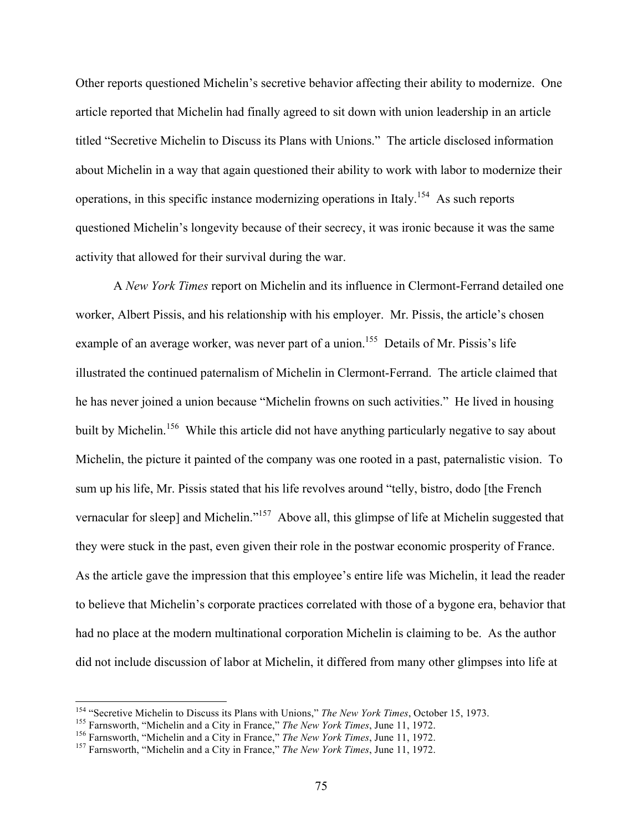Other reports questioned Michelin's secretive behavior affecting their ability to modernize. One article reported that Michelin had finally agreed to sit down with union leadership in an article titled "Secretive Michelin to Discuss its Plans with Unions." The article disclosed information about Michelin in a way that again questioned their ability to work with labor to modernize their operations, in this specific instance modernizing operations in Italy.<sup>154</sup> As such reports questioned Michelin's longevity because of their secrecy, it was ironic because it was the same activity that allowed for their survival during the war.

A *New York Times* report on Michelin and its influence in Clermont-Ferrand detailed one worker, Albert Pissis, and his relationship with his employer. Mr. Pissis, the article's chosen example of an average worker, was never part of a union.<sup>155</sup> Details of Mr. Pissis's life illustrated the continued paternalism of Michelin in Clermont-Ferrand. The article claimed that he has never joined a union because "Michelin frowns on such activities." He lived in housing built by Michelin.<sup>156</sup> While this article did not have anything particularly negative to say about Michelin, the picture it painted of the company was one rooted in a past, paternalistic vision. To sum up his life, Mr. Pissis stated that his life revolves around "telly, bistro, dodo [the French vernacular for sleep] and Michelin."157 Above all, this glimpse of life at Michelin suggested that they were stuck in the past, even given their role in the postwar economic prosperity of France. As the article gave the impression that this employee's entire life was Michelin, it lead the reader to believe that Michelin's corporate practices correlated with those of a bygone era, behavior that had no place at the modern multinational corporation Michelin is claiming to be. As the author did not include discussion of labor at Michelin, it differed from many other glimpses into life at

<sup>&</sup>lt;sup>154</sup> "Secretive Michelin to Discuss its Plans with Unions," *The New York Times*, October 15, 1973.<br><sup>155</sup> Farnsworth, "Michelin and a City in France," *The New York Times*, June 11, 1972.<br><sup>156</sup> Farnsworth, "Michelin and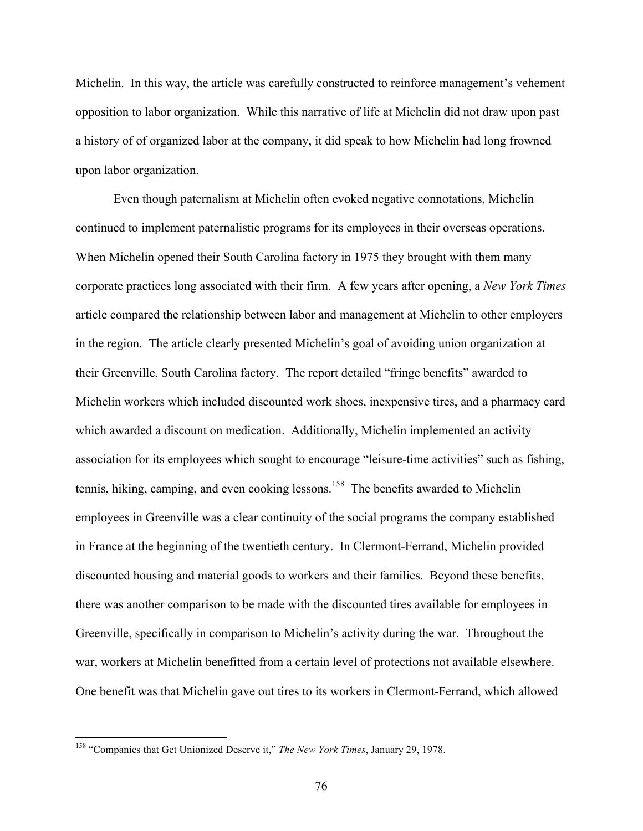Michelin. In this way, the article was carefully constructed to reinforce management's vehement opposition to labor organization. While this narrative of life at Michelin did not draw upon past a history of of organized labor at the company, it did speak to how Michelin had long frowned upon labor organization.

Even though paternalism at Michelin often evoked negative connotations, Michelin continued to implement paternalistic programs for its employees in their overseas operations. When Michelin opened their South Carolina factory in 1975 they brought with them many corporate practices long associated with their firm. A few years after opening, a *New York Times*  article compared the relationship between labor and management at Michelin to other employers in the region. The article clearly presented Michelin's goal of avoiding union organization at their Greenville, South Carolina factory. The report detailed "fringe benefits" awarded to Michelin workers which included discounted work shoes, inexpensive tires, and a pharmacy card which awarded a discount on medication. Additionally, Michelin implemented an activity association for its employees which sought to encourage "leisure-time activities" such as fishing, tennis, hiking, camping, and even cooking lessons.<sup>158</sup> The benefits awarded to Michelin employees in Greenville was a clear continuity of the social programs the company established in France at the beginning of the twentieth century. In Clermont-Ferrand, Michelin provided discounted housing and material goods to workers and their families. Beyond these benefits, there was another comparison to be made with the discounted tires available for employees in Greenville, specifically in comparison to Michelin's activity during the war. Throughout the war, workers at Michelin benefitted from a certain level of protections not available elsewhere. One benefit was that Michelin gave out tires to its workers in Clermont-Ferrand, which allowed

 <sup>158</sup> "Companies that Get Unionized Deserve it," *The New York Times*, January 29, 1978.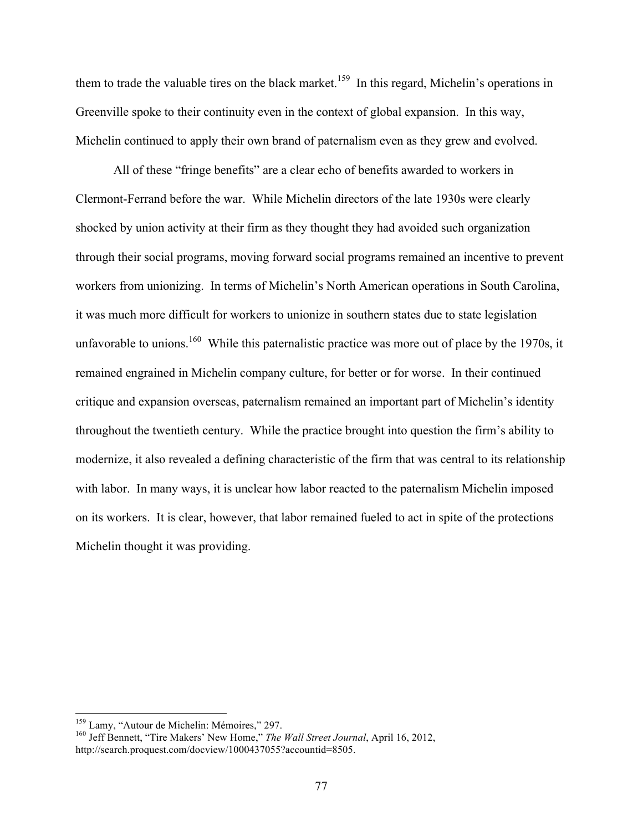them to trade the valuable tires on the black market.<sup>159</sup> In this regard, Michelin's operations in Greenville spoke to their continuity even in the context of global expansion. In this way, Michelin continued to apply their own brand of paternalism even as they grew and evolved.

All of these "fringe benefits" are a clear echo of benefits awarded to workers in Clermont-Ferrand before the war. While Michelin directors of the late 1930s were clearly shocked by union activity at their firm as they thought they had avoided such organization through their social programs, moving forward social programs remained an incentive to prevent workers from unionizing. In terms of Michelin's North American operations in South Carolina, it was much more difficult for workers to unionize in southern states due to state legislation unfavorable to unions.<sup>160</sup> While this paternalistic practice was more out of place by the 1970s, it remained engrained in Michelin company culture, for better or for worse. In their continued critique and expansion overseas, paternalism remained an important part of Michelin's identity throughout the twentieth century. While the practice brought into question the firm's ability to modernize, it also revealed a defining characteristic of the firm that was central to its relationship with labor. In many ways, it is unclear how labor reacted to the paternalism Michelin imposed on its workers. It is clear, however, that labor remained fueled to act in spite of the protections Michelin thought it was providing.

<sup>&</sup>lt;sup>159</sup> Lamy, "Autour de Michelin: Mémoires," 297.<br><sup>160</sup> Jeff Bennett, "Tire Makers' New Home," *The Wall Street Journal*, April 16, 2012, http://search.proquest.com/docview/1000437055?accountid=8505.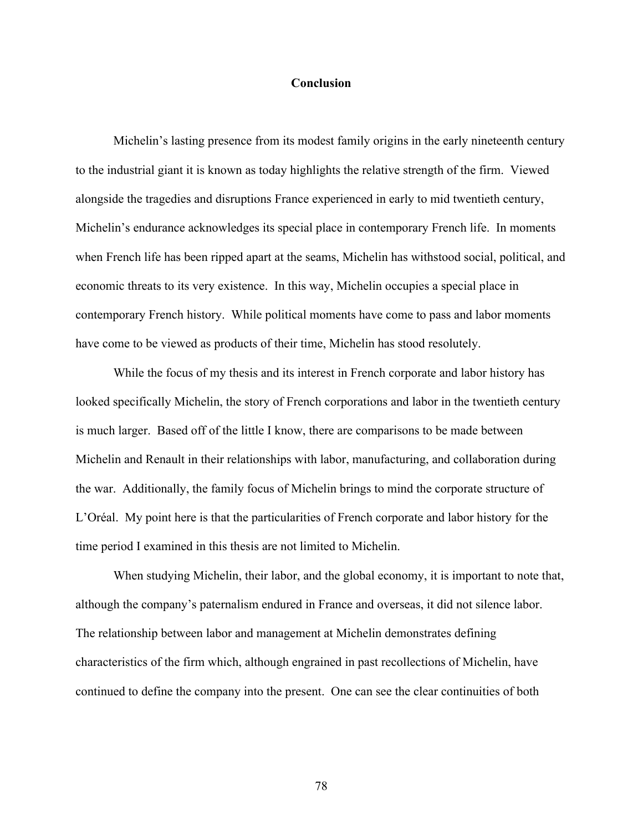#### **Conclusion**

Michelin's lasting presence from its modest family origins in the early nineteenth century to the industrial giant it is known as today highlights the relative strength of the firm. Viewed alongside the tragedies and disruptions France experienced in early to mid twentieth century, Michelin's endurance acknowledges its special place in contemporary French life. In moments when French life has been ripped apart at the seams, Michelin has withstood social, political, and economic threats to its very existence. In this way, Michelin occupies a special place in contemporary French history. While political moments have come to pass and labor moments have come to be viewed as products of their time, Michelin has stood resolutely.

While the focus of my thesis and its interest in French corporate and labor history has looked specifically Michelin, the story of French corporations and labor in the twentieth century is much larger. Based off of the little I know, there are comparisons to be made between Michelin and Renault in their relationships with labor, manufacturing, and collaboration during the war. Additionally, the family focus of Michelin brings to mind the corporate structure of L'Oréal. My point here is that the particularities of French corporate and labor history for the time period I examined in this thesis are not limited to Michelin.

When studying Michelin, their labor, and the global economy, it is important to note that, although the company's paternalism endured in France and overseas, it did not silence labor. The relationship between labor and management at Michelin demonstrates defining characteristics of the firm which, although engrained in past recollections of Michelin, have continued to define the company into the present. One can see the clear continuities of both

78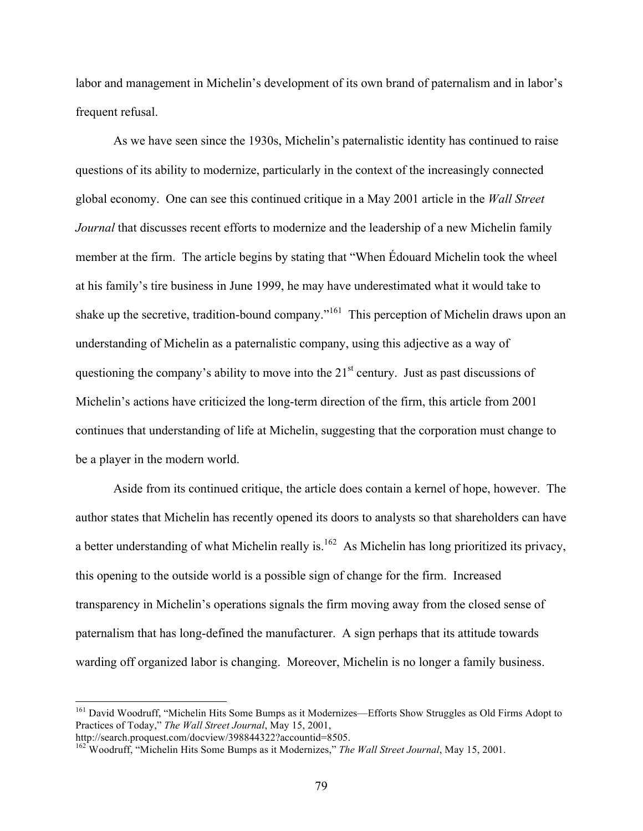labor and management in Michelin's development of its own brand of paternalism and in labor's frequent refusal.

As we have seen since the 1930s, Michelin's paternalistic identity has continued to raise questions of its ability to modernize, particularly in the context of the increasingly connected global economy. One can see this continued critique in a May 2001 article in the *Wall Street Journal* that discusses recent efforts to modernize and the leadership of a new Michelin family member at the firm. The article begins by stating that "When Édouard Michelin took the wheel at his family's tire business in June 1999, he may have underestimated what it would take to shake up the secretive, tradition-bound company."<sup>161</sup> This perception of Michelin draws upon an understanding of Michelin as a paternalistic company, using this adjective as a way of questioning the company's ability to move into the  $21<sup>st</sup>$  century. Just as past discussions of Michelin's actions have criticized the long-term direction of the firm, this article from 2001 continues that understanding of life at Michelin, suggesting that the corporation must change to be a player in the modern world.

Aside from its continued critique, the article does contain a kernel of hope, however. The author states that Michelin has recently opened its doors to analysts so that shareholders can have a better understanding of what Michelin really is.<sup>162</sup> As Michelin has long prioritized its privacy, this opening to the outside world is a possible sign of change for the firm. Increased transparency in Michelin's operations signals the firm moving away from the closed sense of paternalism that has long-defined the manufacturer. A sign perhaps that its attitude towards warding off organized labor is changing. Moreover, Michelin is no longer a family business.

<sup>&</sup>lt;sup>161</sup> David Woodruff, "Michelin Hits Some Bumps as it Modernizes—Efforts Show Struggles as Old Firms Adopt to Practices of Today," *The Wall Street Journal*, May 15, 2001,

http://search.proquest.com/docview/398844322?accountid=8505.

<sup>162</sup> Woodruff, "Michelin Hits Some Bumps as it Modernizes," *The Wall Street Journal*, May 15, 2001.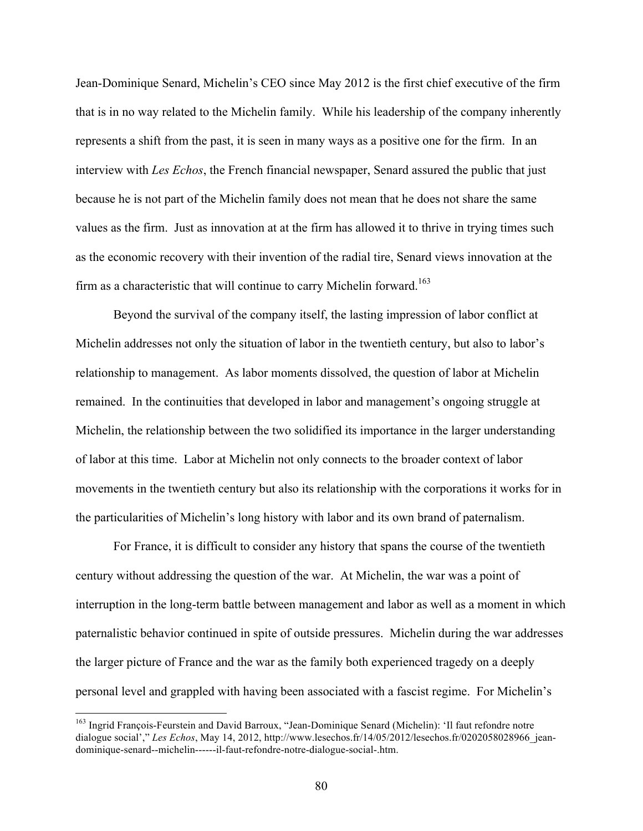Jean-Dominique Senard, Michelin's CEO since May 2012 is the first chief executive of the firm that is in no way related to the Michelin family. While his leadership of the company inherently represents a shift from the past, it is seen in many ways as a positive one for the firm. In an interview with *Les Echos*, the French financial newspaper, Senard assured the public that just because he is not part of the Michelin family does not mean that he does not share the same values as the firm. Just as innovation at at the firm has allowed it to thrive in trying times such as the economic recovery with their invention of the radial tire, Senard views innovation at the firm as a characteristic that will continue to carry Michelin forward.<sup>163</sup>

Beyond the survival of the company itself, the lasting impression of labor conflict at Michelin addresses not only the situation of labor in the twentieth century, but also to labor's relationship to management. As labor moments dissolved, the question of labor at Michelin remained. In the continuities that developed in labor and management's ongoing struggle at Michelin, the relationship between the two solidified its importance in the larger understanding of labor at this time. Labor at Michelin not only connects to the broader context of labor movements in the twentieth century but also its relationship with the corporations it works for in the particularities of Michelin's long history with labor and its own brand of paternalism.

For France, it is difficult to consider any history that spans the course of the twentieth century without addressing the question of the war. At Michelin, the war was a point of interruption in the long-term battle between management and labor as well as a moment in which paternalistic behavior continued in spite of outside pressures. Michelin during the war addresses the larger picture of France and the war as the family both experienced tragedy on a deeply personal level and grappled with having been associated with a fascist regime. For Michelin's

 <sup>163</sup> Ingrid François-Feurstein and David Barroux, "Jean-Dominique Senard (Michelin): 'Il faut refondre notre dialogue social'," *Les Echos*, May 14, 2012, http://www.lesechos.fr/14/05/2012/lesechos.fr/0202058028966\_jeandominique-senard--michelin------il-faut-refondre-notre-dialogue-social-.htm.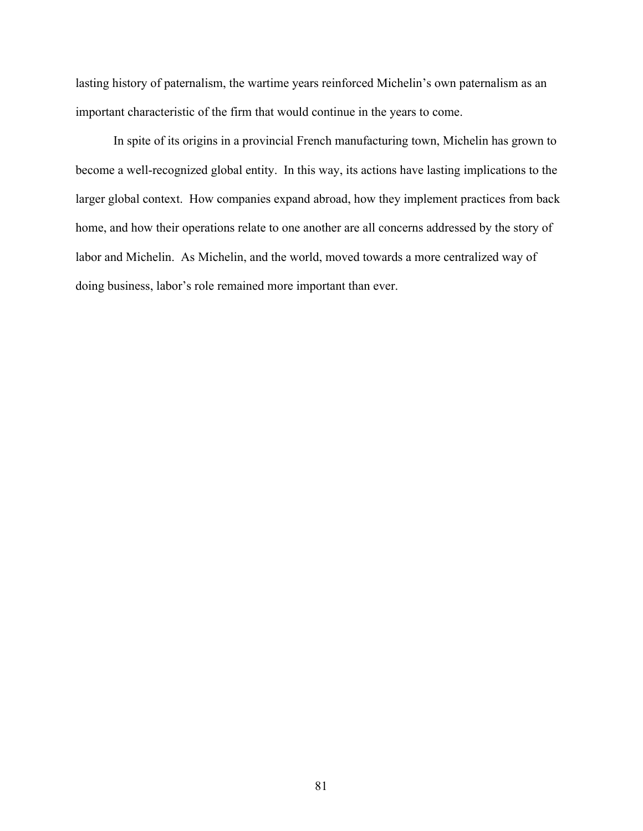lasting history of paternalism, the wartime years reinforced Michelin's own paternalism as an important characteristic of the firm that would continue in the years to come.

In spite of its origins in a provincial French manufacturing town, Michelin has grown to become a well-recognized global entity. In this way, its actions have lasting implications to the larger global context. How companies expand abroad, how they implement practices from back home, and how their operations relate to one another are all concerns addressed by the story of labor and Michelin. As Michelin, and the world, moved towards a more centralized way of doing business, labor's role remained more important than ever.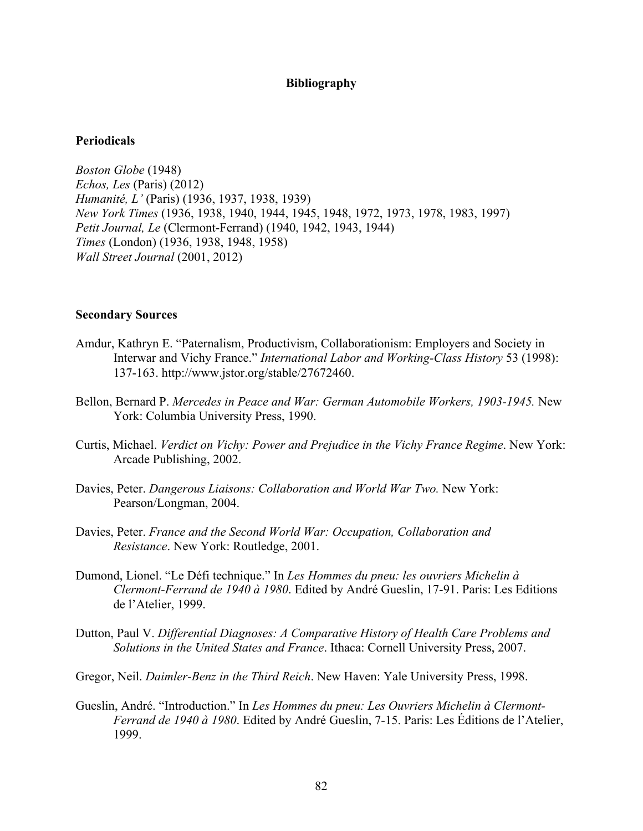## **Bibliography**

# **Periodicals**

*Boston Globe* (1948) *Echos, Les* (Paris) (2012) *Humanité, L'* (Paris) (1936, 1937, 1938, 1939) *New York Times* (1936, 1938, 1940, 1944, 1945, 1948, 1972, 1973, 1978, 1983, 1997) *Petit Journal, Le* (Clermont-Ferrand) (1940, 1942, 1943, 1944) *Times* (London) (1936, 1938, 1948, 1958) *Wall Street Journal* (2001, 2012)

## **Secondary Sources**

- Amdur, Kathryn E. "Paternalism, Productivism, Collaborationism: Employers and Society in Interwar and Vichy France." *International Labor and Working-Class History* 53 (1998): 137-163. http://www.jstor.org/stable/27672460.
- Bellon, Bernard P. *Mercedes in Peace and War: German Automobile Workers, 1903-1945.* New York: Columbia University Press, 1990.
- Curtis, Michael. *Verdict on Vichy: Power and Prejudice in the Vichy France Regime*. New York: Arcade Publishing, 2002.
- Davies, Peter. *Dangerous Liaisons: Collaboration and World War Two.* New York: Pearson/Longman, 2004.
- Davies, Peter. *France and the Second World War: Occupation, Collaboration and Resistance*. New York: Routledge, 2001.
- Dumond, Lionel. "Le Défi technique." In *Les Hommes du pneu: les ouvriers Michelin à Clermont-Ferrand de 1940 à 1980*. Edited by André Gueslin, 17-91. Paris: Les Editions de l'Atelier, 1999.
- Dutton, Paul V. *Differential Diagnoses: A Comparative History of Health Care Problems and Solutions in the United States and France*. Ithaca: Cornell University Press, 2007.
- Gregor, Neil. *Daimler-Benz in the Third Reich*. New Haven: Yale University Press, 1998.
- Gueslin, André. "Introduction." In *Les Hommes du pneu: Les Ouvriers Michelin à Clermont-Ferrand de 1940 à 1980*. Edited by André Gueslin, 7-15. Paris: Les Éditions de l'Atelier, 1999.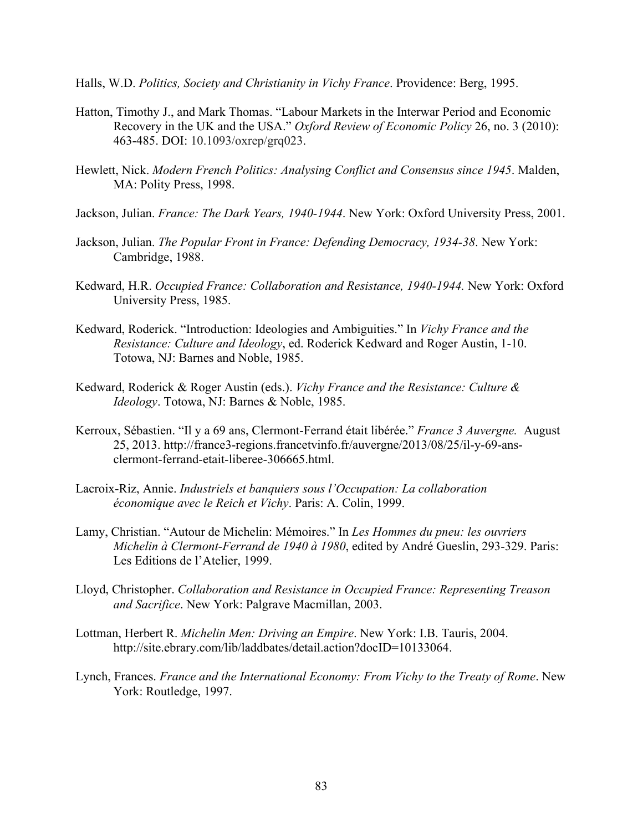Halls, W.D. *Politics, Society and Christianity in Vichy France*. Providence: Berg, 1995.

- Hatton, Timothy J., and Mark Thomas. "Labour Markets in the Interwar Period and Economic Recovery in the UK and the USA." *Oxford Review of Economic Policy* 26, no. 3 (2010): 463-485. DOI: 10.1093/oxrep/grq023.
- Hewlett, Nick. *Modern French Politics: Analysing Conflict and Consensus since 1945*. Malden, MA: Polity Press, 1998.
- Jackson, Julian. *France: The Dark Years, 1940-1944*. New York: Oxford University Press, 2001.
- Jackson, Julian. *The Popular Front in France: Defending Democracy, 1934-38*. New York: Cambridge, 1988.
- Kedward, H.R. *Occupied France: Collaboration and Resistance, 1940-1944.* New York: Oxford University Press, 1985.
- Kedward, Roderick. "Introduction: Ideologies and Ambiguities." In *Vichy France and the Resistance: Culture and Ideology*, ed. Roderick Kedward and Roger Austin, 1-10. Totowa, NJ: Barnes and Noble, 1985.
- Kedward, Roderick & Roger Austin (eds.). *Vichy France and the Resistance: Culture & Ideology*. Totowa, NJ: Barnes & Noble, 1985.
- Kerroux, Sébastien. "Il y a 69 ans, Clermont-Ferrand était libérée." *France 3 Auvergne.* August 25, 2013. http://france3-regions.francetvinfo.fr/auvergne/2013/08/25/il-y-69-ansclermont-ferrand-etait-liberee-306665.html.
- Lacroix-Riz, Annie. *Industriels et banquiers sous l'Occupation: La collaboration économique avec le Reich et Vichy*. Paris: A. Colin, 1999.
- Lamy, Christian. "Autour de Michelin: Mémoires." In *Les Hommes du pneu: les ouvriers Michelin à Clermont-Ferrand de 1940 à 1980*, edited by André Gueslin, 293-329. Paris: Les Editions de l'Atelier, 1999.
- Lloyd, Christopher. *Collaboration and Resistance in Occupied France: Representing Treason and Sacrifice*. New York: Palgrave Macmillan, 2003.
- Lottman, Herbert R. *Michelin Men: Driving an Empire*. New York: I.B. Tauris, 2004. http://site.ebrary.com/lib/laddbates/detail.action?docID=10133064.
- Lynch, Frances. *France and the International Economy: From Vichy to the Treaty of Rome*. New York: Routledge, 1997.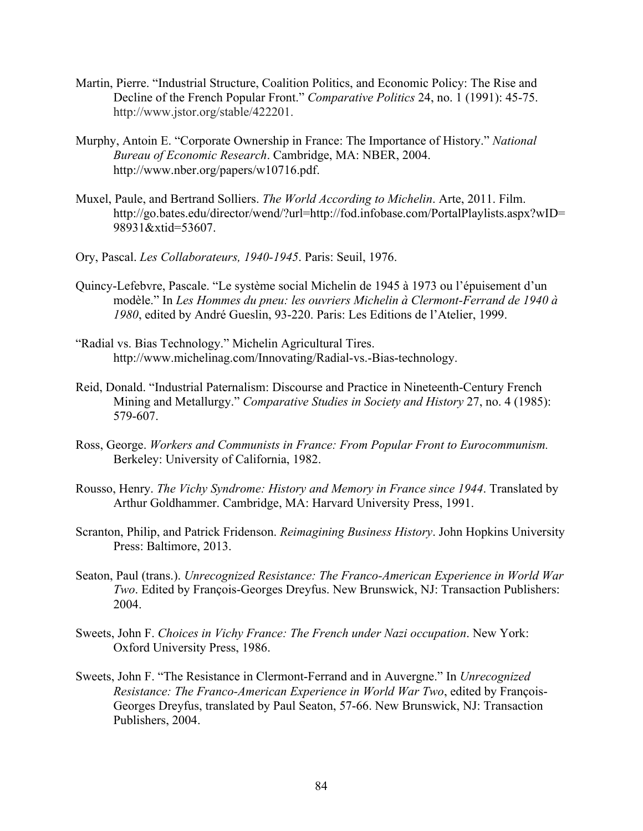- Martin, Pierre. "Industrial Structure, Coalition Politics, and Economic Policy: The Rise and Decline of the French Popular Front." *Comparative Politics* 24, no. 1 (1991): 45-75. http://www.jstor.org/stable/422201.
- Murphy, Antoin E. "Corporate Ownership in France: The Importance of History." *National Bureau of Economic Research*. Cambridge, MA: NBER, 2004. http://www.nber.org/papers/w10716.pdf.
- Muxel, Paule, and Bertrand Solliers. *The World According to Michelin*. Arte, 2011. Film. http://go.bates.edu/director/wend/?url=http://fod.infobase.com/PortalPlaylists.aspx?wID= 98931&xtid=53607.
- Ory, Pascal. *Les Collaborateurs, 1940-1945*. Paris: Seuil, 1976.
- Quincy-Lefebvre, Pascale. "Le système social Michelin de 1945 à 1973 ou l'épuisement d'un modèle." In *Les Hommes du pneu: les ouvriers Michelin à Clermont-Ferrand de 1940 à 1980*, edited by André Gueslin, 93-220. Paris: Les Editions de l'Atelier, 1999.
- "Radial vs. Bias Technology." Michelin Agricultural Tires. http://www.michelinag.com/Innovating/Radial-vs.-Bias-technology.
- Reid, Donald. "Industrial Paternalism: Discourse and Practice in Nineteenth-Century French Mining and Metallurgy." *Comparative Studies in Society and History* 27, no. 4 (1985): 579-607.
- Ross, George. *Workers and Communists in France: From Popular Front to Eurocommunism.*  Berkeley: University of California, 1982.
- Rousso, Henry. *The Vichy Syndrome: History and Memory in France since 1944*. Translated by Arthur Goldhammer. Cambridge, MA: Harvard University Press, 1991.
- Scranton, Philip, and Patrick Fridenson. *Reimagining Business History*. John Hopkins University Press: Baltimore, 2013.
- Seaton, Paul (trans.). *Unrecognized Resistance: The Franco-American Experience in World War Two*. Edited by François-Georges Dreyfus. New Brunswick, NJ: Transaction Publishers: 2004.
- Sweets, John F. *Choices in Vichy France: The French under Nazi occupation*. New York: Oxford University Press, 1986.
- Sweets, John F. "The Resistance in Clermont-Ferrand and in Auvergne." In *Unrecognized Resistance: The Franco-American Experience in World War Two*, edited by François-Georges Dreyfus, translated by Paul Seaton, 57-66. New Brunswick, NJ: Transaction Publishers, 2004.